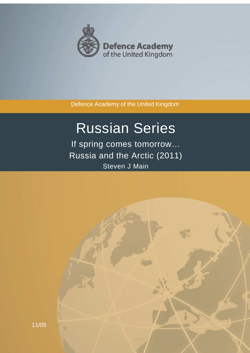

**Defence Academy**<br>of the United Kingdom

Defence Academy of the United Kingdom

# Russian Series

If spring comes tomorrow… Russia and the Arctic (2011) Steven J Main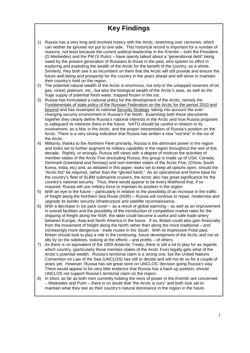## **Key Findings**

- 1) Russia has a very long and involved history with the Arctic, stretching over centuries, which can neither be ignored nor put to one side. This historical record is important for a number of reasons, not least because the current political leadership in the Kremlin – both the President (D Medvedev) and the PM (V Putin) – have openly talked about a "generational debt" being owed by the present generation of Russians to those in the past, who spared no effort in exploring and exploiting the wealth of the Arctic for the benefit of the country, as a whole. Similarly, they both see it as incumbent on them that the Arctic will still provide and ensure the future well-being and prosperity for the country in the years ahead and will strive to maintain their country's hold on the region.
- 2) The potential natural wealth of the Arctic is enormous, not only in the untapped reserves of oil, gas, nickel, platinum, etc., but also the biological wealth of the Arctic's seas, as well as the huge supply of potential fresh water, trapped frozen in the ice.
- 3) Russia has formulated a national policy for the development of the Arctic, namely the Fundamentals of state policy of the Russian Federation on the Arctic for the period 2010 and beyond and has revamped its national Security Strategy, taking into account the everchanging security environment in Russia's Far North. Examining both these documents together they clearly define Russia's national interests in the Arctic and how Russia proposes to safeguard its interests there in the future. NATO should be careful in relation to its involvement, as a bloc in the Arctic, and the proper interpretation of Russia's position on the Arctic. There is a very strong indication that Russia has written a new "red line" in the ice of the Arctic.
- 4) Militarily, thanks to the Northern Fleet primarily, Russia is the dominant power in the region and looks set to further augment its military capability in the region throughout the rest of this decade. Rightly, or wrongly, Russia still views with a degree of mistrust the activities of member-states of the Arctic Five (excluding Russia, this group is made up of USA, Canada, Denmark-Greenland and Norway) and non-member states of the Arctic Five, (China, South Korea, India, etc) and, as detailed in this paper, looks set to keep all options open, should the "Arctic fist" be required, rather than the "gloved hand." As an operational and home base for the country's fleet of SLBM submarine cruisers, the Arctic also has great significance for the country's national security. Thus, there would appear to be every likelihood that, if so required, Russia will use military force to maintain its position in the region.
- 5) With an eye to the future particularly in relation to the possibility of an increase in the traffic of freight along the Northern Sea Route (NSR) – Russia will continue to repair, modernise and upgrade its border security infrastructure and satellite reconnaissance.
- 6) With a decrease in ice pack cover as a result of global warming as well as an improvement in overall facilities and the possibility of the introduction of competitive market rates for the shipping of freight along the NSR, the latter could become a useful and safe trade artery between Europe, Asia and North America in the future. If so, Britain could also gain financially from the movement of freight along the North rather than along the more traditional – and increasingly more dangerous - trade routes in the South. With its impressive Polar past, Britain should look to play a role in the continuing, future development of the Arctic and not sit idly by on the sidelines, looking at the efforts – and profits – of others.
- 7) As there is no equivalent of the 1959 Antarctic Treaty, there is still a lot to play for as regards which country, (particularly those member-states of the Arctic Five) legally gets what of the Arctic's potential wealth. Russia's territorial claim is a strong one, but the United Nations Convention on Law of the Sea (UNCLOS) has still to decide and will not do so for a couple of years yet. However, Russia has set great store on UNCLOS' decision going Russia's way. There would appear to be very little evidence that Russia has a back-up position, should UNCLOS not support Russia's territorial claim on the region.
- 8) In short, as far as both men currently holding the reins of power in the Kremlin are concerned – Medvedev and Putin – there is no doubt that "the Arctic is ours" and both look set to maintain what they see as their country's natural dominance in the region in the future.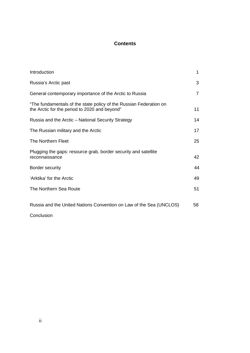### **Contents**

| Introduction                                                                                                        | 1  |
|---------------------------------------------------------------------------------------------------------------------|----|
| Russia's Arctic past                                                                                                | 3  |
| General contemporary importance of the Arctic to Russia                                                             | 7  |
| "The fundamentals of the state policy of the Russian Federation on<br>the Arctic for the period to 2020 and beyond" | 11 |
| Russia and the Arctic – National Security Strategy                                                                  | 14 |
| The Russian military and the Arctic                                                                                 | 17 |
| The Northern Fleet                                                                                                  | 25 |
| Plugging the gaps: resource grab, border security and satellite<br>reconnaissance                                   | 42 |
| Border security                                                                                                     | 44 |
| 'Arktika' for the Arctic                                                                                            | 49 |
| The Northern Sea Route                                                                                              | 51 |
| Russia and the United Nations Convention on Law of the Sea (UNCLOS)<br>Conclusion                                   | 58 |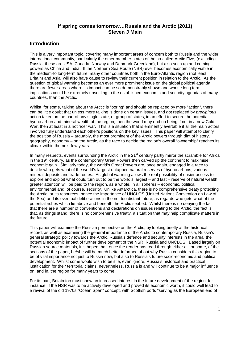#### **If spring comes tomorrow…Russia and the Arctic (2011) Steven J Main**

#### **Introduction**

This is a very important topic, covering many important areas of concern both to Russia and the wider international community, particularly the other member-states of the so-called Arctic Five, (excluding Russia, these are USA, Canada, Norway and Denmark-Greenland), but also such up and coming powers as China and India. If the Northern Sea Route (NSR) ever becomes economically viable in the medium-to long-term future, many other countries both in the Euro-Atlantic region (not least Britain) and Asia, will also have cause to review their current position in relation to the Arctic. As the question of global warming becomes an ever more prominent issue on the global political agenda, there are fewer areas where its impact can be so demonstrably shown and whose long term implications could be extremely unsettling to the established economic and security agendas of many countries, than the Arctic.

Whilst, for some, talking about the Arctic is "boring" and should be replaced by more "action", there can be little doubt that unless more talking is done on certain issues, and not replaced by precipitous action taken on the part of any single state, or group of states, in an effort to secure the potential hydrocarbon and mineral wealth of the region, then the world may end up being if not in a new Cold War, then at least in a hot "ice" war. This is a situation that is eminently avertable if all the main actors involved fully understand each other's positions on the key issues. This paper will attempt to clarify the position of Russia – arguably, the most prominent of the Arctic powers through dint of history, geography, economy – on the Arctic, as the race to decide the region's overall "ownership" reaches its climax within the next few years.

In many respects, events surrounding the Arctic in the 21<sup>st</sup> century partly mirror the scramble for Africa in the  $19<sup>th</sup>$  century, as the contemporary Great Powers then carved up the continent to maximise economic gain. Similarly today, the world's Great Powers are, once again, engaged in a race to decide who gets what of the world's largest untapped natural reserves of hydrocarbons, various mineral deposits and trade routes. As global warming allows the real possibility of easier access to explore and exploit what could turn out to be the world's largest – and last – reserve of natural wealth, greater attention will be paid to the region, as a whole, in all spheres – economic, political, environmental and, of course, security. Unlike Antarctica, there is no comprehensive treaty protecting the Arctic, or its resources, hence the importance of UNCLOS (United Nations Convention on Law of the Sea) and its eventual deliberations in the not too distant future, as regards who gets what of the potential riches which lie above and beneath the Arctic seabed. Whilst there is no denying the fact that there are a number of conventions and declarations on issues relating to the Arctic, the fact is that, as things stand, there is no comprehensive treaty, a situation that may help complicate matters in the future.

This paper will examine the Russian perspective on the Arctic, by looking briefly at the historical record, as well as examining the general importance of the Arctic to contemporary Russia, Russia's general strategic policy towards the Arctic, Russia's defence and security interests in the area, the potential economic impact of further development of the NSR, Russia and UNCLOS. Based largely on Russian source materials, it is hoped that, once the reader has read through either all, or some, of the sections of the paper, he/she will be much better informed about why Russia considers this region to be of vital importance not just to Russia now, but also to Russia's future socio-economic and political development. Whilst some would wish to belittle, even ignore, Russia's historical and practical justification for their territorial claims, nevertheless, Russia is and will continue to be a major influence on, and in, the region for many years to come.

For its part, Britain too must show an increased interest in the future development of the region: for instance, if the NSR was to be actively developed and proved its economic worth, it could well lead to a revival of the old 1970s "Ocean Span" concept, with Scottish ports "serving as the European end of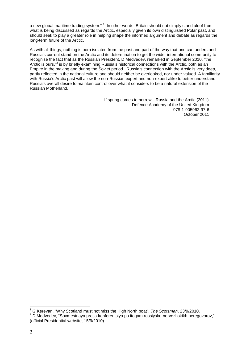a new global maritime trading system."  $^1$  In other words, Britain should not simply stand aloof from what is being discussed as regards the Arctic, especially given its own distinguished Polar past, and should seek to play a greater role in helping shape the informed argument and debate as regards the long-term future of the Arctic.

As with all things, nothing is born isolated from the past and part of the way that one can understand Russia's current stand on the Arctic and its determination to get the wider international community to recognise the fact that as the Russian President, D Medvedev, remarked in September 2010, "the Arctic is ours,"<sup>2</sup> is by briefly examining Russia's historical connections with the Arctic, both as an Empire in the making and during the Soviet period. Russia's connection with the Arctic is very deep, partly reflected in the national culture and should neither be overlooked, nor under-valued. A familiarity with Russia's Arctic past will allow the non-Russian expert and non-expert alike to better understand Russia's overall desire to maintain control over what it considers to be a natural extension of the Russian Motherland.

> If spring comes tomorrow…Russia and the Arctic (2011) Defence Academy of the United Kingdom 978-1-905962-97-6 October 2011

 1 G Kerevan, "Why Scotland must not miss the High North boat", The Scotsman, 23/9/2010. <sup>2</sup> D Medvedev, "Sovmestnaya press-konferentsiya po itogam rossiysko-norvezhskikh peregovorov," (official Presidential website, 15/9/2010).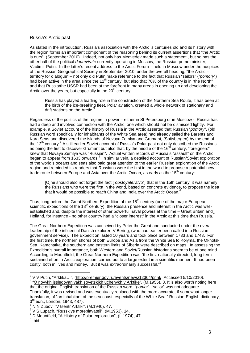#### Russia's Arctic past

As stated in the introduction, Russia's association with the Arctic is centuries old and its history with the region forms an important component of the reasoning behind its current assertions that "the Arctic is ours", (September 2010). Indeed, not only has Medvedev made such a statement , but so has the other half of the political *duumvirate* currently operating in Moscow, the Russian prime minister, Vladimir Putin. In the latter's recent address to the Arctic Forum – held in Moscow under the auspices of the Russian Geographical Society in September 2010, under the overall heading, "the Arctic – territory for dialogue" – not only did Putin make reference to the fact that Russian "sailors" ("*pomory*") had been active in the area since the 11<sup>th</sup> century, but also that 70% of the country is in "the North" and that Russia/the USSR had been at the forefront in many areas in opening up and developing the Arctic over the years, but especially in the  $20<sup>th</sup>$  century:

Russia has played a leading role in the construction of the Northern Sea Route, it has been at the birth of the ice-breaking fleet, Polar aviation, created a whole network of stationary and drift stations on the Arctic.

Regardless of the politics of the regime in power – either in St Petersburg or in Moscow - Russia has had a deep and involved connection with the Arctic, one which should not be dismissed lightly. For, example, a Soviet account of the history of Russia in the Arctic asserted that Russian "pomory", (old Russian word specifically for inhabitants of the White Sea area) had already sailed the Barents and Kara Seas and discovered the islands of Novaya Zemlya and Grumant, (Spitsbergen) by the end of the 12<sup>th</sup> century.<sup>4</sup> A still earlier Soviet account of Russia's Polar past not only described the Russians as being the first to discover Grumant but also that, by the middle of the  $16<sup>th</sup>$  century, "foreigners" knew that Novaya Zemlya was "Russian". Actual written records of Russia's "assault" on the Arctic began to appear from 1633 onwards.<sup>5</sup> In similar vein, a detailed account of Russian/Soviet exploration of the world's oceans and seas also paid great attention to the earlier Russian exploration of the Arctic region and reminded its readers that Russians were the first in the world to propose a potential new trade route between Europe and Asia over the Arctic Ocean, as early as the 15<sup>th</sup> century:

[O]ne should also not forget the fact ["*obstovatel'stvo*"] that in the 15th century, it was namely the Russians who were the first in the world, based on concrete evidence, to propose the idea that it would be possible to reach China and India over the Arctic Ocean.<sup>6</sup>

Thus, long before the Great Northern Expedition of the 18<sup>th</sup> century (one of the major European scientific expeditions of the 18<sup>th</sup> century), the Russian presence and interest in the Arctic was wellestablished and, despite the interest of other powerful naval powers at the time – Great Britain and Holland, for instance - no other country had a "closer interest" in the Arctic at this time than Russia.<sup>7</sup>

The Great Northern Expedition was conceived by Peter the Great and conducted under the overall leadership of the influential Danish explorer, V Bering, (who had earlier been called into Russian government service). The Expedition lasted 10 years and took place between 1733 and 1743. For the first time, the northern shores of both Europe and Asia from the White Sea to Kolyma, the Okhotsk Sea, Kamchatka, the southern and eastern limits of Siberia were described on maps. In assessing the Expedition's overall importance, both Western and Soviet/Russian historians seem to be of one mind. According to Mountfield, the Great Northern Expedition was "the first nationally directed, long term sustained effort in Arctic exploration, carried out to a large extent in a scientific manner. It had been costly, both in lives and money. But it was extraordinarily successful."<sup>8</sup>

 3 V V Putin, "Arktika…", (http://premier.gov.ru/events/news/12304/print/ Accessed 5/10/2010).

<sup>&</sup>lt;sup>4</sup> "O novykh issledovaniyakh sovetskikh uchenykh v Arktike", (M.1955), 3. It is also worth noting here that the original English translation of the Russian word, "pomor", "sailor" was not adequate. Thankfully, it was revised and was eventually replaced with the more accurate, if somewhat longer translation, of "an inhabitant of the sea coast, especially of the White Sea," Russian-English dictionary, 3<sup>rd</sup> edn., London, 1943, 487).

 $<sup>5</sup>$  N N Zubov, "V tsentr Arktiki", (M.1940). 47.</sup>

<sup>6</sup> V S Lupach, "Russkiye moreplavateli", (M.1953), 14.

 $7$  D Mountfield, "A History of Polar exploration", (L.1974), 47.

 $^8$  <u>Ibid</u>.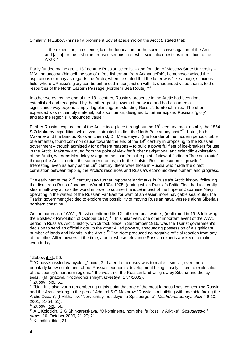Similarly, N Zubov, (himself a prominent Soviet academic on the Arctic), stated that:

…the expedition, in essence, laid the foundation for the scientific investigation of the Arctic and [also] for the first time aroused serious interest in scientific questions in relation to the Arctic.<sup>9</sup>

Partly funded by the great 18<sup>th</sup> century Russian scientist – and founder of Moscow State University – M V Lomonosov, (himself the son of a free fisherman from Arkhangel'sk), Lomonosov voiced the aspirations of many as regards the Arctic, when he stated that the latter was "like a huge, spacious field, where…Russia's glory can be enhanced in conjunction with its unbounded value thanks to the resources of the North Eastern Passage [Northern Sea Route]."<sup>10</sup>

In other words, by the end of the  $18<sup>th</sup>$  century, Russia's presence in the Arctic had been long established and recognised by the other great powers of the world and had assumed a significance way beyond simply flag planting, or extending Russia's territorial limits. The effort expended was not simply material, but also human, designed to further expand Russia's "glory" and tap the region's "unbounded value."

Further Russian exploration of the Arctic took place throughout the  $19<sup>th</sup>$  century, most notably the 1864 S O Makarov expedition, which was instructed "to find the North Pole at any cost."<sup>11</sup> Later, both Makarov and the famous Russian chemist, D I Mendeleyev, (the founder of the modern periodic table of elements), found common cause towards the end of the  $19<sup>th</sup>$  century in proposing to the Russian government – though admittedly for different reasons – to build a powerful fleet of ice-breakers for use in the Arctic. Makarov argued from the point of view for further navigational and scientific exploration of the Arctic, whereas Mendeleyev argued the case from the point of view of finding a "free sea route" through the Arctic, during the summer months, to further bolster Russian economic growth.<sup>1</sup> Interesting: even as early as the 19<sup>th</sup> century, there were those in Russia who made the direct correlation between tapping the Arctic's resources and Russia's economic development and progress.

The early part of the 20<sup>th</sup> century saw further important landmarks in Russia's Arctic history: following the disastrous Russo-Japanese War of 1904-1905, (during which Russia's Baltic Fleet had to literally steam half-way across the world in order to counter the *local* impact of the Imperial Japanese Navy operating in the waters of the Russian Far East for want of an easier, more navigable sea route), the Tsarist government decided to explore the possibility of moving Russian naval vessels along Siberia's northern coastline.<sup>13</sup>

On the outbreak of WW1, Russia confirmed its 12-mile territorial waters, (reaffirmed in 1918 following the Bolshevik Revolution of October 1917).<sup>14</sup> In similar vein, one other important event of the WW1 period in Russia's Arctic history, which took place in September 1916, was the Tsarist government's decision to send an official Note, to the other Allied powers, announcing possession of a significant number of lands and islands in the Arctic.<sup>15</sup> The Note produced no negative official reaction from any of the other Allied powers at the time, a point whose relevance Russian experts are keen to make even today:

l

 $<sup>9</sup>$  Zubov, ibid., 56.</sup>

 $10$  "O novykh issledovaniyakh,,,", ibid., 3. Later, Lomonosov was to make a similar, even more popularly known statement about Russia's economic development being closely linked to exploitation of the country's northern regions: " the wealth of the Russian land will grow by Siberia and the icy seas," (M Ignatova, "Podvodnoi shleyf", Izvestiya, 17/4/2002).

 $11$  Zubov, ibid., 52.

<sup>&</sup>lt;sup>12</sup> Ibid. It is also worth remembering at this point that one of the most famous lines, concerning Russia and the Arctic belong to the pen of Admiral S O Makarov: "Russia is a building with one side facing the Arctic Ocean", (I Mikhailov, "Norvezhtsy i russkiye na Spitsbergene", Mezhdunarodnaya zhizn', 9-10, 2001, 51-54; 51).

 $13$  Zubov, ibid., 58.

<sup>&</sup>lt;sup>14</sup> A L Kolodkin, G G Shinkaretskaya, "O kontinental'nom shel'fe Rossii v Arktike", Gosudarstvo i pravo, 10, October 2009, 21-27; 21.

 $<sup>5</sup>$  Kolodkin, ibid., 21</sup>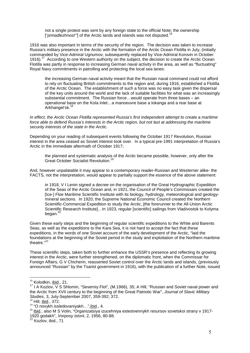not a single protest was sent by any foreign state to the official Note; the ownership ["*prinadlezhnost*"] of the Arctic lands and islands was not disputed.

1916 was also important In terms of the security of the region. The decision was taken to increase Russia's military presence in the Arctic with the formation of the Arctic Ocean Flotilla in July, (initially commanded by Vice-Admiral Ugriumov, subsequently replaced by Vice-Admiral Korovin in October 1916).<sup>17</sup> According to one Western authority on the subject, the decision to create the Arctic Ocean Flotilla was partly in response to increasing German naval activity in the area, as well as "fluctuating" Royal Navy commitments in patrolling and protecting the local sea lanes:

the increasing German naval activity meant that the Russian naval command could not afford to rely on fluctuating British commitments to the region and, during 1916, established a Flotilla of the Arctic Ocean. The establishment of such a force was no easy task given the dispersal of the key units around the world and the lack of suitable facilities for what was an increasingly substantial commitment. The Russian force…would operate from three bases – an operational base on the Kola Inlet…a manoeuvre base a Iokanga and a rear base at Arkhangel'sk.<sup>18</sup>

In effect, the Arctic Ocean Flotilla represented Russia's first independent attempt to create a maritime force able to defend Russia's interests in the Arctic region, but not last at addressing the maritime security interests of the state in the Arctic.

Depending on your reading of subsequent events following the October 1917 Revolution, Russian interest in the area ceased as Soviet interest took over. In a typical pre-1991 interpretation of Russia's Arctic in the immediate aftermath of October 1917;

the planned and systematic analysis of the Arctic became possible, however, only after the Great October Socialist Revolution.<sup>1</sup>

And, however unpalatable it may appear to a contemporary reader-Russian and Westerner alike- the FACTS, not the interpretation, would appear to partially support the essence of the above statement:

in 1918, V I Lenin signed a decree on the organisation of the Great Hydrographic Expedition of the Seas of the Arctic Ocean and, in 1921, the Council of People's Commissars created the [Ice-] Floe Maritime Scientific Institute with its biology, hydrology, meteorological and geologymineral sections. In 1920, the Supreme National Economic Council created the Northern Scientific-Commercial Expedition to study the Arctic, [the forerunner to the All-Union Arctic Scientific Research Institute]…In 1923, regular [scientific] sailings from Vladivostok to Kolyma began.<sup>20</sup>

Given these early steps and the beginning of regular scientific expeditions to the White and Barents Seas, as well as the expeditions to the Kara Sea, it is not hard to accept the fact that these expeditions, in the words of one Soviet account of the early development of the Arctic, "laid the foundations at the beginning of the Soviet period in the study and exploitation of the Northern maritime theatre."<sup>21</sup>

These scientific steps, taken both to further enhance the USSR's presence and reflecting its growing interest in the Arctic, were further strengthened, on the diplomatic front, when the Commissar for Foreign Affairs, G V Chicherin, reasserted Soviet control over the Arctic lands and islands, (previously announced "Russian" by the Tsarist government in 1916), with the publication of a further Note, issued

<sup>&</sup>lt;sup>16</sup> Kolodkin, <u>ibid</u>., 21.

<sup>&</sup>lt;sup>17</sup> I A Kozlov, V S Shlomin, "Severniy Flot", (M.1966), 35; A Hill, "Russian and Soviet naval power and the Arctic from XVII century to the beginning of the Great Patriotic War", Journal of Slavic Military Studies, 3, July-September 2007, 359-392; 372.

 $18$  Hill, ibid., 372.

 $19$  "O novykh issledovaniyakh...", ibid., 4.

<sup>&</sup>lt;sup>20</sup> Ibid.; also M S Volin, "Organizatsiya izucehniya estestvennykh resursov sovetskoi strany v 1917-1920 godakh", Vorposy istorii, 2, 1956, 80-88.

 $21$  Kozlov, ibid., 71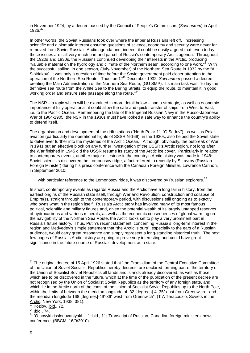in November 1924, by a decree passed by the Council of People's Commissars (Sovnarkom) in April 1926.<sup>22</sup>

In other words, the Soviet Russians took over where the imperial Russians left off. Increasing scientific and diplomatic interest ensuring questions of science, economy and security were never far removed from Soviet Russia's Arctic agenda and, indeed, it could be easily argued that, even today, these issues are still very much part and parcel of Russia's contemporary Arctic agenda. Throughout the 1920s and 1930s, the Russians continued developing their interests in the Arctic, producing "valuable material on the hydrology and climate of the Northern seas", according to one work.<sup>23</sup> With the successful sailing, in one season, (July-November) of the Northern Sea Route in 1932 by the "A Sibiriakov", it was only a question of time before the Soviet government paid closer attention to the operation of the Northern Sea Route. Thus, on 17th December 1932, Sovnarkom passed a decree, creating the Main Administration of the Northern Sea Route, (GU SMP). Its main task was: "to lay the definitive sea route from the White Sea to the Bering Straits, to equip the route, to maintain it in good, working order and ensure safe passage along the route."

The NSR – a topic which will be examined in more detail below – had a strategic, as well as economic importance: if fully operational, it could allow the safe and quick transfer of ships from West to East, i.e. to the Pacific Ocean. Remembering the fate of the Imperial Russian Navy in the Russo-Japanese War of 1904-1905, the NSR in the 1930s must have looked a safe way to enhance the country's ability to defend itself.

The organisation and development of the drift stations ("North Polar-1", "G Sedov"), as well as Polar aviation (particularly the operational flights of SSSR N-169), in the 1930s, also helped the Soviet state to delve ever further into the mysteries of the Arctic Ocean. Although, obviously, the outbreak of War in 1941 put an effective block on any further investigation of the USSR's Arctic region, not long after the War finished in 1945 did the USSR resume its study of the Arctic ice cover. Particularly in relation to contemporary events, another major milestone in the country's Arctic history was made in 1948: Soviet scientists discovered the Lomonosov ridge, a fact referred to recently by S Lavrov (Russian Foreign Minister) during his press conference with the Canadian Foreign Minister, Lawrence Cannon, in September 2010:

with particular reference to the Lomonosov ridge, it was discovered by Russian explorers. $^{25}$ 

In short, contemporary events as regards Russia and the Arctic have a long tail in history, from the earliest origins of the Russian state itself, through War and Revolution, construction and collapse of Empire(s), straight through to the contemporary period, with discussions still ongoing as to exactly who owns what in the region itself. Russia's Arctic story has involved many of its most famous political, scientific and military figures and, given the potential wealth of its largely untapped reserves of hydrocarbons and various minerals, as well as the economic consequences of global warming on the navigability of the Northern Sea Route, the Arctic looks set to play a very prominent part in Russia's future history. Thus, Putin's recent statement, concerning Russia's long-term interest in the region and Medvedev's simple statement that "the Arctic is ours", especially to the ears of a Russian audience, would carry great resonance and simply represent a long-standing historical truth. The next few pages of Russia's Arctic history are going to prove very interesting and could have great significance in the future course of Russia's development as a state.

Kozlov, ibid., 72.

 $^{24}$  Ibid., 74.

 $22$  The original decree of 15 April 1926 stated that "the Praesidium of the Central Executive Committee of the Union of Soviet Socialist Republics hereby decrees: are declared forming part of the territory of the Union of Socialist Soviet Republics all lands and islands already discovered, as well as those which are to be discovered in the future, which at the time of the publication of the present decree are not recognised by the Union of Socialist Soviet Republics as the territory of any foreign state, and which lie in the Arctic north of the coast of the Union of Socialist Soviet Republics up to the North Pole, within the limits of between the meridian longitude of 32 [degrees]-4'-35" east from Greenwich...and the meridian longitude 168 [degrees]-49'-36" west from Greenwich", (T A Taracouzio, Soviets in the Arctic, New York, 1938, 381).

 $25\overline{{}^{25}}$  "O novykh issledovaniyakh...", ibid., 11; Transcript of Russian, Canadian foreign ministers' news conference, (BBCM, 16/9/2010).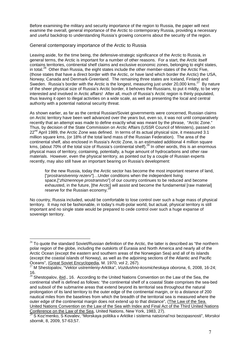Before examining the military and security importance of the region to Russia, the paper will next examine the overall, general importance of the Arctic to contemporary Russia, providing a necessary and useful backdrop to understanding Russia's growing concerns about the security of the region.

#### General contemporary importance of the Arctic to Russia

Leaving aside, for the time being, the defensive-strategic significance of the Arctic to Russia, in general terms, the Arctic is important for a number of other reasons. For a start, the Arctic itself contains territories, continental shelf claims and exclusive economic zones, belonging to eight states, in total.<sup>26</sup> Other than Russia, the eight states include the other member-states of the Arctic Five, (those states that have a direct border with the Arctic, or have land which border the Arctic) the USA, Norway, Canada and Denmark-Greenland. The remaining three states are Iceland, Finland and Sweden. Russia's border with the Arctic is the longest, measuring just under 20,000 kms. $^{27}$  By nature of the sheer physical size of Russia's Arctic border, it behoves the Russians, to put it mildly, to be very interested and involved in Arctic affairs! After all, much of Russia's Arctic region is thinly populated, thus leaving it open to illegal activities on a wide scale, as well as presenting the local and central authority with a potential national security threat.

As shown earlier, as far as the central Russian/Soviet governments were concerned, Russian claims on Arctic territory have been well advanced over the years but, even so, it was not until comparatively recently that an attempt was made to define exactly what was meant by the phrase, "Arctic Zone." Thus, by decision of the State Commission on Arctic Affairs (USSR Council of Ministers), passed on  $22<sup>nd</sup>$  April 1989, the Arctic Zone was defined. In terms of its actual physical size, it measured 3.1 million square kms, (or 18% of the total land mass of the Russian Federation). The area of the continental shelf, also enclosed in Russia's Arctic Zone, is an estimated additional 4 million square kms, (about 70% of the total size of Russia's continental shelf).<sup>28</sup> In other words, this is an enormous physical mass of territory, containing, potentially, a huge amount of hydrocarbons and other raw materials. However, even the physical territory, as pointed out by a couple of Russian experts recently, may also still have an important bearing on Russia's development:

for the new Russia, today the Arctic sector has become the most important reserve of land, ["prostranstvenniy rezerv"]…Under conditions when the independent living space,["zhiznennoye prostranstvo"] of our country continues to be reduced and become exhausted, in the future, [the Arctic] will assist and become the fundamental [raw material] reserve for the Russian economy.<sup>29</sup>

No country, Russia included, would be comfortable to lose control over such a huge mass of physical territory. It may not be fashionable, in today's multi-polar world, but actual, physical territory is still important and no single state would be prepared to cede control over such a huge expanse of sovereign territory.

 $\overline{a}$  $26$  To quote the standard Soviet/Russian definition of the Arctic, the latter is described as "the northern polar region of the globe, including the outskirts of Eurasia and North America and nearly all of the Arctic Ocean (except the eastern and southern areas of the Norwegian Sea) and all of its islands (except the coastal islands of Norway), as well as the adjoining sections of the Atlantic and Pacific Oceans", (Great Soviet Encyclopedia, M. 1970, vol 2, 267).

<sup>27</sup> M Shestopalov, "Vektor ustremleniy-Arktika", Vozdushno-kosmicheskaya oborona, 6, 2008, 16-24; 16.

 $28$  Shestopalov, ibid., 16. According to the United Nations Convention on the Law of the Sea, the continental shelf is defined as follows: "the continental shelf of a coastal State comprises the sea-bed and subsoil of the submarine areas that extend beyond its territorial sea throughout the natural prolongation of its land territory to the outer edge of the continental margin, or to a distance of 200 nautical miles from the baselines from which the breadth of the territorial sea is measured where the outer edge of the continental margin does not extend up to that distance", (The Law of the Sea. United Nations Convention on the Law of the Sea with Index and Final Act of the Third United Nations Conference on the Law of the Sea, United Nations, New York, 1983, 27).

<sup>29</sup> S Koz'menko, S Kovalev, "Morskaya politika v Arktike i sistema natsional'noi bezopasnosti", Morskoi sbornik, 8, 2009, 57-63;57.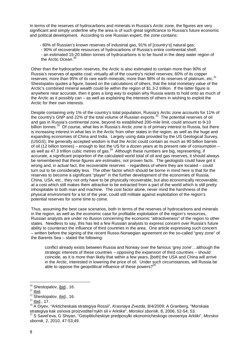In terms of the reserves of hydrocarbons and minerals in Russia's Arctic zone, the figures are very significant and simply underline why the area is of such great significance to Russia's future economic and political development. According to one Russian expert, the zone contains:

- 80% of Russian's known reserves of industrial gas, 91% of [country's] natural gas;

- 90% of recoverable resources of hydrocarbons of Russia's entire continental shelf;
- an estimated 15-20 billion tonnes of hydrocarbons is to be found in the deep water region of the Arctic Ocean.<sup>30</sup>

Other than the hydrocarbon reserves, the Arctic is also estimated to contain more than 90% of Russia's reserves of apatite coal; virtually all of the country's nickel reserves; 60% of its copper reserves; more than 95% of its rare earth minerals; more than 98% of its reserves of platinum, etc.<sup>31</sup> Shestopalov quotes a figure, based on the calculations of others, that the total monetary value of the Arctic's combined mineral wealth could lie within the region of \$1.3-2 trillion. If the latter figure is anywhere near accurate, then it goes a long way to explain why Russia wants to hold onto as much of the Arctic as it possibly can – as well as explaining the interests of others in wishing to exploit the Arctic for their own interests.

Despite containing only 1% of the country's total population, Russia's Arctic zone accounts for 11% of the country's GNP and 22% of the total volume of Russian exports.<sup>32</sup> The potential reserves of oil and gas in Russia's continental zone, beyond its established 200-mile limit, could amount to 9-10 billion tonnes.<sup>33</sup> Of course, what lies in Russia's Arctic zone is of primary interest to Russia, but there is increasing interest in what lies in the Arctic from other states in the region, as well as the huge and expanding economies of China and India. Largely using data provided by the US Geological Survey, (USGS), the generally accepted wisdom is that the Arctic could contain as much as 90 billion barrels of oil (12 billion tonnes) – enough to last the US for a dozen years at its present rate of consumption – as well as 47.3 trillion cubic metres of gas.<sup>34</sup> Although these numbers are big, representing, if accurate, a significant proportion of the calculated world total of oil and gas reserves, it should always be remembered that these figures are estimates, not proven facts. The geologists could have got it wrong and, in actual fact, the recoverable reserves - regardless of where they are located – could turn out to be considerably less. The other factor which should be borne in mind here is that for the reserves to become a significant "player" in the further development of the economies of Russia. China, USA, etc., they not only have to be physically recoverable, but also economically recoverable, at a cost which still makes them attractive to be extracted from a part of the world which is still pretty inhospitable to both man and machine. The cost factor alone, never mind the harshness of the physical environment for a lot of the year, could still militate against exploitation of the region's potential reserves for some time to come.

Thus, assuming the best case scenarios, both in terms of the reserves of hydrocarbons and minerals in the region, as well as the economic case for profitable exploitation of the region's resources, Russian analysts are under no illusion concerning the economic "attractiveness" of the region to other states. Needless to say, this has led a few Russian analysts to express concern over Russia's future ability to counteract the influence of third countries in the area. One article expressing such concern – written before the signing of the recent Russo-Norwegian agreement on the so-called "grey zone" of the Barents Sea – stated the following:

conflict already exists between Russia and Norway over the famous 'grey zone'…although the strategic interests of these countries – opposing the expansion of third countries – should coincide, as it is more than likely that within a few years, [both] the USA and China will arrive in the Arctic, interested in lowering the price of oil. Under such circumstances, will Russia be able to oppose the geopolitical influence of these powers? $35$ 

 $\overline{a}$ <sup>30</sup> Shestopalov, *ibid.*, 16.

 $31$  Ibid.

 $32$  Shestopalov, ibid., 16.

<sup>33</sup> Ibid., 17.

 $34$  A Diyev, "Arkticheskaia strategiya Rossii", Krasnaya Zvezda, 8/4/2009; A Granberg, "Morskaia strategiya kak osnova proizvoditel'nykh sil v Arktike", Morskoi sbornik, 8, 2006, 52-54; 53.

<sup>&</sup>lt;sup>35</sup> S Savel'eva, G Shiyan, "Geopliticheskiye predposylki ekonomicheskogo osvoeniya Arktiki", Morskoi sbornik, 2, 2010, 47-53;49.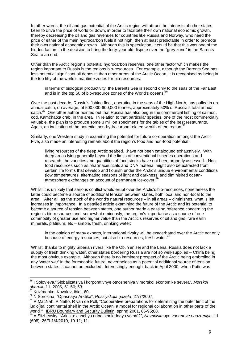In other words, the oil and gas potential of the Arctic region will attract the interests of other states, keen to drive the price of world oil down, in order to facilitate their own national economic growth, thereby decreasing the oil and gas revenues for countries like Russia and Norway, who need the price of either of the main hydrocarbon fuels if not high, then at least predictable in order to promote their own national economic growth. Although this is speculation, it could be that this was one of the hidden factors in the decision to bring the forty-year old dispute over the "grey zone" in the Barents Sea to an end.

Other than the Arctic region's potential hydrocarbon reserves, one other factor which makes the region important to Russia is the regions bio-resources. For example, although the Barents Sea has less potential significant oil deposits than other areas of the Arctic Ocean, it is recognised as being in the top fifty of the world's maritime zones for bio-resources:

in terms of biological productivity, the Barents Sea is second only to the seas of the Far East and is in the top 50 of bio-resource zones of the World's oceans. $\dot{3}$ 

Over the past decade, Russia's fishing fleet, operating in the seas of the High North, has pulled in an annual catch, on average, of 500,000-600,000 tonnes, approximately 50% of Russia's total annual catch.<sup>37</sup> One other author pointed out that Russia has also begun the commercial fishing of salmon, cod, Kamchatka crab, in the area. In relation to that particular species, one of the most commercially valuable, the plan is to produce some 3 million specimens for the tables of the best restaurants. Again, an indication of the potential non-hydrocarbon related wealth of the region.<sup>38</sup>

Similarly, one Western study in examining the potential for future co-operation amongst the Arctic Five, also made an interesting remark about the region's food and non-food potential:

living resources of the deep Arctic seabed…have not been catalogued exhaustively. With deep areas lying generally beyond the limits of conventional fisheries operations and research, the varieties and quantities of food stocks have not been properly assessed…Nonfood resources such as pharmaceuticals and DNA material might also be extracted from certain life forms that develop and flourish under the Arctic's unique environmental conditions (low temperatures, alternating seasons of light and darkness, and diminished oceanatmosphere exchanges on account of permanent ice-cover.<sup>39</sup>

Whilst it is unlikely that serious conflict would erupt over the Arctic's bio-resources, nonetheless the latter could become a source of additional tension between states, both local and non-local to the area. After all, as the stock of the world's natural resources – in all areas – diminishes, what is left increases in importance. In a detailed article examining the future of the Arctic and its potential to become a source of tension between states, one author made a passing reference concerning the region's bio-resources and, somewhat ominously, the region's importance as a source of one commodity of greater use and higher value than the Arctic's reserves of oil and gas, rare earth minerals, platinum, etc – simple, fresh, drinking water:

in the opinion of many experts, international rivalry will be exacerbated over the Arctic not only because of energy resources, but also bio-resources, fresh water. $4$ 

Whilst, thanks to mighty Siberian rivers like the Ob, Yenisei and the Lena, Russia does not lack a supply of fresh drinking water, other states bordering Russia are not so well-supplied – China being the most obvious example. Although there is no imminent prospect of the Arctic being embroiled in any 'water war' in the foreseeable future, nevertheless as a potential additional source of tension between states, it cannot be excluded. Interestingly enough, back in April 2000, when Putin was

 $\overline{a}$ <sup>36</sup> I Solov'eva,"Globalizatsiya i korporativnye otnosheniya v morskoi ekonomike severa", Mors*koi* sbornik, 11, 2006, 51-56; 53.

 $37$  Koz'menko, Kovalev, ibid., 60.

 $38$  N Sorokina, "Opasnaya Arktika", Rossiyskaia gazeta, 27/7/2007.

 $39$  R MacNab, P Netto, R van de Poll, "Cooperative preparations for determining the outer limit of the judic(i)al continental shelf in the Arctic Ocean: a model for regional collaboration in other parts of the world?" IBRU Boundary and Security Bulletin, spring 2001, 86-95;88.

<sup>40</sup> A Slizhevsky, "Arktika: eshchyo odna 'kholodnaya voina'?", Nezavisimoye voennoye obozreniye, 11 (608), 26/3-1/4/2010, 10-11; 11.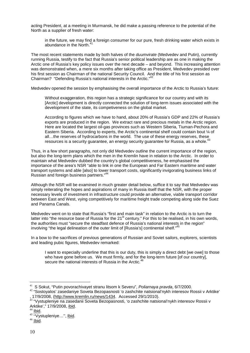acting President, at a meeting in Murmansk, he did make a passing reference to the potential of the North as a supplier of fresh water:

in the future, we may find a foreign consumer for our pure, fresh drinking water which exists in abundance in the North.<sup>4</sup>

The most recent statements made by both halves of the *duumvirate* (Medvedey and Putin), currently running Russia, testify to the fact that Russia's senior political leadership are as one in making the Arctic one of Russia's key policy issues over the next decade – and beyond. This increasing attention was demonstrated when, a mere six months after taking office as President, Medvedev presided over his first session as Chairman of the national Security Council. And the title of his first session as Chairman? "Defending Russia's national interests in the Arctic."4

Medvedev opened the session by emphasising the overall importance of the Arctic to Russia's future:

Without exaggeration, this region has a strategic significance for our country and with its [Arctic] development is directly connected the solution of long-term issues associated with the development of the state, its competiveness on the global market.

According to figures which we have to hand, about 20% of Russia's GDP and 22% of Russia's exports are produced in the region. We extract rare and precious metals in the Arctic region. Here are located the largest oil-gas provinces such as Western Siberia, Tiuman-Pechora and Eastern Siberia. According to experts, the Arctic's continental shelf could contain bout % of all…the reserves of hydrocarbons in the world. The use of these energy reserves, these resources is a security guarantee, an energy security guarantee for Russia, as a whole.<sup>43</sup>

Thus, in a few short paragraphs, not only did Medvedev outline the current importance of the region, but also the long-term plans which the men in the Kremlin have in relation to the Arctic. In order to maintain what Medvedev dubbed the country's global competitiveness, he emphasised the importance of the area's NSR "able to link in one the European and Far Eastern maritime and water transport systems and able [also] to lower transport costs, significantly invigorating business links of Russian and foreign business partners."4

Although the NSR will be examined in much greater detail below, suffice it to say that Medvedev was simply reiterating the hopes and aspirations of many in Russia itself that the NSR, with the proper necessary levels of investment in infrastructure could provide an alternative, viable transport corridor between East and West, vying competitively for maritime freight trade competing along side the Suez and Panama Canals.

Medvedev went on to state that Russia's "first and main task" in relation to the Arctic is to turn the latter into "the resource base of Russia for the 21<sup>st</sup> century." For this to be realised, in his own words, the authorities must "secure the steadfast defence of Russia's national interests in the region" involving "the legal delineation of the outer limit of [Russia's] continental shelf."<sup>45</sup>

In a bow to the sacrifices of previous generations of Russian and Soviet sailors, explorers, scientists and leading pubic figures, Medvedev remarked:

I want to especially underline that this is our duty, this is simply a direct debt [we owe] to those who have gone before us. We must firmly, and for the long-term future [of our country], secure the national interests of Russia in the Arctic.<sup>4</sup>

 41 S Sokut, "Putin povorachivayet stranu litsom k Severu", Poliarnaya pravda, 6/7/2000.

<sup>42</sup> "Sostoyalos' zasedaniye Soveta Bezopasnosti 'o zashchite natsional'nykh interesov Rossii v Arktike' , 17/9/2008, (http://www.kremlin.ru/news/1434. Accessed 29/1/2010).

<sup>43</sup> "Vystupleniye na zasedanii Soveta Bezopasnosti, 'o zashchite natsional'nykh interesov Rossii v Arktike'," 17/9/2008, ibid.

 $44$  Ibid.

<sup>&</sup>lt;sup>45 "</sup>Vystupleniye...", lbid.

 $46$  Ibid.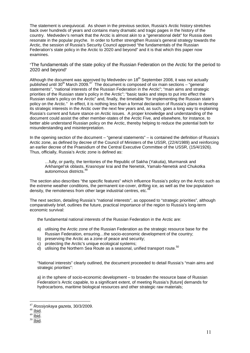The statement is unequivocal. As shown in the previous section, Russia's Arctic history stretches back over hundreds of years and contains many dramatic and tragic pages in the history of the country. Medvedev's remark that the Arctic is almost akin to a "generational debt" for Russia does resonate in the popular psyche. In order to further strengthen Russia's general strategy towards the Arctic, the session of Russia's Security Council approved "the fundamentals of the Russian Federation's state policy in the Arctic to 2020 and beyond" and it is that which this paper now examines.

"The fundamentals of the state policy of the Russian Federation on the Arctic for the period to 2020 and beyond"

Although the document was approved by Medvedev on  $18<sup>th</sup>$  September 2008, it was not actually published until 30<sup>th</sup> March 2009.<sup>47</sup> The document is composed of six main sections – "general statements", "national interests of the Russian Federation in the Arctic"; "main aims and strategic priorities of the Russian state's policy in the Arctic"; "basic tasks and steps to put into effect the Russian state's policy on the Arctic" and, finally, the timetable "for implementing the Russian state's policy on the Arctic." In effect, it is nothing less than a formal declaration of Russia's plans to develop its strategic interests in the Arctic over the next few years and, as such, goes a long way to explaining Russia's current and future stance on Arctic issues. A proper knowledge and understanding of the document could assist the other member-states of the Arctic Five, and elsewhere, for instance, to better able understand Russian policy on the Arctic, thereby helping to reduce the potential both for misunderstanding and misinterpretation.

In the opening section of the document – "general statements" – is contained the definition of Russia's Arctic zone, as defined by decree of the Council of Ministers of the USSR, (22/4/1989) and reinforcing an earlier decree of the Praesidium of the Central Executive Committee of the USSR, (15/4/1926). Thus, officially, Russia's Arctic zone is defined as:

…fully, or partly, the territories of the Republic of Sakha (Yakutia), Murmansk and Arkhangel'sk oblasts, Krasnoyar krai and the Nenetsk, Yamalo-Nenetsk and Chukotka autonomous districts.<sup>48</sup>

The section also describes "the specific features" which influence Russia's policy on the Arctic such as the extreme weather conditions, the permanent ice-cover, drifting ice, as well as the low population density, the remoteness from other large industrial centres, etc.

The next section, detailing Russia's "national interests", as opposed to "strategic priorities", although comparatively brief, outlines the future, practical importance of the region to Russia's long-term economic survival:

the fundamental national interests of the Russian Federation in the Arctic are:

- a) utilising the Arctic zone of the Russian Federation as the strategic resource base for the Russian Federation, ensuring…the socio-economic development of the country;
- b) preserving the Arctic as a zone of peace and security;
- c) protecting the Arctic's unique ecological systems;
- d) utilising the Northern Sea Route as a seasonal, unified transport route.<sup>50</sup>

"National interests" clearly outlined, the document proceeded to detail Russia's "main aims and strategic priorities":

a) in the sphere of socio-economic development – to broaden the resource base of Russian Federation's Arctic capable, to a significant extent, of meeting Russia's [future] demands for hydrocarbons, maritime biological resources and other strategic raw materials;

<sup>47</sup> Rossiyskaya gazeta, 30/3/2009.

 $^{48}_{49}$  Ibid.

 $^{49}$  Ibid.<br> $^{50}$  Ibid.

Ibid.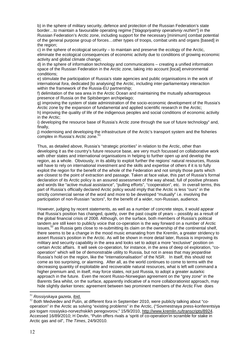b) in the sphere of military security, defence and protection of the Russian Federation's state border...to maintain a favourable operating regime ["blagoprivatniy operativniy rezhim"] in the Russian Federation's Arctic zone, including support for the necessary [minimum] combat potential of the general purpose group of forces…other types of troops, combat units and organs [based] in the region;

c) in the sphere of ecological security – to maintain and preserve the ecology of the Arctic, eliminate the ecological consequences of economic activity due to conditions of growing economic activity and global climate change;

d) in the sphere of information technology and communications – creating a unified information space of the Russian Federation in the Arctic zone, taking into account [local] environmental conditions;

e) stimulate the participation of Russia's state agencies and public organisations in the work of international *fora*, dedicated [to analysing] the Arctic, including inter-parliamentary interaction within the framework of the Russia-EU partnership;

f) delimitation of the sea area in the Arctic Ocean and maintaining the mutually advantageous presence of Russia on the Spitsbergen archipelago;

g) improving the system of state administration of the socio-economic development of the Russia's Arctic zone by the expansion of fundamental and applied scientific research in the Arctic;

h) improving the quality of life of the indigenous peoples and social conditions of economic activity in the Arctic;

i) developing the resource base of Russia's Arctic zone through the sue of future technology" and, finally,

j) modernising and developing the infrastructure of the Arctic's transport system and the fisheries complex in Russia's Arctic zone.<sup>5</sup>

Thus, as detailed above, Russia's "strategic priorities" in relation to the Arctic, other than developing it as the country's future resource base, are very much focussed on collaborative work with other states and international organisations in helping to further open up and develop the region, as a whole. Obviously, in its ability to exploit further the regions' natural resources, Russia will have to rely on international investment and the skills and expertise of others if it is to fully exploit the region for the benefit of the whole of the Federation and not simply those parts which are closest to the point of extraction and passage. Taken at face value, this part of Russia's formal declaration of its Arctic policy is an assured assessment of the way ahead, full of positive phrases and words like "active mutual assistance", "pulling efforts", "cooperation", etc. In overall terms, this part of Russia's officially declared Arctic policy would imply that the Arctic is less "ours" in the strictly commercial sense of the word and more to be developed "mutually" i.e. involving the participation of non-Russian "actors", for the benefit of a wider, non-Russian, audience.

However, judging by recent statements, as well as a number of concrete steps, it would appear that Russia's position has changed, quietly, over the past couple of years – possibly as a result of the global financial crisis of 2008. Although, on the surface, both members of Russia's political tandem are still keen to publicly voice that co-operation is the way forward on a number of Arctic issues,<sup>52</sup> as Russia gets close to re-submitting its claim on the ownership of the continental shelf, there seems to be a change in the mood music emanating from the Kremlin, a greater stridency to assert Russia's position in the Arctic. As will be shown in more detail later, Russia is improving its military and security capability in the area and looks set to adopt a more "exclusive" position on certain Arctic affairs. It will seek co-operation, for instance, in the area of deep oil exploration, "cooperation" which will be of demonstrable utility to Russia, but not in areas that may jeopardise Russia's hold on the region, like the "internationalisation" of the NSR. In itself, this should not come as too surprising, or alarming. After all, as the world continues to come to terms with the decreasing quantity of exploitable and recoverable natural resources, what is left will command a higher premium and, in itself, may force states, not just Russia, to adopt a greater autarkic approach in the future. Even the recent Russo-Norwegian agreement on the "grey zone" in the Barents Sea whilst, on the surface, apparently indicative of a more collaborationist approach, may hide slightly darker tones: agreement between two prominent members of the Arctic Five does

<sup>&</sup>lt;sup>51</sup> Rossiyskaya gazeta, <u>ibid.</u>

 $52$  Both Medvedev and Putin, at different fora in September 2010, were publicly talking about "cooperation" in the Arctic as solving "existing problems" in the Arctic, ("Sovmestnaya press-konferentsiya poi togam rossiysko-norvezhskikh peregovorov," 15/9/2010, http://www.kremlin.ru/transcripts/8924. Accessed 16/89/2010; H Devlin, "Putin offers rivals a 'spriti of co-operation'in scramble for stake in Arctic gas and oil", The Times, 24/9/2010.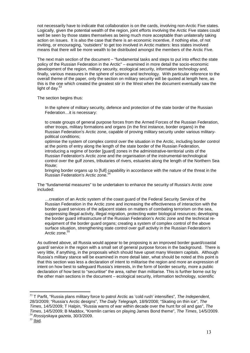not necessarily have to indicate that collaboration is on the cards, involving non-Arctic Five states. Logically, given the potential wealth of the region, joint efforts involving the Arctic Five states could well be seen by those states themselves as being much more acceptable than unilaterally taking action on issues. It is also the case that there is an economic incentive, if nothing else, of not inviting, or encouraging, "outsiders" to get too involved in Arctic matters: less states involved means that there will be more wealth to be distributed amongst the members of the Arctic Five.

The next main section of the document – "fundamental tasks and steps to put into effect the state policy of the Russian Federation in the Arctic" – examined in more detail the socio-economic development of the region, military security, ecological security, information technology and, finally, various measures in the sphere of science and technology. With particular reference to the overall theme of the paper, only the section on military security will be quoted at length here, as this is the one which created the greatest stir in the West when the document eventually saw the light of day.<sup>53</sup>

The section begins thus:

In the sphere of military security, defence and protection of the state border of the Russian Federation…it is necessary:

to create groups of general purpose forces from the Armed Forces of the Russian Federation, other troops, military formations and organs (in the first instance, border organs) in the Russian Federation's Arctic zone, capable of proving military security under various militarypolitical conditions;

optimise the system of complex control over the situation in the Arctic, including border control at the points of entry along the length of the state border of the Russian Federation, introducing a regime of border [guard] zones in the administrative-territorial units of the Russian Federation's Arctic zone and the organisation of the instrumental-technological control over the gulf zones, tributaries of rivers, estuaries along the length of the Northern Sea Route;

bringing border organs up to [full] capability in accordance with the nature of the threat in the Russian Federation's Arctic zone.<sup>54</sup>

The "fundamental measures" to be undertaken to enhance the security of Russia's Arctic zone included:

…creation of an Arctic system of the coast guard of the Federal Security Service of the Russian Federation in the Arctic zone and increasing the effectiveness of interaction with the border guard services of the adjacent states on matters of combating terrorism on the sea, suppressing illegal activity, illegal migration, protecting water biological resources; developing the border guard infrastructure of the Russian Federation's Arctic zone and the technical reequipment of the border guard organs; creating a system of complex control of the above surface situation, strengthening state control over gulf activity in the Russian Federation's Arctic zone.<sup>55</sup>

As outlined above, all Russia would appear to be proposing is an improved border guard/coastal guard/ service in the region with a small set of general purpose forces in the background. There is very little, if anything, in the proposals which should have upset many Western capitals. Although Russia's military stance will be examined in more detail later, what should be noted at this point is that this section was less a declaration of intent to militarise the region and more an expression of intent on how best to safeguard Russia's interests, in the form of border security, more a public declaration of how best to "securitise" the area, rather than militarise. This is further borne out by the other main sections in the document – ecological security, information technology, scientific

 $\overline{a}$  $53$  T Parfit, "Russia plans military force to patrol Arctic as 'cold rush' intensifies", The Independent, 28/3/2009; "Russia's Arctic designs", The Daily Telegraph, 18/9/2008; "Skating on thin ice", The Times, 14/5/2009; T Halpin, "Russia warns of war within decade over the hunt for oil and gas", The Times, 14/5/2009; B Maddox, "Kremlin carries on playing James Bond theme", The Times, 14/5/2009. <sup>54</sup> Rossiyskaya gazeta, 30/3/2009.

 $55$  Ibid.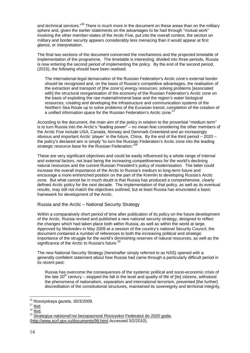and technical services."<sup>56</sup> There is much more in the document on these areas than on the military sphere and, given the earlier statements on the advantages to be had through "mutual work" involving the other member-states of the Arctic Five, put into the overall context, the section on military and border security appears considerably less menacing than it would appear at first glance, or interpretation.

The final two sections of the document concerned the mechanisms and the projected timetable of implementation of the programme. The timetable is interesting: divided into three periods, Russia is now entering the second period of implementing the policy. By the end of the second period, (2015), the following should have been realised:

The international-legal demarcation of the Russian Federation's Arctic zone's external border should be recognised and, on the basis of Russia's competitive advantages, the realisation of the extraction and transport of [the zone's] energy resources; solving problems [associated with] the structural reorganisation of the economy of the Russian Federation's Arctic zone on the basis of exploiting the raw material/mineral base and the region's water biological resources; creating and developing the infrastructure and communication systems of the Northern Sea Route up to solve problems of the Eurasian transit; completion of the creation of a unified information space for the Russian Federation's Arctic zone.<sup>57</sup>

According to the document, the main aim of the policy in relation to the proverbial "medium term" is to turn Russia into the Arctic's "leading power" – no mean feat considering the other members of the Arctic Five include USA, Canada, Norway and Denmark-Greenland-and an increasingly obvious and important Arctic 'player' in the future, China. By the end of the third period – 2020 – the policy's declared aim is simply "to turn the Russian Federation's Arctic zone into the leading strategic resource base for the Russian Federation."

These are very significant objectives and could be easily influenced by a whole range of internal and external factors, not least being the increasing competitiveness for the world's declining natural resources and the current Russian President's policy of modernisation. The latter could increase the overall importance of the Arctic to Russia's medium to long-term future and encourage a more entrenched position on the part of the Kremlin to developing Russia's Arctic zone. But what cannot be in much doubt is that Russia has produced a comprehensive, clearly defined Arctic policy for the next decade. The implementation of that policy, as well as its eventual results, may still not match the objectives outlined, but at least Russia has enunciated a basic framework for development of the Arctic.

Russia and the Arctic – National Security Strategy

Within a comparatively short period of time after publication of its policy on the future development of the Arctic, Russia revised and published a new national security strategy, designed to reflect the changes which had taken place both within Russia, as well as within the world at large. Approved by Medvedev in May 2009 at a session of the country's national Security Council, the document contained a number of references to both the increasing political and strategic importance of the struggle for the world's diminishing reserves of natural resources, as well as the significance of the Arctic to Russia's future.<sup>5</sup>

The new National Security Strategy (hereinafter simply referred to as NSS) opened with a generally confident statement about how Russia had came through a particularly difficult period in its recent past:

Russia has overcome the consequences of the systemic political and socio-economic crisis of the late 20<sup>th</sup> century – stopped the fall in the level and quality of life of [its] citizens, withstood the phenomena of nationalism, separatism and international terrorism, prevented [the further] discreditation of the constitutional structures, maintained its sovereignty and territorial integrity,

<sup>59</sup> Strategiya natsional'noi bezopasnosti Rossiyskoi Federatsii do 2020 goda, (http://www.scrf.gov.ru/documents/99.html Accessed 3/2/2010).

 $\overline{a}$ <sup>56</sup> Rossiyskaya gazeta, 30/3/2009.

 $57$  Ibid.

 $58$   $\overline{I$  bid.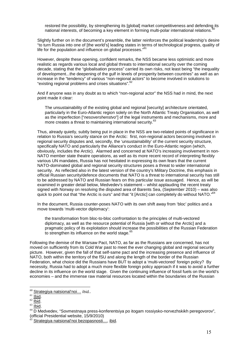restored the possibility, by strengthening its [global] market competitiveness and defending its national interests, of becoming a key element in forming multi-polar international relations.

Slightly further on in the document's preamble, the latter reinforces the political leadership's desire "to turn Russia into one of [the world's] leading states in terms of technological progress, quality of life for the population and influence on global processes." $61$ 

However, despite these opening, confident remarks, the NSS became less optimistic and more realistic as regards various local and global threats to international security over the coming decade, stating that the "globalisation process" carried its own risks, not least being "the inequality of development...the deepening of the gulf in levels of prosperity between countries" as well as an increase in the "tendency" of various "non-regional actors" to become involved in solutions to "existing regional problems and crises situations".<sup>62</sup>

And if anyone was in any doubt as to which "non-regional actor" the NSS had in mind, the next point made it clear:

The unsustainability of the existing global and regional [security] architecture orientated, particularly in the Euro-Atlantic region solely on the North Atlantic Treaty Organisation, as well as the imperfection ["nesovershenstvo"] of the legal instruments and mechanisms, more and more creates a threat to maintaining international security.<sup>63</sup>

Thus, already quietly, subtly being put in place in the NSS are two-related points of significance in relation to Russia's security stance on the Arctic: first, non-regional actors becoming involved in regional security disputes and, secondly, the 'unsustainability' of the current security structure, specifically NATO and particularly the Alliance's conduct in the Euro-Atlantic region (which, obviously, includes the Arctic). Alarmed and concerned at NATO's increasing involvement in non-NATO member state theatre operations, as well as its more recent record of interpreting flexibly various UN mandates, Russia has not hesitated in expressing its own fears that the current NATO-dominated global and regional security structures poses a threat to wider international security. As reflected also in the latest version of the country's Military Doctrine, this emphasis in official Russian security/defence documents that NATO is a threat to international security has still to be addressed by NATO and Russian fears on this particular issue assuaged. Hence, as will be examined in greater detail below, Medvedev's statement – whilst applauding the recent treaty signed with Norway on resolving the disputed area of Barents Sea, (September 2010) – was also quick to point out that "the Arctic is ours" and that "it [Arctic] can completely do without NATO."<sup>64</sup>

In the document, Russia counter-poses NATO with its own shift away from 'bloc' politics and a move towards 'multi-vector diplomacy':

the transformation from bloc-to-bloc confrontation to the principles of multi-vectored diplomacy, as well as the resource potential of Russia [with or without the Arctic] and a pragmatic policy of its exploitation should increase the possibilities of the Russian Federation to strengthen its influence on the world stage. $65$ 

Following the demise of the Warsaw Pact, NATO, as far as the Russians are concerned, has not moved on sufficiently from its Cold War past to meet the ever changing global and regional security picture. However, given the fall of that self-same pact and the increasing presence and influence of NATO, both within the territory of the fSU and along the length of the border of the Russian Federation, what choice did the Russians have BUT to adopt a 'multi-vectored' foreign policy? By necessity, Russia had to adopt a much more flexible foreign policy approach if it was to avoid a further decline in its influence on the world stage. Given the continuing influence of fossil fuels on the world's economies – and the immense raw material resources located within the boundaries of the Russian

<sup>&</sup>lt;sup>60</sup> Strategiya natsional'noi... ibid..

 $61$  Ibid.

 $62$  Ibid.

 $63$  Ibid.

 $64$  D Medvedev, "Sovmestnava press-konferentsiya po itogam rossiysko-norvezhskikh peregovorov", (official Presidential website, 15/9/2010)

Strategiya natsional'noi bezopasnosti..., ibid.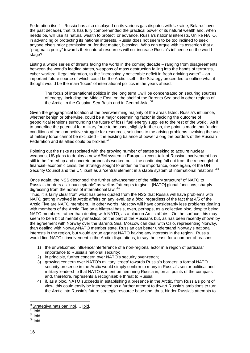Federation itself – Russia has also displayed (in its various gas disputes with Ukraine, Belarus' over the past decade), that its has fully comprehended the practical power of its natural wealth and, when needs be, will use its natural wealth to protect, or advance, Russia's national interests. Unlike NATO, in advancing or protecting its national interests, Russia does not seem to be too inclined to seek anyone else's prior permission or, for that matter, blessing. Who can argue with its assertion that a "pragmatic policy" towards their natural resources will not increase Russia's influence on the world stage?

Listing a whole series of threats facing the world in the coming decade – ranging from disagreements between the world's leading states, weapons of mass destruction falling into the hands of terrorists, cyber-warfare, illegal migration, to the "increasingly noticeable deficit in fresh drinking water" – an important future source of which could be the Arctic itself – the Strategy proceeded to outline what it thought would be the main 'focus' of international politics in the years ahead:

The focus of international politics in the long term…will be concentrated on securing sources of energy, including the Middle East, on the shelf of the Barents Sea and in other regions of the Arctic, in the Caspian Sea Basin and in Central Asia.<sup>66</sup>

Given the geographical location of the overwhelming majority of the areas listed, Russia's influence, whether benign or otherwise, could be a major determining factor in deciding the outcome of geopolitical tensions surrounding the future of fossil fuel energy supplies to the rest of the world. As if to underline the potential for military force to be used, slightly further on, the point is made that "under conditions of the competitive struggle for resources, solutions to the arising problems involving the use of military force cannot be excluded – the existing balance of power along the borders of the Russian Federation and its allies could be broken."<sup>67</sup>

Pointing out the risks associated with the growing number of states seeking to acquire nuclear weapons, US plans to deploy a new ABM system in Europe – recent talk of Russian involvement has still to be firmed up and concrete proposals worked out – the continuing fall out from the recent global financial–economic crisis, the Strategy sought to underline the importance, once again, of the UN Security Council and the UN itself as a "central element in a stable system of international relations."<sup>68</sup>

Once again, the NSS described "the further advancement of the military structure" of NATO to Russia's borders as "unacceptable" as well as "attempts to give it [NATO] global functions, sharply digressing from the norms of international law."<sup>69</sup>

Thus, it is fairly clear from what has been quoted from the NSS that Russia will have problems with NATO getting involved in Arctic affairs on any level, as a bloc, regardless of the fact that 4/5 of the Arctic Five are NATO members. In other words, Moscow will have considerably less problems dealing with members of the Arctic Five on a bilateral basis, even, perhaps, as a collective bloc, despite being NATO members, rather than dealing with NATO, as a bloc on Arctic affairs. On the surface, this may seem to be a bit of mental gymnastics, on the part of the Russians but, as has been recently shown by the agreement with Norway over the Barents Sea, Moscow can deal with Oslo, representing Norway, than dealing with Norway-NATO member state. Russian can better understand Norway's national interests in the region, but would argue against NATO having any interests in the region. Russia would find NATO's involvement in the Arctic disputatious, to say the least, for a number of reasons:

- 1) the unwelcomed influence/interference of a non-regional actor in a region of particular importance to Russia's national security;
- 2) in principle, further concern over NATO's security over-reach;
- 3) growing concern over NATO's military 'creep' towards Russia's borders: a formal NATO security presence in the Arctic would simply confirm to many in Russia's senior political and military leadership that NATO is intent on hemming Russia in, on all points of the compass and, therefore, represents a recognisable threat to Russia;
- 4) if, as a bloc, NATO succeeds in establishing a presence in the Arctic, from Russia's point of view, this could easily be interpreted as a further attempt to thwart Russia's ambitions to turn the Arctic into Russia's future strategic resource base and, thus, hinder Russia's attempts to

 $^{66}$ Strategiya natsioanl'noi..., ibid.

Ibid.

 $68$  Ibid.

 $69$  Ibid.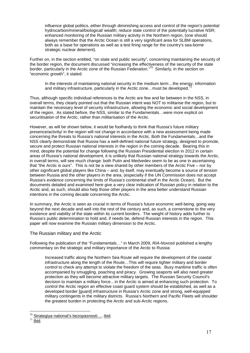influence global politics, either through diminishing access and control of the region's potential hydrocarbon/mineral/biological/ wealth; reduce state control of the potentially lucrative NSR; enhanced monitoring of the Russian military activity in the Northern region, (one should always remember that the Arctic Ocean is still a very significant area for SLBM operations, both as a base for operations as well as a test firing range for the country's sea-borne strategic nuclear deterrent).

Further on, in the section entitled, "on state and public security", concerning maintaining the security of the border region, the document discussed "increasing the effectiveness of the security of the state border, particularly in the Arctic zone of the Russian Federation."<sup>70</sup> Similarly, in the section on "economic growth", it stated:

In the interests of maintaining national security in the medium term…the energy, information and military infrastructure, particularly in the Arctic zone...must be developed.

Thus, although specific individual references to the Arctic are few and far between in the NSS, in overall terms, they clearly pointed out that the Russian intent was NOT to militarise the region, but to maintain the necessary level of security infrastructure, allowing the economic and social development of the region. As stated before, the NSS, similar to the Fundamentals…were more explicit on securitisation of the Arctic, rather than militarisation of the Arctic.

However, as will be shown below, it would be foolhardy to think that Russia's future military presence/activity/ in the region will not change in accordance with a new assessment being made concerning the threats to Russia's national interests in the Arctic. Both the Fundamentals…and the NSS clearly demonstrate that Russia has a well-defined national future strategy, designed to promote, secure and protect Russian national interests in the region in the coming decade. Bearing this in mind, despite the potential for change following the Russian Presidential election in 2012 in certain areas of Russia's national development, it is unlikely that Russian national strategy towards the Arctic, in overall terms, will see much change: both Putin and Medvedev seem to be as one in ascertaining that "the Arctic is ours". This is not be a view shared by other members of the Arctic Five – nor by other significant global players like China – and, by itself, may eventually become a source of tension between Russia and the other players in the area, (especially if the UN Commission does not accept Russia's evidence concerning the limits of Russia's continental shelf in the Arctic Ocean). But the documents detailed and examined here give a very clear indication of Russian policy in relation to the Arctic and, as such, should also help those other players in the area better understand Russian intentions in the coming decade concerning the Arctic.

In summary, the Arctic is seen as crucial in terms of Russia's future economic well-being, going way beyond the next decade and well into the rest of the century and, as such, a cornerstone to the very existence and viability of the state within its current borders. The weight of history adds further to Russia's public determination to hold and, if needs be, defend Russian interests in the region. This paper will now examine the Russian military dimension to the Arctic.

#### The Russian military and the Arctic

Following the publication of the "Fundamentals…" in March 2009, RIA-Novosti published a lengthy commentary on the strategic and military importance of the Arctic to Russia:

Increased traffic along the Northern Sea Route will require the development of the coastal infrastructure along the length of the Route…This will require tighter military and border control to check any attempt to violate the freedom of the seas. Busy maritime traffic is often accompanied by smuggling, poaching and piracy. Growing seaports will also need greater protection as they will become attractive military targets. The Russian Security Council's decision to maintain a military force…in the Arctic is aimed at enhancing such protection. To control the Arctic region an effective coast guard system should be established, as well as a developed border [guard] infrastructure in Russia's Arctic zone and strong, well-equipped military contingents in the military districts. Russia's Northern and Pacific Fleets will shoulder the greatest burden in protecting the Arctic and sub-Arctic regions.

 $\frac{70}{71}$  Strategiya national's bezopasnosti..., ibid.

Ibid.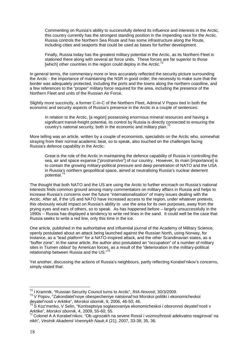Commenting on Russia's ability to successfully defend its influence and interests in the Arctic, this country currently has the strongest standing position in the impending race for the Arctic. Russia controls the Northern Sea Route and has some infrastructure along the Route, including cities and seaports that could be used as bases for further development.

Finally, Russia today has the greatest military potential in the Arctic, as its Northern Fleet is stationed there along with several air force units. These forces are far superior to those [which] other countries in the region could deploy in the Arctic. $<sup>7</sup>$ </sup>

In general terms, the commentary more or less accurately reflected the security picture surrounding the Arctic - the importance of maintaining the NSR in good order; the necessity to make sure that the border was adequately protected, including the ports and the towns along the northern coastline, and a few references to the "proper" military force required for the area, including the presence of the Northern Fleet and units of the Russian Air Force.

Slightly more succinctly, a former C-in-C of the Northern Fleet, Admiral V Popov tied in both the economic and security aspects of Russia's presence in the Arctic in a couple of sentences:

In relation to the Arctic, [a region] possessing enormous mineral resources and having a significant transit-freight potential, its control by Russia is directly connected to ensuring the country's national security, both in the economic and military plan.<sup>73</sup>

More telling was an article, written by a couple of economists, specialists on the Arctic who, somewhat straying from their normal academic beat, so to speak, also touched on the challenges facing Russia's defence capability in the Arctic:

Great is the role of the Arctic in maintaining the defence capability of Russia in controlling the sea, air and space expanse ["prostranstvo"] of our country. However, its main [importance] is to contain the growing military-political pressure and deep penetration of NATO and the USA in Russia's northern geopolitical space, aimed at neutralising Russia's nuclear deterrent potential.

The thought that both NATO and the US are using the Arctic to further encroach on Russia's national interests finds common ground among many commentators on military affairs in Russia and helps to increase Russia's concerns over the future "internationalisation" of many issues dealing with the Arctic. After all, if the US and NATO have increased access to the region, under whatever pretexts, this obviously would impact on Russia's ability to use the area for its own purposes, away from the prying eyes and ears of others, so to speak. As has happened before – largely unsuccessfully in the 1990s – Russia has displayed a tendency to write red lines in the sand. It could well be the case that Russia seeks to write a red line, only this time in the ice.

One article, published in the authoritative and influential journal of the Academy of Military Science, openly postulated about an attack being launched against the Russian North, using Norway, for instance, as a "lead platform" for a NATO-inspired attack, and the other Scandinavian states, as a "buffer zone". In the same article, the author also postulated an "occupation" of a number of military sites in Tiumen oblast' by American forces, as a result of the "deterioration in the military-political relationship between Russia and the US."<sup>7</sup>

Yet another, discussing the actions of Russia's neighbours, partly reflecting Korabel'nikov's concerns, simply stated that:

 $72$  I Kramnik, "Russian Security Council turns to Arctic", RIA-Novosti, 30/3/2009.

<sup>73</sup> V Popov, "Zakondatel'noye obespecheniye natsional'noi Morskoi politiki i ekonomicheskoi deyatel'nosti v Arktike", Morskoi sbornik, 9, 2006, 46-50; 46.

S Koz'menko, V Selin, "Kontseptsiya soglasovaniya ekonomicheskoi i oboronnoi deyatel'nosti v Arktike", Morskoi sbornik, 4, 2009, 55-60; 55.

 $75$  Colonel A A Korabel'nikov, "Ob ugrozakh na severe Rossii i vozmozhnosti adekvatno reagirovat' na nikh", Vestnik Akademii Voennykh Nauk,4 (21), 2007, 33-38; 35, 36.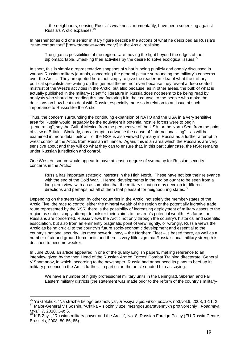…the neighbours, sensing Russia's weakness, momentarily, have been squeezing against Russia's Arctic expanses.<sup>7</sup>

In harsher tones did one senior military figure describe the actions of what he described as Russia's "state-competitors" ["gosudarstava-konkurenty"] in the Arctic, realising:

The gigantic possibilities of the region…are moving the fight beyond the edges of the diplomatic table…masking their activities by the desire to solve ecological issues.<sup>7</sup>

In short, this is simply a representative snapshot of what is being publicly and openly discussed in various Russian military journals, concerning the general picture surrounding the military's concerns over the Arctic. They are quoted here, not simply to give the reader an idea of what the militarypolitical specialists are writing on this general theme, nor even because they reveal a deep seated mistrust of the West's activities in the Arctic, but also because, as in other areas, the bulk of what is actually published in the military-scientific literature in Russia does not seem to be being read by analysts who should be reading this and factoring it in their counsel to the people who make the decisions on how best to deal with Russia, especially more so in relation to an issue of such importance to Russia like the Arctic.

Thus, the concern surrounding the continuing expansion of NATO and the USA in a very sensitive area for Russia would, arguably be the equivalent if potential hostile forces were to begin "penetrating", say the Gulf of Mexico from the perspective of the USA, or the North Sea, from the point of view of Britain. Similarly, any attempt to advance the cause of "internationalising" – as will be examined in more detail below – of the NSR is also viewed by many in Russia as a further attempt to wrest control of the Arctic from Russian influence. Again, this is an area which the Russians are very sensitive about and they will do what they can to ensure that, in this particular case, the NSR remains under Russian jurisdiction and control.

One Western source would appear to have at least a degree of sympathy for Russian security concerns in the Arctic:

Russia has important strategic interests in the High North. These have not lost their relevance with the end of the Cold War… Hence, developments in the region ought to be seen from a long-term view, with an assumption that the military situation may develop in different directions and perhaps not all of them that pleasant for neighbouring states.<sup>7</sup>

Depending on the steps taken by other countries in the Arctic, not solely the member-states of the Arctic Five, the race to control either the mineral wealth of the region or the potentially lucrative trade route represented by the NSR, there is the possibility of increasing deployment of military assets to the region as states simply attempt to bolster their claims to the area's potential wealth. As far as the Russians are concerned, Russia views the Arctic not only through the country's historical and scientific association, but also from an eminently pragmatic point of view: rightly, or wrongly, Russia views the Arctic as being crucial to the country's future socio-economic development and essential to the country's national security. Its most powerful navy – the Northern Fleet – is based there, as well as a number of air and ground force units and there is very little sign that Russia's local military strength is destined to become weaker.

In June 2008, an article appeared in one of the quality English papers, making reference to an interview given by the then Head of the Russian Armed Forces' Combat Training directorate, General V Shamanov, in which, according to the newspaper, Russia had announced its plans to beef up its military presence in the Arctic further. In particular, the article quoted him as saying:

We have a number of highly professional military units in the Leningrad, Siberian and Far Eastern military districts [the statement was made prior to the reform of the country's military-

 $\overline{a}$  $^{76}$  Yu Golotiuk, "Na strazhe belogo bezmolviya", *Rossiya v global'noi politike*, no3,vol.6, 2008, 1-11; 2. <sup>77</sup> Major-General V I Sosnin, "Arktika – slozhniy uzel mezhgosudarstvennykh protivorechiy", Voennaya Mysl', 7, 2010, 3-9; 6.

 $^{\circ}$ K B Zsyk, "Russian military power and the Arctic", No. 8: Russian Foreign Policy (EU-Russia Centre, Brussels, 2008, 80-86; 85).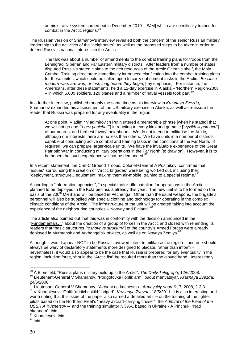administrative system carried out in December 2010 – SJM] which are specifically trained for combat in the Arctic regions.<sup>79</sup>

The Russian version of Shamanov's interview revealed both the concern of the senior Russian military leadership to the activities of the "neighbours", as well as the proposed steps to be taken in order to defend Russia's national interests in the Arctic:

The talk was about a number of amendments to the combat training plans for troops from the Leningrad, Siberian and Far Eastern military districts. After leaders from a number of states disputed Russia's stated claims to the rich resources of the Arctic Ocean's shelf, the Main Combat-Training directorate immediately introduced clarification into the combat training plans for these units...which could be called upon to carry out combat tasks in the Arctic. Because modern wars are won, or lost, long before they begin, [my emphasis]. For instance, the Americans, after these statements, held a 12-day exercise in Alaska – 'Northern Region-2008' – in which 5,000 soldiers, 120 planes and a number of naval vessels took part.

In a further interview, published roughly the same time as his interview in Krasnaya Zvezda, Shamanov expanded his assessment of the US military exercise in Alaska, as well as reassure the reader that Russia was prepared for any eventuality in the region:

At one point, Vladimir Vladimirovich Putin uttered a memorable phrase [when he stated] that we will not go ape ["*obez'yanichat"*] in reacting to every kink and grimace ["*vyvikh ili grimacu*"] of our nearest and furthest [away] neighbours. We do not intend to militarise the Arctic, although our interests there are no less than others. We have units in a number of districts capable of conducting active combat and training tasks in the conditions of the Far North. If required, we can prepare larger-scale units. We have the invaluable experience of the Great Patriotic War in conducting military operations in the Far North [to draw on]. However, it is to be hoped that such experience will not be demanded.<sup>81</sup>

In a recent statement, the C-in-C Ground Troops, Colonel-General A Postnikov, confirmed that "issues" surrounding the creation of "Arctic brigades" were being worked out, including their "deployment, structure…equipment, making them air-mobile, training to a special regime."<sup>82</sup>

According to "information agencies", "a special motor-rifle battalion for operations in the Arctic is planned to be deployed in the Kola peninsula already this year. The new unit is to be formed on the basis of the 200<sup>th</sup> MRB and will be based in Pechenga. Other than the usual weapons, the brigade's personnel will also be supplied with special clothing and technology for operating in the complex climatic conditions of the Arctic. The infrastructure of the unit will be created taking into account the experience of the neighbouring countries - Norway and Finland."<sup>83</sup>

The article also pointed out that this was in conformity with the decision announced in the "Fundamentals..." about the creation of a group of forces in the Arctic and closed with reminding its readers that "basic structures ["osnovnye struktury"] of the country's Armed Forces were already deployed in Murmansk and Arkhangel'sk oblasts, as well as on Novava Zemlva.<sup>84</sup>

Although it would appear NOT to be Russia's avowed intent to militarise the region – and one should always be wary of declaratory statements more designed to placate, rather than inform – nevertheless, it would also appear to be the case that Russia is prepared for any eventuality in the region, including force, should the "Arctic fist" be required more than the gloved hand. Interestingly

 $\overline{a}$  $79$  A Blomfield, "Russia plans military build up in the Arctic", The Daily Telegraph, 12/6/2008.

<sup>&</sup>lt;sup>80</sup> Lieutenant-General V Shamanov, "Podgotovka i oblik armii budut menyatsya", Krasnaya Zvezda, 24/6/2008.

<sup>81</sup> Lieutenant-General V Shamanov, "Aktsent na kachestvo", Armeyskiy sbornik, 7, 2008, 2-3;3. 82 V Khodolevev, "Oblik 'arkticheskikh' brigad", Krasnaya Zvezda, 18/5/2011. It is also interesting and worth noting that this issue of the paper also carried a detailed article on the training of the fighter pilots based on the Northern Fleet's "heavy aircraft-carrying cruiser", the Admiral of the Fleet of the USSR A Kuznetsov – and the training simulator NITKA, based in Ukraine - A Pinchuk, "Nad okeanom", ibid.

<sup>83</sup> Khodeleyev, ibid.

 $84$  Ibid.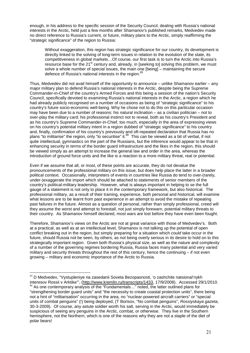enough, in his address to the specific session of the Security Council, dealing with Russia's national interests in the Arctic, held just a few months after Shamanov's published remarks, Medvedev made no direct reference to Russia's current, or future, military plans to the Arctic, simply reaffirming the "strategic significance" of the region to Russia:

Without exaggeration, this region has strategic significance for our country, its development is directly linked to the solving of long-term issues in relation to the evolution of the state, its competitiveness in global markets…Of course, our first task is to turn the Arctic into Russia's resource base for the 21<sup>st</sup> century and, already, in [seeking to] solving this problem, we must solve a whole number of special issues, the main one [being] – maintaining the secure defence of Russia's national interests in the region.<sup>8</sup>

Thus, Medvedev did not avail himself of the opportunity to announce – unlike Shamanov earlier – any major military plan to defend Russia's national interests in the Arctic, despite being the Supreme Commander-in-Chief of the country's Armed Forces and this being a session of the nation's Security Council, specifically devoted to examining Russia's national interests in the Arctic, a region which he had already publicly recognised on a number of occasions as being of "strategic significance" to his country's future socio-economic well-being. Why he chose not to do this on this particular occasion may have been due to a number of reasons: his natural inclination – as a civilian politician – not to over-play the military card; his professional instinct not to reveal, both as his country's President and as his country's Supreme Commander-in-Chief, too much, especially in the area of expressing views on his country's potential military intent in a region dubbed of "strategic significance" to his country and, finally, confirmation of his country's previously and oft-repeated declaration that Russia has no plans "to militarise" the region, only "to securitise" it.<sup>86</sup> This can be viewed as a bit of verbal, if not quite intellectual, gymnastics on the part of the Russians, but the inference would appear to be that in enhancing security in terms of the border guard infrastructure and the likes in the region, this should be viewed simply as an attempt to increase the general law and order in the area, whereas the introduction of ground force units and the like is a reaction to a more military threat, real or potential.

Even if we assume that all, or most, of these points are accurate, they do not devalue the pronouncements of the professional military on this issue, but does help place the latter in a broader political context. Occasionally, interpreters of events in countries like Russia do tend to over-(rarely, under-)exaggerate the import which should be attached to statements of senior members of the country's political-military leadership. However, what is always important in helping to se the full gauge of a statement is not only to place it in the contemporary framework, but also historical. The professional military, as a result of their training, experience, both personal and historical, will examine what lessons are to be learnt from past experience in an attempt to avoid the mistake of repeating past failures in the future. Almost as a question of personal, rather than simply professional, creed will they assume the worst and attempt to forestall, not just simply forewarn, potential military threats to their country. As Shamanov himself declared, most wars are lost before they have even been fought.

Therefore, Shamanov's views on the Arctic are not at great variance with those of Medvedev's. Both at a practical, as well as at an intellectual level, Shamanov is not talking up the potential of open conflict breaking out in the region, but simply preparing for a situation which could take occur in the future, should Russia not be seen, by others, as not being overly serious in its desire to hold on to this strategically important region. Given both Russia's physical size, as well as the nature and complexity of a number of the governing regimes bordering Russia, Russia faces many potential and very varied military and security threats throughout the rest of this century, hence the continuing – if not even growing – military and economic importance of the Arctic to Russia.

<sup>85</sup> D Medvedev, "Vystupleniye na zasedanii Soveta Bezopasnosti, 'o zashchite natsional'nykh interesov Rossii v Arktike'", (http://www.kremlin.ru/transcripts/1433, 17/9/2008). Accessed 29/1/2010. 86 As one contemporary analysis of the "Fundamentals..." noted, the latter outlined plans for "strengthening border guard units" and "the necessity to create coastal protection units", there being not a hint of "militarisation" occurring in the area, no "nuclear-powered aircraft carriers" or "special units of combat penguins" (!) being deployed, (T Borisov, "No combat penguins", Rossiyskaya gazeta, 30-3-2009). Of course, any astute soldier worth his salt, serving in the Arctic, would immediately be suspicious of seeing any penguins in the Arctic, combat, or otherwise. They live in the Southern hemisphere, not the Northern, which is one of the reasons why they are not a staple of the diet of polar bears!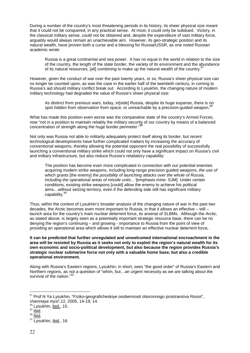During a number of the country's most threatening periods in its history, its sheer physical size meant that it could not be conquered, in any practical sense. At most, it could only be subdued. Victory, in the classical military sense, could not be obtained and, despite the expenditure of vast military force, arguably would always remain an unachievable aim. However, its geo-strategic position and its natural wealth, have proven both a curse and a blessing for Russia/USSR, as one noted Russian academic wrote:

Russia is a great continental and sea power. It has no equal in the world in relation to the size of the country, the length of the state border, the variety of its environment and the abundance of its natural resources, [all] combining to make up the natural wealth of the country.<sup>8</sup>

However, given the conduct of war over the past twenty years, or so, Russia's sheer physical size can no longer be counted upon, as was the case in the earlier half of the twentieth century, in coming to Russia's aid should military conflict break out. According to Lysukhin, the changing nature of modern military technology had degraded the value of Russia's sheer physical size:

As distinct from previous wars, today, in[side] Russia, despite its huge expanse, there is no spot hidden from observation from space, or unreachable by a precision-guided weapon.<sup>86</sup>

What has made this position even worse was the comparative state of the country's Armed Forces, now "not in a position to maintain reliably the military security of our country by means of a balanced concentration of strength along the huge border perimeter."<sup>89</sup>

Not only was Russia not able to militarily adequately protect itself along its border, but recent technological developments have further complicated matters by increasing the accuracy of conventional weapons, thereby allowing the potential opponent the real possibility of successfully launching a conventional military strike which could not only have a significant impact on Russia's civil and military infrastructure, but also reduce Russia's retaliatory capability:

The position has become even more complicated in connection with our potential enemies acquiring modern strike weapons, including long-range precision guided weapons, the use of which grants [the enemy] the possibility of launching attacks over the whole of Russia, including the operational areas of missile units... [emphasis mine- SJM] Under certain conditions, existing strike weapons [could] allow the enemy to achieve his political aims…without seizing territory, even if the defending side still has significant military capability.<sup>90</sup>

Thus, within the context of Lysukhin's broader analysis of the changing nature of war in the past two decades, the Arctic becomes even more important to Russia, in that it allows an effective – still – launch area for the country's main nuclear deterrent force, its arsenal of SLBMs. Although the Arctic, as stated above, is largely seen as a potentially important strategic resource base, there can be no denying the region's continuing – and growing - importance to Russia from the point of view of providing an operational area which allows it still to maintain an effective nuclear deterrent force**.** 

**It can be predicted that further unregulated and unwelcomed international encroachment in the area will be resisted by Russia as it seeks not only to exploit the region's natural wealth for its own economic and socio-political development, but also because the region provides Russia's strategic nuclear submarine force not only with a valuable home base, but also a credible operational environment.**

Along with Russia's Eastern regions, Lysukhin, in short, sees "the good order" of Russia's Eastern and Northern regions, as not a question of "whim, but…an urgent necessity as we are talking about the survival of the nation."<sup>9</sup>

 $87$  Prof N Ya Lysukhin, "Fiziko-geograficheskiye osobennosti oboronnogo prostranstva Rossii", Voennaya mysl',12, 2005, 14-19; 14.

<sup>88</sup> Lysukhin, ibid., 15.

 $89$  Ibid.

 $90$  Ibid.

 $91$  Lysukhin, ibid., 16.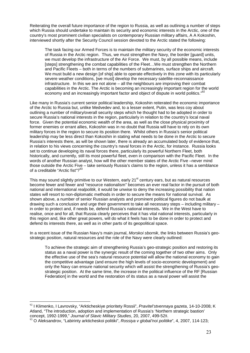Reiterating the overall future importance of the region to Russia, as well as outlining a number of steps which Russia should undertake to maintain its security and economic interests in the Arctic, one of the country's most prominent civilian specialists on contemporary Russian military affairs, A A Kokoshin, interviewed shortly after the Security Council session devoted to the Arctic stated the following:

The task facing our Armed Forces is to maintain the military security of the economic interests of Russia in the Arctic region. Thus, we must strengthen the Navy, the border [guard] units, we must develop the infrastructure of the Air Force. We must, by all possible means, include [steps] strengthening the combat capabilities of the Fleet…We must strengthen the Northern and Pacific Fleets – both in terms of the numbers of submarines, surface ships and aircraft. We must build a new design [of ship] able to operate effectively in this zone with its particularly severe weather conditions, [we must] develop the necessary satellite-reconnaissance infrastructure. In this we are not alone – all the neighbours are improving their combat capabilities in the Arctic. The Arctic is becoming an increasingly important region for the world economy and an increasingly important factor and object of dispute in world politics."<sup>9</sup>

Like many in Russia's current senior political leadership, Kokoshin reiterated the economic importance of the Arctic to Russia but, unlike Medvedev and, to a lesser extent, Putin, was less coy about outlining a number of military/overall security steps which he thought had to be adopted in order to secure Russia's national interests in the region, particularly in relation to the country's local naval force. Given the potential economic wealth of the area, as well as the close physical proximity of former enemies or errant allies, Kokoshin was in no doubt that Russia will have to rely on its own military forces in the region to secure its position there. Whilst others in Russia's senior political leadership may be less direct than Kokoshin in stating what needs to be done in the Arctic to secure Russia's interests there, as will be shown later, there is already an accumulated body of evidence that, in relation to his views concerning the country's naval forces in the Arctic, for instance. Russia looks set to continue developing its naval forces there, particularly its powerful Northern Fleet, both historically, and currently, still its most powerful fleet, even in comparison with the Pacific Fleet. In the words of another Russian analyst, how will the other member states of the Arctic Five –never mind those outside the Arctic Five – take seriously Russia's claims to the region, unless it has a semblance of a creditable "Arctic fist"?<sup>93</sup>

This may sound slightly primitive to our Western, early 21<sup>st</sup> century ears, but as natural resources become fewer and fewer and "resource nationalism" becomes an ever real factor in the pursuit of both national and international realpolitik, it would be unwise to deny the increasing possibility that nation states will resort to non-diplomatic methods in order to secure the means for national survival. As shown above, a number of senior Russian analysts and prominent political figures do not baulk at drawing such a conclusion and urge their government to take all necessary steps – including military – in order to protect and, if needs be, defend Russia's national interests**.** We in the West have to realise, once and for all, that Russia clearly perceives that it has vital national interests, particularly in this region and, like other great powers, will do what it feels has to be done in order to protect and defend its interests there, as well as in other parts of its geopolitical space.

In a recent issue of the Russian Navy's main journal, Morskoi sbornik, the links between Russia's geostrategic position, natural resources and the role of the Navy were clearly outlined:

To achieve the strategic aim of strengthening Russia's geo-strategic position and restoring its status as a naval power is the synergic result of the coming together of two other aims. Only the effective use of the sea's natural resource potential will allow the national economy to gain the competitive advantage (and ensure the high levels of socio-economic development) and only the Navy can ensure national security which will assist the strengthening of Russia's geostrategic position. At the same time, the increase in the political influence of the RF [Russian Federation] in the world and the restoration of its status as a naval power will assist the

 $92$  I Klimenko, I Lavrovsky, "Arkticheskiye prioritety Rossii", Pravitel'stvennaya gazeta, 14-10-2008; K Atland, "The introduction, adoption and implementation of Russia's 'Northern strategic bastion' concept, 1992-1999," Journal of Slavic Military Studies, 20, 2007, 499-528.

 $93$  O Aleksandrov, "Labirinty arkticheskoi politiki", Rossiya v global'noi politike", 4, 2007, 114-123;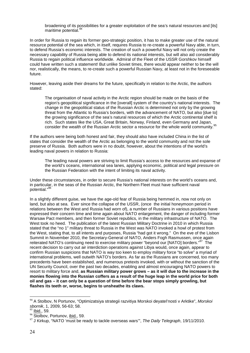broadening of its possibilities for a greater exploitation of the sea's natural resources and [its] maritime potential.<sup>94</sup>

In order for Russia to regain its former geo-strategic position, it has to make greater use of the natural resource potential of the sea which, in itself, requires Russia to re-create a powerful Navy able, in turn, to defend Russia's economic interests. The creation of such a powerful Navy will not only create the necessary capability of Russia being able to defend its national interests, but will also aid considerably Russia to regain political influence worldwide. Admiral of the Fleet of the USSR Gorshkov himself could have written such a statement! But unlike Soviet times, there would appear neither to be the will nor, realistically, the means, to re-create such a powerful Russian Navy, at least not in the foreseeable future.

However, leaving aside their dreams for the future, specifically in relation to the Arctic, the authors stated:

The organisation of naval activity in the Arctic region should be made on the basis of the region's geopolitical significance in the [overall] system of the country's national interests. The change in the geopolitical status of the Russian Arctic is determined not only by the growing threat from the Atlantic to Russia's borders, with the advancement of NATO, but also [due to] the growing significance of the sea's natural resources of which the Arctic continental shelf is rich. Such states like the USA, Great Britain, Norway, Finland, even Germany and Japan, consider the wealth of the Russian Arctic sector a resource for the whole world community.<sup>95</sup>

If the authors were being both honest and fair, they should also have included China in the list of states that consider the wealth of the Arctic as belonging to the world community and not the sole preserve of Russia. Both authors were in no doubt, however, about the intentions of the world's leading naval powers in relation to Russia:

The leading naval powers are striving to limit Russia's access to the resources and expanse of the world's oceans, international sea lanes, applying economic, political and legal pressure on the Russian Federation with the intent of limiting its naval activity.

Under these circumstances, in order to secure Russia's national interests on the world's oceans and, in particular, in the seas of the Russian Arctic, the Northern Fleet must have sufficient naval potential."<sup>96</sup>

In a slightly different guise, we have the age-old fear of Russia being hemmed in, now not only on land, but also at sea. Ever since the collapse of the USSR, (once the initial honeymoon period in relations between the West and Russia had worn of), a number of Russians in various positions have expressed their concern time and time again about NATO enlargement, the danger of including former Warsaw Pact members, and then former Soviet republics, in the military infrastructure of NATO. The West took no heed. The publication of the latest Russian Military Doctrine in 2010 in which Russia stated that the "no 1" military threat to Russia in the West was NATO invoked a howl of protest from the West, stating that, to all intents and purposes, Russia "had got it wrong." On the eve of the Lisbon Summit in November 2010, the Secretary-General of NATO, Anders Fogh Rasmussen, once again reiterated NATO's continuing need to exercise military power "beyond our [NATO] borders."<sup>97</sup> The recent decision to carry out air interdiction operations against Libya would, once again, appear to confirm Russian suspicions that NATO is way too keen to employ military force "to solve" a myriad of international problems, well outwith NATO's borders. As far as the Russians are concerned, too many precedents have been established, and numerous pretexts invoked, with or without the sanction of the UN Security Council, over the past two decades, enabling and almost encouraging NATO powers to resort to military force and, **as Russian military power grows – as it will due to the increase in the monies flowing into the Russian coffers as a result of the huge leap in the world price for both oil and gas – it can only be a question of time before the bear stops simply growling, but flashes its teeth or, worse, begins to unsheathe its claws.** 

 $\overline{a}$ <sup>94</sup> A Stolbov, N Portunov, "Optimizatsiya strategii razvitiya Morskoi deyatel'nosti v Arktike", *Morskoi* sbornik, 1, 2009, 56-63; 58.

 $95$  Ibid., 59.

<sup>96</sup> Stolbov, Portunov, ibid., 59.

 $97$  J Kirkup, "NATO 'must be ready to tackle overseas wars", The Daily Telegraph, 19/11/2010.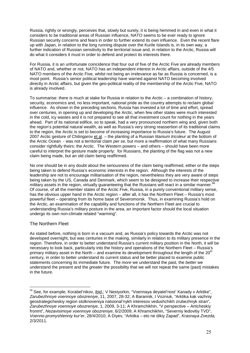Russia, rightly or wrongly, perceives that, slowly but surely, it is being hemmed in and even in what it considers to be traditional areas of Russian influence, NATO seems to be ever ready to ignore Russian security concerns and fears in order to further extend its own influence. Even the recent flare up with Japan, in relation to the long running dispute over the Kurile Islands is, in its own way, a further indication of Russian sensitivity to the territorial issue and, in relation to the Arctic, Russia will do what it considers it must in order to defend and protect its interests there.

For Russia, it is an unfortunate coincidence that four out of five of the Arctic Five are already members of NATO and, whether or not, NATO has an independent interest in Arctic affairs, outside of the 4/5 NATO members of the Arctic Five, whilst not being an irrelevance as far as Russia is concerned, is a moot point. Russia's senior political leadership have warned against NATO becoming involved directly in Arctic affairs, but given the geo-political reality of the membership of the Arctic Five, NATO is already involved.

To summarise: there is much at stake for Russia in relation to the Arctic – a combination of history, security, economics and, no less important, national pride as the country attempts to reclaim global influence. As shown in the preceding sections, Russia has invested a lot of time and effort, spread over centuries, in opening up and developing the Arctic, when few other states were much interested in the cold, icy wastes and it is not prepared to see all that investment count for nothing in the years ahead. Part of its national edifice, so to speak, had a very pronounced northern wing and, given both the region's potential natural wealth, as well as Russia's very strong reassertion of its traditional claims to the region, the Arctic is set to become of increasing importance to Russia's future. The August 2007 Arctic gesture of Chilingarov et al. – the planting of a Russian titanium tricoleur at the bottom of the Arctic Ocean - was not a territorial claim per se, but more a reaffirmation of what many Russians consider rightfully theirs: the Arctic. The Western powers – and others – should have been more careful to interpret the gesture made properly: for Russians, the planting of the flag was not a new claim being made, but an old claim being reaffirmed.

No one should be in any doubt about the seriousness of the claim being reaffirmed, either or the steps being taken to defend Russia's economic interests in the region. Although the interests of the leadership are not to encourage militarisation of the region, nevertheless they are very aware of steps being taken by the US, Canada and Denmark, which seem to be designed to increase their respective military assets in the region, virtually guaranteeing that the Russians will react in a similar manner.<sup>98</sup> Of course, of all the member states of the Arctic Five, Russia, in a purely conventional military sense, has the obvious upper hand in the Arctic region – after all, it has the Northern Fleet – Russia's most powerful fleet – operating from its home base of Severomorsk. Thus, in examining Russia's hold on the Arctic, an examination of the capability and functions of the Northern Fleet are crucial to understanding Russia's military posture in the area, an important factor should the local situation undergo its own non-climate related "warming".

#### The Northern Fleet

 $\overline{a}$ 

As stated before, nothing is born in a vacuum and, as Russia's policy towards the Arctic was not developed overnight, but was centuries in the making, similarly in relation to its military presence in the region. Therefore, in order to better understand Russia's current military position in the North, it will be necessary to look back, particularly into the history and operations of the Northern Fleet – Russia's primary military asset in the North – and examine its development throughout the length of the  $20<sup>t</sup>$ century, in order to better understand its current status and be better placed to examine public statements concerning its immediate future. The more we understand the past, the better we understand the present and the *greater* the possibility that we will not repeat the same (past) mistakes in the future.

<sup>&</sup>lt;sup>98</sup> See, for example, Korabel'nikov, <u>ibid.</u>; V Nestyorkin, "Voennaya deyatel'nost' Kanady v Arktike", Zarubezhnoye voennoye obozreniye, 11, 2007, 28-32; A Barannik, I Vozniuk, "Arktika kak vazhniy geostrategicheskiy region stolknoveniya natsional'nykh interesov vedushchikh zrubezhnyk stran", Zarubezhnoye voennoye obozreniye, 1, 2009, 3-11; A Khramchikhin, "V perspective – Articheskiy fronmt", Nezavisimoye voennoye obozreniye, 6/2/2009; A Khramchikhin, "Severniy ledovitiy TVD", Voenno-promyshlenniy kur'er, 28/4/2010; A Diyev, "Arktika – eto ne dikiy Zapad", Krasnaya Zvezda, 2/3/2011.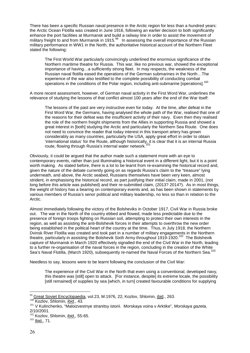There has been a specific Russian naval presence in the Arctic region for less than a hundred years: the Arctic Ocean Flotilla was created in June 1916, following an earlier decision to both significantly enhance the port facilities at Murmansk and build a railway line in order to assist the movement of military freight to and from Murmansk in 1915.<sup>99</sup> In assessing the overall importance of the Russian military freight to and from Murmansk in 1915.<sup>99</sup> In assessing the overall importance of the Russian military performance in WW1 in the North, the authoritative historical account of the Northern Fleet stated the following:

The First World War particularly convincingly underlined the enormous significance of the Northern maritime theatre for Russia. This war, like no previous war, showed the exceptional importance of having…a sufficiently strong fleet. In may respects, the weakness of the Russian naval flotilla eased the operations of the German submarines in the North…The experience of the war also testified to the complete possibility of conducting combat operations in the conditions of the Polar region, including anti-submarine [operations].<sup>100</sup>

A more recent assessment, however, of German naval activity in the First Word War, underlines the relevance of studying the lessons of that conflict almost 100 years after the end of the War itself:

The lessons of the past are very instructive even for today. At the time, after defeat in the First Word War, the Germans, having analysed the whole path of the War, realised that one of the reasons for their defeat was the insufficient activity of their navy. Even then they realised the role of the northern freight shipments from the Allies in supporting Russia and showed a great interest in [both] studying the Arctic and particularly the Northern Sea Route. One does not need to convince the reader that today interest in this transport artery has grown considerably as many countries, particularly the USA, apply great effort in order to obtain 'international status' for the Route, although historically, it is clear that it is an internal Russia route, flowing through Russia's internal water network.

Obviously, it could be argued that the author made such a statement more with an eye to contemporary events, rather than just illuminating a historical event in a different light, but it is a point worth making. As stated before, there is a lot to be learnt from re-examining the historical record and, given the nature of the debate currently going on as regards Russia's claim to the "treasure" lying underneath, and above, the Arctic seabed, Russians themselves have been very keen, almost strident, in emphasising the historical record, as part justifying their initial claim, made in 2001, (not long before this article was published) and their re-submitted claim, (2013? 2014?). As in most things, the weight of history has a bearing on contemporary events and, as has been shown in statements by various members of Russia's senor political and military leadership, no less so than in relation to the Arctic.

Almost immediately following the victory of the Bolsheviks in October 1917, Civil War in Russia broke out. The war in the North of the country ebbed and flowed, made less predictable due to the presence of foreign troops fighting on Russian soil, attempting to protect their own interests in the region, as well as assisting the anti-Bolshevik forces in their attempts to overthrow the new order being established in the political heart of the country at the time. Thus, in July 1918, the Northern Dvinsk River Flotilla was created and took part in a number of military engagements in the Northern theatre, particularly in assisting the Bolshevik Sixth Army throughout 1919-1920.<sup>102</sup> The Bolshevik capture of Murmansk in March 1920 effectively signalled the end of the Civil War in the North, leading to a further re-organisation of the naval forces in the region, concluding in the creation of the White Sea's Naval Flotilla, (March 1920), subsequently re-named the Naval Forces of the Northern Sea.<sup>103</sup>

Needless to say, lessons were to be learnt following the conclusion of the Civil War:

The experience of the Civil War in the North that even using a conventional, developed navy, this theatre was [still] open to attack. [For instance, despite] its extreme locale, the possibility [still remained] of supplies by sea [which, in turn] created favourable conditions for supplying

<sup>&</sup>lt;sup>99</sup> Great Soviet Encyclopaedia, vol.23, M.1976, 22; Kozlov, Shlomin, <u>ibid</u>., 263.

<sup>100</sup> Kozlov, Shlomin, ibid., 43.

<sup>&</sup>lt;sup>101</sup> V Kulinchenko, "Maloizvestnye stranitsy istorii. Morskaya voina v Arktike", Morskaya gazeta, 2/10/2001.

<sup>&</sup>lt;sup>102</sup> Kozlov, Shlomin, ibid., 55-65.

 $103$  Ibid., 71.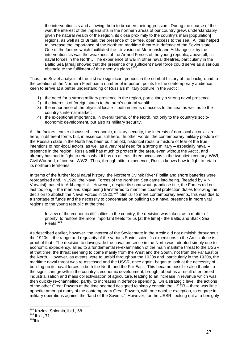the interventionists and allowing them to broaden their aggression. During the course of the war, the interest of the imperialists in the northern areas of our country grew, understandably given he natural wealth of the region, its close proximity to the country's main [population] regions, as well as to Britain, the presence of ice-free, open access to the sea. All this helped to increase the importance of the Northern maritime theatre in defence of the Soviet state. One of the factors which facilitated the…invasion of Murmansk and Arkhangel'sk by the interventionists was the weakness of the Armed Forces of the young republic, above all, its naval forces in the North…The experience of war in other naval theatres, particularly in the Baltic Sea [area] showed that the presence of a sufficient naval force could serve as a serious obstacle to the fulfilment of the enemy's plans."<sup>104</sup>

Thus, the Soviet analysis of the first two significant periods in the combat history of the background to the creation of the Northern Fleet has a number of important points for the contemporary audience, keen to arrive at a better understanding of Russia's military posture in the Arctic:

- 1) the need for a strong military presence in the region, particularly a strong naval presence;
- 2) the interests of foreign states to the area's natural wealth;
- 3) the importance of the physical locale both in terms of access to the sea, as well as to the country's internal market;
- 4) the exceptional importance, in overall terms, of the North, not only to the country's socioeconomic development, but also its military security.

All the factors, earlier discussed – economic, military security, the interests of non-local actors – are here, in different forms but, in essence, still here. In other words, the contemporary military posture of the Russian state in the North has been built on old, historical roots: a mixture of fear of the true intentions of non-local actors, as well as a very real need for a strong military – especially naval – presence in the region. Russia still has much to protect in the area, even without the Arctic, and already has had to fight to retain what it has on at least three occasions in the twentieth century, WWI, Civil War and, of course, WW2. Thus, through bitter experience, Russia knows how to fight to retain its northern territories.

In terms of the further local naval history, the Northern Dvinsk River Flotilla and shore batteries were reorganised and, in 1920, the Naval Forces of the Northern Sea came into being, (headed by V N Varvatsi), based in Arkhangel'sk. However, despite its somewhat grandiose title, the Forces did not last too long – the men and ships being transferred to maritime coastal protection duties following the decision to abolish the Naval Forces in 1922.<sup>105</sup> Similar to more contemporary events, this was due to a shortage of funds and the necessity to concentrate on building up a naval presence in more vital regions to the young republic at the time:

In view of the economic difficulties in the country, the decision was taken, as a matter of priority, to restore the more important fleets for us [at the time] - the Baltic and Black Sea .<br>Fleets.<sup>106</sup>

As described earlier, however, the interest of the Soviet state in the Arctic did not diminish throughout the 1920s – the range and regularity of the various Soviet scientific expeditions to the Arctic alone is proof of that. The decision to downgrade the naval presence in the North was adopted simply due to economic expediency, allied to a fundamental re-examination of the main maritime threat to the USSR at that time, the threat seeming to come mainly from the West and the South, not from the Far East or the North. However, as events were to unfold throughout the 1920s and, particularly in the 1930s, the maritime naval threat was re-assessed and the USSR, once again, began to look at the necessity of building up its naval forces in both the North and the Far East. This became possible also thanks to the significant growth in the country's economic development, brought about as a result of enforced industrialisation and mass collectivisation of agriculture, leading to an increase in revenue which was then quickly re-channelled, partly, to increases in defence spending. On a strategic level, the actions of the other Great Powers at the time seemed designed to simply contain the USSR – there was little appetite amongst many of the contemporary Great Powers, with one notable exception, to engage in military operations against the "land of the Soviets." However, for the USSR, looking out at a benignly

 $\overline{a}$ <sup>104</sup> Kozlov, Shlomin, <u>ibid</u>., 68.

 $105$  Ibid., 71.

 $106$ Ibid.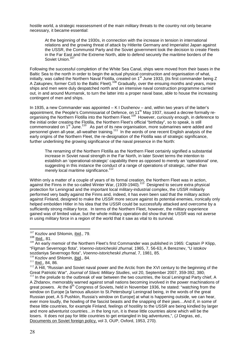hostile world, a strategic reassessment of the main military threats to the country not only became necessary, it became essential:

At the beginning of the 1930s, in connection with the increase in tension in international relations and the growing threat of attack by Hitlerite Germany and Imperialist Japan against the USSR, the Communist Party and the Soviet government took the decision to create Fleets in the Far East and the Extreme North, able to defend securely the maritime borders of the Soviet Union.<sup>107</sup>

Following the successful completion of the White Sea Canal, ships were moved from their bases in the Baltic Sea to the north in order to begin the actual physical construction and organisation of what, initially, was called the Northern Naval Flotilla, created on 1st June 1933, (its first commander being Z A Zakupnev, former CoS to the Baltic Fleet).<sup>108</sup> Gradually, over the ensuing months and years, more ships and men were duly despatched north and an intensive naval construction programme carried out, in and around Murmansk, to turn the latter into a proper naval base, able to house the increasing contingent of men and ships.

In 1935, a new Commander was appointed – K I Dushenov – and, within two years of the latter's appointment, the People's Commissariat of Defence, on 11<sup>th</sup> May 1937, issued a decree formally reorganising the Northern Flotilla into the Northern Fleet.<sup>109</sup> However, curiously enough, in deference to the initial order creating the Flotilla, the Northern Fleet's official "birthday", so to speak, is still commemorated on 1<sup>st</sup> June.<sup>110</sup> As part of its new organisation, more submarines were added and personnel given all-year, all-weather training.<sup>111</sup> In the words of one recent English analysis of the early origins of the Northern Fleet, the re-designation of the Flotilla was of strategic significance, further underlining the growing significance of the naval presence in the North:

The renaming of the Northern Flotilla as the Northern Fleet certainly signified a substantial increase in Soviet naval strength in the Far North, in later Soviet terms the intention to establish an 'operational-strategic' capability there as opposed to merely an 'operational' one, suggesting in this instance the conduct of a range of operations of strategic, rather than merely local maritime significance.<sup>112</sup>

Within only a matter of a couple of years of its formal creation, the Northern Fleet was in action, against the Finns in the so-called Winter War, (1939-1940).<sup>113</sup> Designed to secure extra physical protection for Leningrad and the important local military-industrial complex, the USSR militarily performed very badly against the Finns and, indeed, it has even been said that the military action against Finland, designed to make the USSR more secure against its potential enemies, ironically only helped embolden Hitler in his idea that the USSR could be successfully attacked and overcome by a sufficiently strong military force. In terms of the Northern Fleet, however, the military experience gained was of limited value, but the whole military operation did show that the USSR was not averse in using military force in a region of the world that it saw as vital to its survival.

<sup>&</sup>lt;sup>107</sup> Kozlov and Shlomin, *ibid.*, 79.

<sup>108 &</sup>lt;u>Ibid.,</u> 81.

<sup>&</sup>lt;sup>109</sup> An early memoir of the Northern Fleet's first Commander was published in 1965: Captain P Klipp, "Flgman Severnogo flota", Voenno-istoricheskii zhurnal, 1965, 7, 56-63; A Bereznev, "U istokov sozdaniya Severnogo flota", Voenno-istoricheskii zhurnal, 7, 1981, 85.

<sup>&</sup>lt;sup>110</sup> Kozlov and Shlomin, ibid., 84.

 $111$  Ibid., 84, 86.

 $112$  A Hill, "Russian and Soviet naval power and the Arctic from the XVI century to the beginning of the Great Patriotic War", Journal of Slavic Military Studies, vol 20, September 2007, 359-392, 380;

<sup>&</sup>lt;sup>113</sup> In the prelude to the outbreak of war between the two countries, the local Leningrad Party chief, A A Zhdanov, memorably warned against small nations becoming involved in the power machinations of great powers. At the 8<sup>th</sup> Congress of Soviets, held in November 1936, he stated: "watching from the window on Europe [a famous allusion to St.Petersburg/ Leningrad being, in the words of the great Russian poet, A S Pushkin, Russia's window on Europe] at what is happening outside, we can hear, ever more loudly, the howling of the fascist beasts and the snapping of their jaws…And if, in some of these little countries, for example Finland, feelings of hostility to the USSR are being kindled by larger and more adventurist countries…in the long run, it is these little countries alone which will be the losers. It does not pay for little countries to get entangled in big adventures,", (J Degras, ed., Documents on Soviet foreign policy, vol 3, OUP, Oxford, 1953, 270).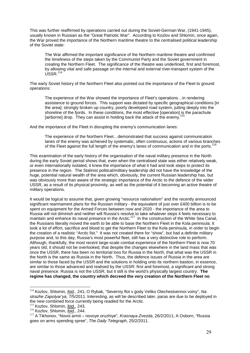This was further reaffirmed by operations carried out during the Soviet-German War, (1941-1945), usually known in Russian as the "Great Patriotic War". According to Kozlov and Shlomin, once again, the War proved the importance of the Northern maritime theatre to the centralised political leadership of the Soviet state:

The War affirmed the important significance of the Northern maritime theatre and confirmed the timeliness of the steps taken by the Communist Party and the Soviet government in creating the Northern Fleet. The significance of the theatre was underlined, first and foremost, by allowing vital and safe passage on the internal and external river-transport system of the  $USSR$ <sup>1</sup>

The early Soviet history of the Northern Fleet also pointed out the importance of the Fleet to ground operations:

The experience of the War showed the importance of Fleet's operations…in rendering assistance to ground forces. This support was dictated by specific geographical conditions [in the area]: strongly broken up country, poorly developed road system, jutting deeply into the shoreline of the fjords. In these conditions, the most effective [operation] is the parachute [airborne] drop. They can assist in holding back the attack of the enemy.

And the importance of the Fleet in disrupting the enemy's communication lanes:

The experience of the Northern Fleet…demonstrated that success against communication lanes of the enemy was achieved by systematic, often continuous, actions of various branches of the Fleet against the full length of the enemy's lanes of communication and in the ports.

This examination of the early history of the organisation of the naval military presence in the North during the early Soviet period shows that, even when the centralised state was either relatively weak, or even internationally isolated, it knew the importance of what it had and took steps to protect its presence in the region. The Stalinist political/military leadership did not have the knowledge of the huge, potential natural wealth of the area which, obviously, the current Russian leadership has, but was obviously more than aware of the strategic importance of the Arctic to the defence of the wider USSR, as a result of its physical proximity, as well as the potential of it becoming an active theatre of military operations.

It would be logical to assume that, given growing "resource nationalism" and the recently announced significant rearmament plans for the Russian military - the equivalent of just over £400 billion is to be spent on equipment for the Armed Forces between now and 2020 - the importance of the area to Russia will not diminish and neither will Russia's resolve to take whatever steps it feels necessary to maintain and enhance its naval presence in the Arctic.<sup>117</sup> In the construction of the White Sea Canal, the Russians literally moved the earth to be able to base the Northern Fleet in the Kola peninsula. It took a lot of effort, sacrifice and blood to get the Northern Fleet to the Kola peninsula, in order to begin the creation of a realistic "Arctic fist." It was not created there for "show", but had a definite military purpose and, to this day, Russia's most powerful fleet, still has a very distinctive role to perform. Although, thankfully, the most recent large-scale combat experience of the Northern Fleet is now 70 years old, it should not be overlooked, that despite the changes elsewhere in the land mass that was once the USSR, there has been no territorial loss for Russia in the North, that what was the USSR in the North is the same as Russia in the North. Thus, the defence issues of Russia in the area are similar to those faced by the USSR and the solutions in holding onto its northern bastion, in essence, are similar to those advanced and realised by the USSR: first and foremost, a significant and strong naval presence. Russia is not the USSR, but it still is the world's physically largest country. **The regime has changed, the country which decreed the very creation of the Northern Fleet no** 

<sup>&</sup>lt;sup>114</sup> Kozlov, Shlomin, <u>ibid</u>., 241; O Rybak, "Severniy flot v gody Veliko Otechestvennoi voiny", Na strazhe Zapolyar'ya, 7/5/2011. Interesting, as will be described later, paras are due to be deployed in the new combined force currently being readied for the Arctic.

<sup>&</sup>lt;sup>115</sup> Kozlov, Shlomin, ibid., 243.

<sup>116</sup> Kozlov, Shlomin, ibid., 244.

<sup>&</sup>lt;sup>117</sup> A Tikhonov, "Novoi armii – novoye oruzhiye", Krasnaya Zvezda, 26/2/2011; A Osborn, "Russia goes on arms spending spree", The Daily Telegraph, 25/2/2011.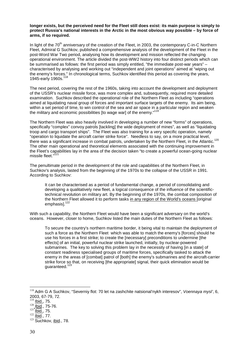#### **longer exists, but the perceived need for the Fleet still does exist: its main purpose is simply to protect Russia's national interests in the Arctic in the most obvious way possible – by force of arms, if so required.**

In light of the 70<sup>th</sup> anniversary of the creation of the Fleet, in 2003, the contemporary C-in-C Northern Fleet, Admiral G Suchkov, published a comprehensive analysis of the development of the Fleet in the post-Word War Two period, analysing how its development and mission reflected the changing operational environment. The article divided the post-WW2 history into four distinct periods which can be summarised as follows: the first period was simply entitled, "the immediate post-war years" – characterised by analysing and working out "independent and joint operations" aimed at "wiping out the enemy's forces." In chronological terms, Suchkov identified this period as covering the years, 1945-early 1960s.<sup>118</sup>

The next period, covering the rest of the 1960s, taking into account the development and deployment of the USSR's nuclear missile force, was more complex and, subsequently, required more detailed examination. Suchkov described the operational role of the Northern Fleet as including "operations aimed at liquidating naval group of forces and important surface targets of the enemy. Its aim being, within a set period of time, to win control of the sea and air space in a particular region and weaken the military and economic possibilities [to wage war] of the enemy."<sup>119</sup>

The Northern Fleet was also heavily involved in developing a number of new "forms" of operations, specifically "complex" convoy patrols [tackling] the wide deployment of mines", as well as "liquidating troop and cargo transport ships". The Fleet was also training for a very specific operation, namely "operation to liquidate the aircraft carrier strike force". Needless to say, on a more practical level, there was a significant increase in combat patrols, undertaken by the Northern Fleet, in the Atlantic.<sup>120</sup> The other main operational and theoretical elements associated with the continuing improvement in the Fleet's capabilities lay in the area of the decision taken "to create a powerful ocean-going nuclear missile fleet."<sup>121</sup>

The penultimate period in the development of the role and capabilities of the Northern Fleet, in Suchkov's analysis, lasted from the beginning of the 1970s to the collapse of the USSR in 1991. According to Suchkov:

It can be characterised as a period of fundamental change, a period of consolidating and developing a qualitatively new fleet, a logical consequence of the influence of the scientifictechnical revolution on military art. By the beginning of the 1970s, the combat composition of the Northern Fleet allowed it to perform tasks in any region of the World's oceans [original emphasisl.<sup>122</sup>

With such a capability, the Northern Fleet would have been a significant adversary on the world's oceans. However, closer to home, Suchkov listed the main duties of the Northern Fleet as follows:

To secure the country's northern maritime border, it being vital to maintain the deployment of such a force as the Northern Fleet which was able to match the enemy's [forces] should he use his forces in a first strike; to create the [necessary] preconditions to undermine [the effects] of an initial, powerful nuclear strike launched, initially, by nuclear-powered submarines. The key to solving this problem lay in the necessity of having [in a state] of constant readiness specialised groups of maritime forces, specifically tasked to attack the enemy in the areas of [combat] patrol of [both] the enemy's submarines and the aircraft-carrier strike force so that, on receiving [the appropriate] signal, their quick elimination would be quaranteed.<sup>123</sup>

- $121$   $\underline{I}$   $\underline{I}$   $\underline{I}$   $\underline{I}$   $\underline{I}$   $\overline{I}$   $\overline{I}$   $\overline{I}$   $\overline{I}$   $\overline{I}$   $\overline{I}$   $\overline{I}$   $\overline{I}$   $\overline{I}$   $\overline{I}$   $\overline{I}$   $\overline{I}$   $\overline{I}$   $\overline{I}$   $\overline{I}$   $\overline{I}$   $\overline{I}$   $\overline{I}$   $\overline{I}$
- $122$   $\overline{Ibid}$ ., 77.

 $118$  Adm G A Suchkov, "Severniy flot: 70 let na zashchite natsional'nykh interesov", Voennaya mysl', 6, 2003, 67-79, 72.

 $119$  Ibid., 75.

 $120$  Ibid., 75-76.

 $123$  Suchkov, ibid., 78.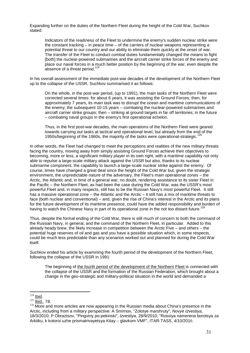Expanding further on the duties of the Northern Fleet during the height of the Cold War, Suchkov stated:

Indicators of the readiness of the Fleet to undermine the enemy's sudden nuclear strike were the constant tracking – in peace time – of the carriers of nuclear weapons representing a potential threat to our country and our ability to eliminate them quickly at the onset of war. The transfer of the Fleet to conduct combat duties fundamentally changed the means to fight [both] the nuclear-powered submarines and the aircraft carrier strike forces of the enemy and place our naval forces in a much better position by the beginning of the war, even despite the absence of a threat period.<sup>124</sup>

In his overall assessment of the immediate post-war decades of the development of the Northern Fleet up to the collapse of the USSR, Suchkov summarised it as follows:

On the whole, in the post-war period, (up to 1991), the main tasks of the Northern Fleet were corrected several times: for about 6 years, it was assisting the Ground Forces; then, for approximately 7 years, its main task was to disrupt the ocean and maritime communications of the enemy; the subsequent 10-15 years – combating the nuclear-powered submarines and aircraft carrier strike groups; then – striking at ground targets in far off territories; in the future – combating naval groups in the enemy's first operational echelon.

Thus, in the first post-war decades, the main operations of the Northern Fleet were geared towards carrying out tasks at tactical and operational level, but already from the end of the 1950s/beginning of the 1960s, the majority of the tasks were operational-strategic.<sup>125</sup>

In other words, the Fleet had changed to meet the perceptions and realities of the new military threats facing the country, moving away from simply assisting Ground Forces achieve their objectives to becoming, more or less, a significant military player in its own right, with a maritime capability not only able to repulse a large-scale military attack against the USSR but also, thanks to its nuclear submarine component, the capability to launch a large-scale nuclear strike against the enemy. Of course, times have changed a great deal since the height of the Cold War but, given the strategic environment, the unpredictable nature of the adversary, the Fleet's main operational zones – the Arctic, the Atlantic and, in time of a general war, no doubt, rendering assistance to its sister Fleet in the Pacific – the Northern Fleet, as had been the case during the Cold War, was the USSR's most powerful Fleet and, in many respects, still has to be the Russian Navy's most powerful Fleet. It still has a massive operational zone – the Atlantic and the Arctic – it still has a mix of maritime threats to face (both nuclear and conventional) – and, given the rise of China's interest in the Arctic and its plans for the future development of its maritime presence, could have the added responsibility and burden of having to watch the Chinese Navy in part of its operational zone in the not too distant future.<sup>126</sup>

Thus, despite the formal ending of the Cold War, there is still much of concern to both the command of the Russian Navy, in general, and the command of the Northern Fleet, in particular. Added to this already heady brew, the likely increase in competition between the Arctic Five – and others – the potential huge reserves of oil and gas and you have a possible situation which, in some respects, could be much less predictable than any scenarios worked out and planned for during the Cold War itself.

Suchkov ended his article by examining the fourth period of the development of the Northern Fleet, following the collapse of the USSR in 1991:

The beginning of the fourth period of the development of the Northern Fleet is connected with the collapse of the USSR and the formation of the Russian Federation, which brought about a change in the geo-strategic and military-political situation in the world and demanded a

 $\overline{a}$  $124$  Ibid.

 $125$  Ibid., 78.

 $126$  More and more articles are now appearing in the Russian media about China's presence in the Arctic, including from a military perspective: A Smirnov, "Zolotye marshruty", Novye Izvestiya, 18/3/2010; P Obraztsov, "Pingviny po-pekinski", Izvestiya, 28/9/2010; "Rossiya namerena borotsya za Arktiku, k kotoroi uzhe prismatrivayetsya Kitay – glavkom VMF", ITAR-TASS, 4/10/2010.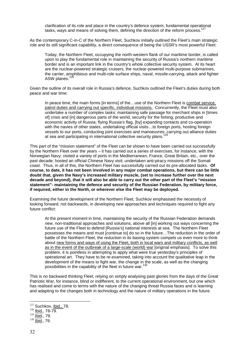clarification of its role and place in the country's defence system, fundamental operational tasks, ways and means of solving them, defining the direction of the reform process.<sup>127</sup>

As the contemporary C-in-C of the Northern Fleet, Suchkov initially outlined the Fleet's main strategic role and its still significant capability, a direct consequence of being the USSR's most powerful Fleet:

Today, the Northern Fleet, occupying the north-western flank of our maritime border, is called upon to play the fundamental role in maintaining the security of Russia's northern maritime border and is an important link in the country's whole collective security system. At its heart are the nuclear-powered strategic cruisers, the nuclear-powered multi-purpose submarines, the carrier, amphibious and multi-role surface ships, naval, missile-carrying, attack and fighter ASW planes.<sup>1</sup>

Given the outline of its overall role in Russia's defence, Suchkov outlined the Fleet's duties during both peace and war time:

In peace time, the main forms [in terms] of the...use of the Northern Fleet is combat service, patrol duties and carrying out specific, individual missions. Concurrently, the Fleet must also undertake a number of complex tasks: maintaining safe passage for merchant ships in [times of] crisis and [in] dangerous parts of the world; security for the fishing, productive and economic activity of Russia; flying Russia's flag, [by] expanding contacts and co-operation with the navies of other states, undertaking official visits…to foreign ports, hosting foreign vessels to our ports, conducting joint exercises and manoeuvres; carrying out alliance duties at sea and participating in international collective security plans.

This part of the "mission statement" of the Fleet can be shown to have been carried out successfully by the Northern Fleet over the years – it has carried out a series of exercises, for instance, with the Norwegian Navy; visited a variety of ports in the Mediterranean, France, Great Britain, etc., over the past decade; hosted an official Chinese Navy visit; undertaken anti-piracy missions off the Somali coast. Thus, in all of this, the Northern Fleet has successfully carried out its pre-allocated tasks. **Of course, to date, it has not been involved in any major combat operations, but there can be little doubt that, given the Navy's increased military muscle, (set to increase further over the next decade and beyond), that it will also be able to carry out the other part of the Fleet's "mission statement"- maintaining the defence and security of the Russian Federation, by military force, if required, either in the North, or wherever else the Fleet may be deployed.** 

Examining the future development of the Northern Fleet, Suchkov emphasised the necessity of looking forward, not backwards, in developing new approaches and techniques required to fight any future conflict:

At the present moment in time, maintaining the security of the Russian Federation demands new, non-traditional approaches and solutions, above all [in] working out ways concerning the future use of the Fleet to defend [Russia's] national interests at sea. The Northern Fleet possesses the means and must [continue to] do so in the future…The reduction in the order of battle of the Northern Fleet, the reduction in its basing system compels us even more to think about new forms and ways of using the Fleet, both in local wars and military conflicts, as well as in the event of the outbreak of a large-scale (world) war [original emphasis]. To solve this problem, it is pointless in attempting to apply what were true yesterday's principles of operational art. They have to be re-examined, taking into account the qualitative leap in the development of the means to fight war, the change in the scale, as well as the changing possibilities in the capability of the fleet in future war.<sup>130</sup>

This is no backward thinking Fleet, relying on simply analysing past glories from the days of the Great Patriotic War, for instance, blind or indifferent, to the current operational environment, but one which has realised and come to terms with the nature of the changing threat Russia faces and is learning and adapting to the changes both in technology and the nature of military operations in the future.

 $127$  Suchkov, ibid., 78.

<sup>128</sup> Ibid., 78-79.

 $129$  Ibid., 79.

 $130$  Ibid., 79.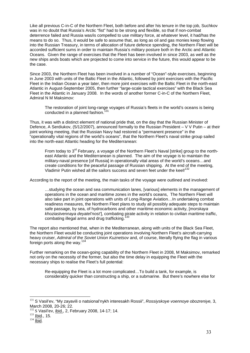Like all previous C-in-C of the Northern Fleet, both before and after his tenure in the top job, Suchkov was in no doubt that Russia's Arctic "fist" had to be strong and flexible, so that if non-combat deterrence failed and Russia was/is compelled to use military force, at whatever level, it had/has the means to do so. Thus, it would be safe to assume that, as long as oil and gas monies keep flowing into the Russian Treasury, in terms of allocation of future defence spending, the Northern Fleet will be accorded sufficient sums in order to maintain Russia's military posture both in the Arctic and Atlantic Oceans. Given the range of exercises that the Fleet has been involved in since 2003, as well as the new ships ands boats which are projected to come into service in the future, this would appear to be the case.

Since 2003, the Northern Fleet has been involved in a number of "Ocean"-style exercises, beginning in June 2003 with units of the Baltic Fleet in the Atlantic, followed by joint exercises with the Pacific Fleet in the Indian Ocean a year later, then more joint exercises with the Baltic Fleet in the north-east Atlantic in August-September 2005, then further "large-scale tactical exercises" with the Black Sea Fleet in the Atlantic in January 2008. In the words of another former C-in-C of the Northern Fleet, Admiral N M Maksimov:

The restoration of joint long-range voyages of Russia's fleets in the world's oceans is being conducted in a planned fashion.<sup>131</sup>

Thus, it was with a distinct element of national pride that, on the day that the Russian Minister of Defence, A Serdiukov, (5/12/2007), announced formally to the Russian President – V V Putin – at their joint working meeting, that the Russian Navy had restored a "permanent presence" in the "operationally vital regions of the world's oceans", that the Northern Fleet's naval strike group sailed into the north-east Atlantic heading for the Mediterranean:

From today to  $3<sup>rd</sup>$  February, a voyage of the Northern Fleet's Naval [strike] group to the northeast Atlantic and the Mediterranean is planned. The aim of the voyage is to maintain the military-naval presence [of Russia] in operationally vital areas of the world's oceans…and create conditions for the peaceful passage of Russian shipping. At the end of the meeting, Vladimir Putin wished all the sailors success and seven feet under the keel!<sup>132</sup>

According to the report of the meeting, the main tasks of the voyage were outlined and involved:

…studying the ocean and sea communication lanes, [various] elements in the management of operations in the ocean and maritime zones in the world's oceans, The Northern Fleet will also take part in joint operations with units of Long-Range Aviation…In undertaking combat readiness measures, the Northern Fleet plans to study all possibly adequate steps to maintain safe passage, by sea, of hydrocarbons and other maritime economic activity, [*morskaya* khoziastvennaya deyatel'nost<sup>1</sup>, combating pirate activity in relation to civilian maritime traffic, combating illegal arms and drug trafficking.

The report also mentioned that, when in the Mediterranean, along with units of the Black Sea Fleet, the Northern Fleet would be conducting joint operations involving Northern Fleet's aircraft-carrying heavy cruiser, Admiral of the Soviet Union Kuznetsov and, of course, literally flying the flag in various foreign ports along the way. $134$ 

Further remarking on the ocean-going capability of the Northern Fleet in 2008, M Maksimov, remarked not only on the necessity of the former, but also the time delay in equipping the Fleet with the necessary ships to realise the Fleet's full potential:

Re-equipping the Fleet is a lot more complicated…To build a tank, for example, is considerably quicker than constructing a ship, or a submarine. But there's nowhere else for

 $\overline{a}$ <sup>131</sup> S Vasil'ev, "My zayavili o natsional'nykh interesakh Rossii", Rossiyskoye voennoye obozreniye, 3, March 2008, 20-26; 22.

<sup>&</sup>lt;sup>132</sup> S Vasil'ev, ibid., 2, February 2008, 14-17; 14.

<sup>133</sup> Ibid., 15.

 $134$  Ibid.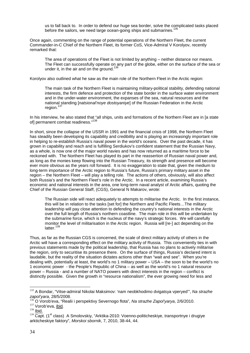us to fall back to. In order to defend our huge sea border, solve the complicated tasks placed before the sailors, we need large ocean-going ships and submarines. $^{135}$ 

Once again, commenting on the range of potential operations of the Northern Fleet, the current Commander-in-C Chief of the Northern Fleet, its former CoS, Vice-Admiral V Korolyov, recently remarked that:

The area of operations of the Fleet is not limited by anything – neither distance nor means. The Fleet can successfully operate on any part of the globe, either on the surface of the sea or under it, in the air and on the ground.<sup>136</sup>

Korolyov also outlined what he saw as the main role of the Northern Fleet in the Arctic region:

The main task of the Northern Fleet is maintaining military-political stability, defending national interests, the firm defence and protection of the state border in the surface water environment and in the under-water environment, the expanses of the sea, natural resources and the national standing [natsional'noye dostoyaniye] of the Russian Federation in the Arctic region. $137$ 

In his interview, he also stated that "all ships, units and formations of the Northern Fleet are in [a state of] permanent combat readiness."<sup>138</sup>

In short, since the collapse of the USSR in 1991 and the financial crisis of 1998, the Northern Fleet has steadily been developing its capability and credibility and is playing an increasingly important role in helping to re-establish Russia's naval power in the world's oceans. Over the past decade, it has grown in capability and reach and is fulfilling Serdiukov's confident statement that the Russian Navy, as a whole, is now one of the major world navies and has now returned as a maritime force to be reckoned with. The Northern Fleet has played its part in the reassertion of Russian naval power and, as long as the monies keep flowing into the Russian Treasury, its strength and presence will become ever more obvious as the years roll forward. It is no exaggeration to state that, given the medium to long-term importance of the Arctic region to Russia's future, Russia's primary military asset in the region – the Northern Fleet – will play a telling role. The actions of others, obviously, will also affect both Russia's and the Northern Fleet's role in the Arctic. In a recent article, examining Russia's economic and national interests in the area, one long-term naval analyst of Arctic affairs, quoting the Chief of the Russian General Staff, (CGS), General N Makarov, wrote:

The Russian side will react adequately to attempts to militarise the Arctic. In the first instance, this will be in relation to the tasks [set for] the Northern and Pacific Fleets…The military leadership will pay close attention to defending the country's national interests in the Arctic over the full length of Russia's northern coastline. The main role in this will be undertaken by the submarine force, which is the nucleus of the navy's strategic forces. We will carefully monitor the level of militarisation in the Arctic region. Russia will [re-] act depending on the latter.<sup>139</sup>

Thus, as far as the Russian CGS is concerned, the scale of direct military activity of others in the Arctic will have a corresponding effect on the military activity of Russia. This conveniently ties in with previous statements made by the political leadership, that Russia has no plans to actively militarise the region, only to securitise its presence there. On the surface of things, Russia's declared intent is laudable, but the reality of the situation dictates actions other than "wait and see". When you're dealing with, potentially at least, the world's no 1 military power – USA – the soon to be the world's no 1 economic power - the People's Republic of China – as well as the world's no 1 natural resource power – Russia - and a number of NATO powers with direct interests in the region – conflict is distinctly possible. Given the growth in "resource nationalism", the ever growing need for less and

<sup>&</sup>lt;sup>135</sup> A Bondar, "Vitse-admiral Nikolai Maksimov: 'nam neobkhodimo dvigatsya vperyed'", Na strazhe zapol'yara, 28/5/2008.

<sup>&</sup>lt;sup>136</sup> O Vorob'eva, "Realii i perspektivy Severnogo flota", Na strazhe Zapol'yarya, 2/6/2010.

<sup>&</sup>lt;sup>137</sup> Vorob'eva, ibid.

<sup>138</sup> Ibid.

 $139$  Capt. (1<sup>st</sup> class) A Smolovskiy, "Arktika-2010: Voenno-politicheskiye, transportnye i drugiye arkticheskiye faktory", Morskoi sbornik, 7, 2010, 38-44, 44.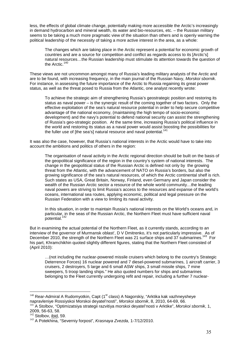less, the effects of global climate change, potentially making more accessible the Arctic's increasingly in demand hydrocarbon and mineral wealth, its water and bio-resources, etc. – the Russian military seems to be taking a much more pragmatic view of the situation than others and is openly warning the political leadership of the necessity of taking a more active interest in the area, as a whole:

The changes which are taking place in the Arctic represent a potential for economic growth of countries and are a source for competition and conflict as regards access to its [Arctic's] natural resources…the Russian leadership must stimulate its attention towards the question of the Arctic.<sup>14</sup>

These views are not uncommon amongst many of Russia's leading military analysts of the Arctic and are to be found, with increasing frequency, in the main journal of the Russian Navy, Morskoi sbornik. For instance, in assessing the future importance of the Arctic to Russia regaining its great power status, as well as the threat posed to Russia from the Atlantic, one analyst recently wrote:

To achieve the strategic aim of strengthening Russia's geostrategic position and restoring its status as naval power – is the synergic result of the coming together of two factors. Only the effective exploitation of the sea's natural resource potential in order to help secure competitive advantage of the national economy, (maintaining the high tempo of socio-economic development) and the navy's potential to defend national security can assist the strengthening of Russia's geo-strategic position. At the same time, increasing Russia's political influence in the world and restoring its status as a naval power would assist boosting the possibilities for the fuller use of [the sea's] natural resource and naval potential.<sup>141</sup>

It was also the case, however, that Russia's national interests in the Arctic would have to take into account the ambitions and politics of others in the region:

The organisation of naval activity in the Arctic regional direction should be built on the basis of the geopolitical significance of the region in the country's system of national interests. The change in the geopolitical status of the Russian Arctic is defined not only by the growing threat from the Atlantic, with the advancement of NATO on Russia's borders, but also the growing significance of the sea's natural resources, of which the Arctic continental shelf is rich. Such states as USA, Great Britain, Norway, Finland, even Germany and Japan consider the wealth of the Russian Arctic sector a resource of the whole world community…the leading naval powers are striving to limit Russia's access to the resources and expanse of the world's oceans, international sea routes, applying economic, political and legal pressure on the Russian Federation with a view to limiting its naval activity.

In this situation, in order to maintain Russia's national interests on the World's oceans and, in particular, in the seas of the Russian Arctic, the Northern Fleet must have sufficient naval .<br>potential.<sup>142</sup>

But in examining the actual potential of the Northern Fleet, as it currently stands, according to an interview of the governor of Murmansk oblast', D V Dmitrenko, it's not particularly impressive. As of December 2010, the strength of the Northern Fleet was 21 surface ships and 37 submarines.<sup>143</sup> For his part, Khramchikhin quoted slightly different figures, stating that the Northern Fleet consisted of (April 2010):

…(not including the nuclear-powered missile cruisers which belong to the country's Strategic Deterrence Forces) 16 nuclear powered and 7 diesel-powered submarines, 1 aircraft carrier, 3 cruisers, 2 destroyers, 5 large and 6 small ASW ships, 3 small missile ships, 7 mine sweepers, 5 troop landing ships." He also quoted numbers for ships and submarines belonging to the Fleet currently undergoing refit and repair, including a further 7 nuclear-

 $\overline{a}$  $140$  Rear-Admiral A Rudomyotkin, Capt (1<sup>st</sup> class) A Nagorskiy, "Arktika kak vazhneysheye napravleniye Rossiyskoi Morskoi deyatel'nosti", Morskoi sbornik, 8, 2010, 64-69, 66.

<sup>&</sup>lt;sup>141</sup> A Stolbov, "Optimizatsiya strategii razvitiya morskoi deyatel'nosti v Arktike", Morskoi sbornik, 1, 2009, 56-63, 58.

<sup>142</sup> Stolbov, ibid, 59.

<sup>&</sup>lt;sup>143</sup> A Potekhina, "Severniy forpost", Krasnaya Zvezda, 1-7/12/2010.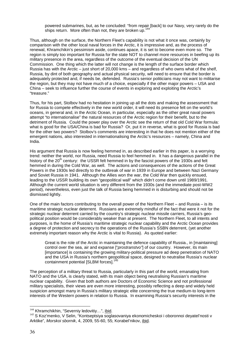powered submarines, but, as he concluded: "from repair [back] to our Navy, very rarely do the ships return. More often than not, they are broken up.<sup>144</sup>

Thus, although on the surface, the Northern Fleet's capability is not what it once was, certainly by comparison with the other local naval forces in the Arctic, it is impressive and, as the process of renewal, Khramchikin's pessimism aside, continues apace, it is set to become even more so. The region is simply too important for Russia for the state NOT to channel more resources in beefing up its military presence in the area, regardless of the outcome of the eventual decision of the UN Commission. One thing which the latter will not change is the length of the surface border which Russia has with the Arctic – just short of 20,000 kms – and regardless of who owns what of the shelf, Russia, by dint of both geography and actual physical security, will need to ensure that the border is adequately protected and, if needs be, defended. Russia's senior politicians may not want to militarise the region, but they may not have much of a choice, especially if the other major powers – USA and China – seek to influence further the course of events in exploring and exploiting the Arctic's "treasure."

Thus, for his part, Stolbov had no hesitation in joining up all the dots and making the assessment that for Russia to compete effectively in the new world order, it will need its presence felt on the world's oceans, in general and, in the Arctic Ocean, in particular, especially as the other great naval powers attempt "to internationalise" the natural resources of the Arctic region for their benefit, but to the detriment of Russia. Could the power play over the Arctic see the return of that old Cold War formula: what is good for the USA/China is bad for Russia? Or, put it in reverse, what is good for Russia is bad for the other two powers? Stolbov's comments are interesting in that he does not mention either of the emergent nations, also interested in internationalising the Arctic's resources – namely, China and India.

His argument that Russia is now feeling hemmed in, as described earlier in this paper, is a worrying trend: neither the world, nor Russia, need Russia to feel hemmed in. It has a dangerous parallel in the history of the 20<sup>th</sup> century: the USSR felt hemmed in by the fascist powers of the 1930s and felt hemmed in during the Cold War, as well. The actions and consequences of the actions of the Great Powers in the 1930s led directly to the outbreak of war in 1939 in Europe and between Nazi Germany and Soviet Russia in 1941. Although the Allies won the war, the Cold War then quickly ensued, leading to the USSR building its own "geopolitical wall" which didn't come down until 1989/1991. Although the current world situation is very different from the 1930s (and the immediate post-WW2 period), nevertheless, even just the talk of Russia being hemmed in is disturbing and should not be dismissed lightly.

One of the main factors contributing to the overall power of the Northern Fleet – and Russia – is its maritime strategic nuclear deterrent. Russians are extremely mindful of the fact that were it not for the strategic nuclear deterrent carried by the country's strategic nuclear missile carriers, Russia's geopolitical position would be considerably weaker than at present. The Northern Fleet, to all intents and purposes, is the home of Russia's maritime strategic nuclear capability and the Arctic Ocean provides a degree of protection and secrecy to the operations of the Russia's SSBN deterrent, (yet another extremely important reason why the Arctic is vital to Russia). As quoted earlier:

Great is the role of the Arctic in maintaining the defence capability of Russia., in [maintaining] control over the sea, air and expanse ["prostranstvo"] of our country. However, its main [importance] is containing the growing military-political pressure ad deep penetration of NATO and the USA in Russia's northern geopolitical space, designed to neutralise Russia's nuclear containment potential [SLBM forces].

The perception of a military threat to Russia, particularly in this part of the world, emanating from NATO and the USA, is clearly stated, with its main object being neutralising Russian's maritime nuclear capability. Given that both authors are Doctors of Economic Science and not professional military specialists, their views are even more interesting, possibly reflecting a deep and widely held suspicion amongst many in Russia's military strategic elite concerning the true medium-to long-term interests of the Western powers in relation to Russia. In examining Russia's security interests in the

<sup>&</sup>lt;sup>144</sup> Khramchikhin, "Severniy ledovitiy...", *ibid.* 

<sup>&</sup>lt;sup>145</sup> S Koz'menko, V Selin, "Kontseptsiya soglasovaniya ekonomicheskoi i oboronnoi deyatel'nosti v Arktike", Morskoi sbornik, 4, 2009, 55-60, 55; Korabel'nikov, ibid.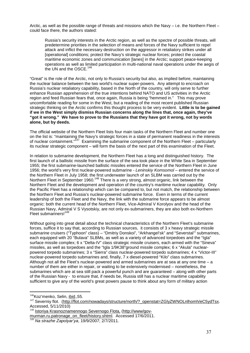Arctic, as well as the possible range of threats and missions which the Navy – i.e. the Northern Fleet – could face there, the authors stated:

Russia's security interests in the Arctic region, as well as the spectre of possible threats, will predetermine priorities in the selection of means and forces of the Navy sufficient to repel attack and inflict the necessary destruction on the aggressor in retaliatory strikes under all [operational] conditions; protect the Navy's strategic nuclear forces; protect the coastal maritime economic zones and communication [lanes] in the Arctic; support peace-keeping operations as well as limited participation in multi-national naval operations under the aegis of the UN and the OSCE.<sup>146</sup>

"Great" is the role of the Arctic, not only to Russia's security but also, as implied before, maintaining the nuclear balance between the two world's nuclear super-powers. Any attempt to encroach on Russia's nuclear retaliatory capability, based in the North of the country, will only serve to further enhance Russian apprehension of the true intentions behind NATO and US activities in the Arctic region and feed Russian fears that, once again, Russia is being "hemmed in." This may prove uncomfortable reading for some in the West, but a reading of the most recent published Russian strategic thinking on the Arctic confirms this thought process to be very evident. **Little is to be gained if we in the West simply dismiss Russian concerns along the lines that, once again, they've "got it wrong." We have to prove to the Russians that they have got it wrong, not by words alone, but by deeds.** 

The official website of the Northern Fleet lists four main tasks of the Northern Fleet and number one on the list is: "maintaining the Navy's strategic forces in a state of permanent readiness in the interests of nuclear containment."<sup>147</sup> Examining the submarine component of the Northern Fleet – particularly its nuclear strategic component – will form the basis of the next part of this examination of the Fleet.

In relation to submarine development, the Northern Fleet has a long and distinguished history. The first launch of a ballistic missile from the surface of the sea took place in the White Sea in September 1955; the first submarine-launched ballistic missiles entered the service of the Northern Fleet in June 1956; the world's very first nuclear-powered submarine - Leninskiy Komsomol – entered the service of the Northern Fleet in July 1958; the first underwater launch of an SLBM was carried out by the Northern Fleet in September 1960.<sup>148</sup> There is a very strong, almost organic, link between the Northern Fleet and the development and operation of the country's maritime nuclear capability. Only the Pacific Fleet has a relationship which can be compared to, but not match, the relationship between the Northern Fleet and Russia's nuclear-powered submarine force. Even in terms of the current leadership of both the Fleet and the Navy, the link with the submarine force appears to be almost organic: both the current head of the Northern Fleet, Vice-Admiral V Korolyov and the head of the Russian Navy, Admiral V S Vysotskiy, are not only ex-submariners, they are also both ex-Northern Fleet submariners!<sup>149</sup>

Without going into great detail about the technical characteristics of the Northern Fleet's submarine forces, suffice it to say that, according to Russian sources, it consists of 3 x heavy strategic missile submarine cruisers ("Typhoon" class) – "Dmitriy Donskoi", "Arkhangel'sk" and "Severstal'" submarines, each equipped with 20 "Bulava" SLBMs, as well as a variety of advanced torpedoes and the "Igla" surface missile complex; 6 x "Delta-IV" class strategic missile cruisers, each armed with the "Sineva" missiles, as well as torpedoes and the "Igla 1/9K38"ground missile complex; 6 x "Akula" nuclearpowered torpedo submarines; 3 x "Sierra" class nuclear-powered torpedo submarines; 4 x "Victor-III" nuclear-powered torpedo submarines and, finally, 7 x diesel-powered "Kilo" class submarines. Although not all the Fleet's nuclear-powered and armed submarines are at sea at any one time – a number of them are either in repair, or waiting to be extensively modernised – nonetheless, the submarines which are at sea still pack a powerful punch and are guaranteed – along with other parts of the Russian Navy - to ensure that, if needs be, Russia still has a nuclear maritime capability sufficient to give any of the world's great powers pause to think about any form of military action

<sup>&</sup>lt;sup>146</sup>Koz'menko, Selin, <u>ibid</u>.,55.

<sup>&</sup>lt;sup>147</sup> Severniy flot. (http://flot.com/nowadays/structure/north/?\_openstat=ZGlyZWNOLnlhomh/eC5ydTsx. Accessed, 5/11/2010)

<sup>148</sup> Istoriya Krasnoznamennogo Severnogo Flota, (http://www/gov-

murman.ru.patronage\_on\_fleet/history.shtml. Accessed 17/6/2011.

 $^{9}$  Na strazhe Zapolyar'ya, 19/9/2007; 2/7/2011.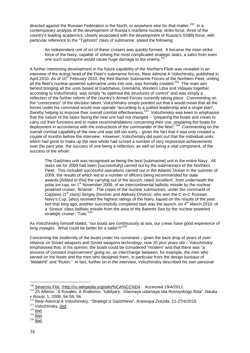directed against the Russian Federation in the North, or anywhere else for that matter.<sup>150</sup> In a contemporary analysis of the development of Russia's maritime nuclear strike force, three of the country's leading academics, closely associated with the development of Russia's SSBN force, with particular reference to the "Typhoon" class of submarine, stated the following:

An independent unit of six of these cruisers was quickly formed. It became the main strike force of the Navy, capable of solving the most complicated strategic tasks, a salvo from even one such submarine would cause huge damage to the enemy.<sup>15</sup>

A further interesting development in the future capability of the Northern Fleet was revealed in an interview of the acting head of the Fleet's submarine forces, Rear Admiral A Volozhinsky, published in April 2010. As of 10<sup>th</sup> February 2010, the Red Banner Submarine Forces of the Northern Fleet, uniting all the fleet's nuclear-powered submarine units into one, was formally created.<sup>152</sup> The main aim behind bringing all the units based at Gadzheiva, Gremikha, Western Litsa and Vidayev together, according to Volozhinskiy, was simply "to optimise the structures of control" and was simply a reflection of the further reform of the country's Armed Forces currently taking place. Commenting on the "correctness" of the decision taken, Volozhinskiy simply pointed out that it would mean that all the forces under his command would now operate "according to a unified leadership and a single plan", thereby helping to improve their overall combat effectiveness.<sup>153</sup> Volozhinskiy was keen to emphasise that the nature of the tasks facing the new unit had not changed – "preparing the boats and crews to carry out their functions and to make recommendations concerning their use, preparing the boats for deployment in accordance with the instructions of the commander of the fleet".<sup>154</sup> Commenting on the overall combat capability of the new unit was still too early – given the fact that it was only created a couple of months before the interview. However, Volozhinskiy did point out that the individual units which had gone to make up the new whole had scored a number of very impressive achievements over the past year, the success of one being a reflection, as well as being a vital component, of the success of the whole:

The Gadzhiev unit was recognised as being the best [submarine] unit in the entire Navy. All tasks set for 2009 had been [successfully] carried out by the submariners of the Northern Fleet. This included successful operations carried out in the Atlantic Ocean in the summer of 2009, the results of which led to a number of officers being recommended for state awards.[Added to this] the carrying out of the launch, rated 'excellent', from underneath the polar ice cap, on 1<sup>st</sup> November 2009, of an intercontinental ballistic missile by the nuclearpowered cruiser, 'Briansk'. The crews of the nuclear submarines, under the command of Captains (1<sup>st</sup> class) Sergey Dominin and Aleksey Dmitrov, who won the C-in-C Russian Navy's Cup, [also] received the highest ratings of the Navy, based on the results of the year. Not that long ago, another successfully completed task was the launch, on  $4<sup>th</sup>$  March 2010, of a 'Sineva' class ballistic missile from the area of the Barents Sea by the nuclear-powered strategic cruiser, 'Tula.'<sup>155</sup>

As Volozhinskiy himself stated, "our boats are continuously at sea, our crews have good experience of long voyages. What could be better for a sailor?!"<sup>156</sup>

Concerning the modernity of the boats under his command – given the back drop of years of overreliance on Soviet weapons and Soviet weapons technology, now 20 plus years old – Volozhinskiy emphasised that, in his opinion, the boats could be considered "modern" and that there was "a process of constant improvement" going on, an interchange between, for example, the men who served on the boats and the men who designed them, in particular from the design bureaux of "Malakhit" and "Rubin." In fact, further on in the interview, Volozhinskiy described his own personal

 $155$  Ibid.

 $156$  Ibid.

<sup>&</sup>lt;sup>150</sup> Severniy Flot, (http://ru.wikipedia.org/wiki/%CA%D1%D4. Accessed 19/4/2011.

<sup>151</sup> Zh Alferov, S Kovalev, A Rodionov, "Iubilyary. Glavnaya udarnaya sila Rossiyskogo flota", Nauka v Rossii, 1, 2008, 54-58, 56.

<sup>&</sup>lt;sup>152</sup> Rear-Admiral A Volozhinskiy, "Strategii iz Gadzhieva", Krasnaya Zvezda, 21-27/4/2010.

<sup>153</sup> Volozhinsky, ibid.

 $154$  Ibid.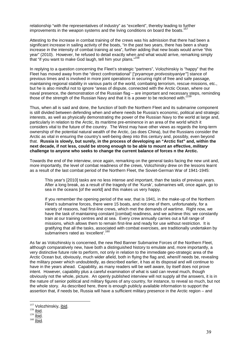relationship "with the representatives of industry" as "excellent", thereby leading to further improvements in the weapon systems and the living conditions on board the boats.<sup>157</sup>

Attesting to the increase in combat training of the crews was his admission that there had been a significant increase in sailing activity of the boats, "in the past two years, there has been a sharp increase in the intensity of combat training at sea", further adding that new boats would arrive "this year" (2010). However, he refused to detail exactly when and what would arrive, remarking simply that "if you want to make God laugh, tell him your plans."<sup>158</sup>

In replying to a question concerning the Fleet's strategic "partners", Volozhinskiy is "happy" that the Fleet has moved away from the "direct confrontational" ["*pryamoye protivostoyaniye"*] stance of previous times and is involved in more joint operations in securing right of free and safe passage, maintaining regional stability in various parts of the world, combating terrorism, rescue missions, etc., but he is also mindful not to ignore "areas of dispute, connected with the Arctic Ocean, where our naval presence, the demonstration of the Russian flag – are important and necessary steps, reminding those of the strength of the Russian Navy and that it is a power to be reckoned with."<sup>159</sup>

Thus, when all is said and done, the function of both the Northern Fleet and its submarine component is still divided between defending when and where needs be Russia's economic, political and strategic interests, as well as physically demonstrating the power of the Russian Navy to the world at large and, particularly in relation to the Arctic, its maritime pre-eminence in an area of the world which it considers vital to the future of the country. The West may have other views as regards the long-term ownership of the potential natural wealth of the Arctic, (as does China), but the Russians consider the Arctic as vital in ensuring the country's well-being deep into this century and, possibly, even beyond that. **Russia is slowly, but surely, in the process of developing an "Arctic fist" and, within the next decade, if not less, could be strong enough to be able to mount an effective, military challenge to anyone who seeks to change the current balance of forces n the Arctic.** 

Towards the end of the interview, once again, remarking on the general tasks facing the new unit and, more importantly, the level of combat readiness of the crews, Volozhinsky drew on the lessons learnt as a result of the last combat period of the Northern Fleet, the Soviet-German War of 1941-1945:

This year's [2010] tasks are no less intense and important, than the tasks of previous years. After a long break, as a result of the tragedy of the 'Kursk', submarines will, once again, go to sea in the oceans [of the world] and this makes us very happy.

If you remember the opening period of the war, that is 1941, in the make-up of the Northern Fleet's submarine forces, there were 15 boats, and not one of them, unfortunately, for a variety of reasons, had first-line crews, which met the demands of wartime. Right now, we have the task of maintaining constant [combat] readiness, and we achieve this: we constantly train at our training centres and at sea. Every crew annually carries out a full range of missions, which allows them to remain first-line and ready for use without restriction. It is gratifying that all the tasks, associated with combat exercises, are traditionally undertaken by submariners rated as 'excellent'.<sup>160</sup>

As far as Volozhinskiy is concerned, the new Red Banner Submarine Forces of the Northern Fleet, although comparatively new, have both a distinguished history to emulate and, more importantly, a very distinctive future role to perform, not only in relation to the immediate geo-strategic area of the Arctic Ocean but, obviously, much wider afield, both in flying the flag and, when/if needs be, revealing the military power which undoubtedly, as described earlier, it has at its disposal and will continue to have in the years ahead. Capability, as many readers will be well aware, by itself does not prove intent. However, capability plus a careful examination of what is said can reveal much, though obviously not the whole, picture. An openly published interview will not supply all the answers, it is in the nature of senior political and military figures of any country, for instance, to reveal so much, but not the whole story. As described here, there is enough publicly available information to support the assertion that, if needs be, Russia will have a sufficient military presence in the Arctic region – and

<sup>&</sup>lt;sup>157</sup> Volozhinskiy, ibid.

<sup>158</sup> Ibid.

 $159$  Ibid.

 $160$  Ibid.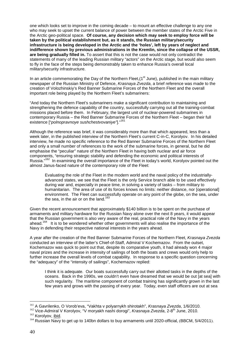one which looks set to improve in the coming decade – to mount an effective challenge to any one who may seek to upset the current balance of power between the member states of the Arctic Five in the Arctic geo-political space. **Of course, any decision which may seek to employ force will be taken by the political establishment but, as it stands, the Russian military/security infrastructure is being developed in the Arctic and the 'holes', left by years of neglect and indifference shown by previous administrations in the Kremlin, since the collapse of the USSR, are being gradually filled in.** To assert that this is not the case would not only contradict the statements of many of the leading Russian military "actors" on the Arctic stage, but would also seem to fly in the face of the steps being demonstrably taken to enhance Russia's overall local military/security infrastructure.

In an article commemorating the Day of the Northern Fleet,  $(1<sup>st</sup>$  June), published in the main military newspaper of the Russian Ministry of Defence, Krasnaya Zvezda, a brief reference was made to the creation of Volozhinskiy's Red Banner Submarine Forces of the Northern Fleet and the overall important role being played by the Northern Fleet's submariners:

"And today the Northern Fleet's submariners make a significant contribution to maintaining and strengthening the defence capability of the country, successfully carrying out all the training-combat missions placed before them. In February, the largest unit of nuclear-powered submarines in contemporary Russia – the Red Banner Submarine Forces of the Northern Fleet – began their full existence ["polnopravnoye sushchestvovanive"]."<sup>161</sup>

Although the reference was brief, it was considerably more than that which appeared, less than a week later, in the published interview of the Northern Fleet's current C-in-C, Korolyov. In his detailed interview, he made no specific reference to the Red Banner Submarine Forces of the Northern Fleet and only a small number of references to the work of the submarine forces, in general, but he did emphasise the "peculiar" nature of the Northern Fleet in having both nuclear and air force components, "ensuring strategic stability and defending the economic and political interests of Russia."<sup>162</sup> In examining the overall importance of the Fleet in today's world, Korolyov pointed out the almost Janus-faced nature of the contemporary role of the Fleet:

Evaluating the role of the Fleet in the modern world and the naval policy of the industriallyadvanced states, we see that the Fleet is the only Service branch able to be used effectively during war and, especially in peace time, in solving a variety of tasks – from military to humanitarian. The area of use of its forces knows no limits: neither distance, nor [operational] environment. The Fleet can successfully operate on any point of the globe, on the sea, under the sea, in the air or on the land.<sup>163</sup>

Given the recent announcement that approximately \$140 billion is to be spent on the purchase of armaments and military hardware for the Russian Navy alone over the next 8 years, it would appear that the Russian government is also very aware of the real, practical role of the Navy in the years ahead.<sup>164</sup> It is to be wondered whether other governments will also realise the importance of the Navy in defending their respective national interests in the years ahead.

A year after the creation of the Red Banner Submarine Forces of the Northern Fleet, Krasnaya Zvezda conducted an interview of the latter's Chief-of-Staff, Admiral V Kochemazov. From the outset, Kochemazov was quick to point out that, despite its comparative youth, it had already won 4 major naval prizes and the increase in intensity of sailings of both the boats and crews would only help to further increase the overall levels of combat capability. In response to a specific question concerning the "adequacy" of the "intensity of sailings", Kochemazov replied:

I think it is adequate. Our boats successfully carry out their allotted tasks in the depths of the oceans. Back in the 1990s, we couldn't even have dreamed that we would be out [at sea] with such regularity. The maritime component of combat training has significantly grown in the last few years and grows with the passing of every year. Today, even staff officers are out at sea

<sup>&</sup>lt;sup>161</sup> A Gavrilenko, O Vorob'eva, "Vakhta v polyarnykh shirotakh", Krasnaya Zvezda, 1/6/2010.

<sup>&</sup>lt;sup>162</sup> Vice-Admiral V Korolyov, "V moryakh nashi dorogi", Krasnaya Zvezda, 2-8<sup>th</sup> June, 2010.

<sup>163</sup> Korolvov, ibid.

<sup>&</sup>lt;sup>164</sup> Russian Navy to get up to 140bn dollars to buy armaments until 2020-official, (BBCM, 5/4/2011).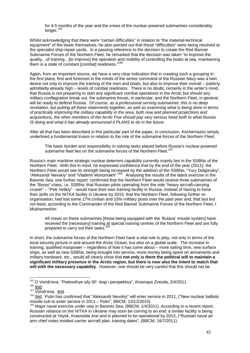for 4-5 months of the year and the crews of the nuclear-powered submarines considerably longer.<sup>165</sup>

Whilst acknowledging that there were "certain difficulties" in relation to "the material-technical equipment" of the boats themselves, he also pointed out that these "difficulties" were being resolved at the specialist ship-repair yards. In a passing reference to the decision to create the Red Banner Submarine Forces of the Northern Fleet, he remarked that the decision was taken "to improve the quality…of training…[to improve] the operation and mobility of controlling the boats at sea, maintaining them in a state of constant [combat] readiness."

Again, from an important source, we have a very clear indication that in creating such a grouping in the first place, first and foremost in the minds of the senior command of the Russian Navy was a twin desire not only to improve the training of the men and boats, but also to improve their overall – publicly admittedly already high – levels of combat readiness. There is no doubt, certainly in the writer's mind, that Russia is not preparing to start any significant combat operations in the Arctic but should any military conflagration break out, the submarine forces, in particular, and the Northern Fleet, in general, will be ready to defend Russia. Of course, as a professional serving submariner, this is no deep revelation, but putting all these statements together, as well as examining what is being done in terms of practically improving the military capability in the area, both now and planned projections and acquisitions, the other members of the Arctic Five should pay very serious heed both to what Russia IS doing and what it has already announced it PLANS to do in the future.

After all that has been described in this particular part of the paper, in conclusion, Kochemazov simply underlined a fundamental truism in relation to the role of the submarine forces of the Northern Fleet:

The basic burden and responsibility in solving tasks placed before Russia's nuclear-powered submarine fleet lies on the submarine forces of the Northern Fleet.<sup>16</sup>

Russia's main maritime strategic nuclear deterrent capability currently mainly lies in the SSBNs of the Northern Fleet. With this in mind, he expressed confidence that by the end of the year (2011), the Northern Fleet would see its strength being increased by the addition of the SSBNs, "Yury Dolgorukiy", "Aleksandr Nevskiy" and "Vladimir Monomakh".<sup>168</sup> Analysing the results of the latest exercise in the Barents Sea, one further report confirmed that the Northern Fleet would receive three submarines of the "Borey"-class, i.e. SSBNs; that Russian pilots operating from the sole "heavy aircraft-carrying cruiser" – "Petr Velikiy" - would have their own training facility in Russia, instead of having to hone their skills on the NITKA facility in Ukraine by 2015; that the Northern Fleet, following further reorganisation, had lost some 17% civilian and 15% military posts over the past year and, that last but not least, according to the Commander of the Red Banner Submarine Forces of the Northern Fleet, I Mukhameshin:

All crews on these submarines [those being equipped with the 'Bulava' missile system] have received the [necessary] training at special training centres of the Northern Fleet and are fully prepared to carry out their tasks.<sup>169</sup>

In short, the submarine forces of the Northern Fleet have a vital role to play, not only in terms of the local security picture in and around the Arctic Ocean, but also on a global scale. The increase in training, qualified manpower – regardless of how it has come about – more sailing time, new surface ships, as well as new SSBNs, being brought into service, more money being spent on armaments and military hardware, etc., would all clearly show that **not only is there the political will to maintain a significant military presence in the Arctic region, but there is now also the intent to match that will with the necessary capability**. However, one should be very careful that this should not be

 $\overline{a}$ <sup>165</sup> O Vorob'eva, "Podvodnye sily SF: itogi i perspektivy", Krasnaya Zvezda, 2/4/2011.

 $166$  Ibid.

 $167$  Vorob'eva, ibid.

<sup>&</sup>lt;sup>168</sup> Ibid. Putin has confirmed that "Aleksandr Nevskiy" will enter service in 2011, ("New nuclear ballistic missile sub to enter service in 2011 – Putin", BBCM, 13/12/2010).

<sup>&</sup>lt;sup>169</sup> Major naval exercise under way in Barents Sea, (BBCM, 1/4/2011). According to a recent report, Russian reliance on the NITKA in Ukraine may soon be coming to an end: a similar facility is being constructed at Yeysk, Krasnodar krai and is planned to be operational by 2013, ("Russian naval air arm chief notes modest carrier aircraft plan, training dates", (BBCM, 16/7/2011).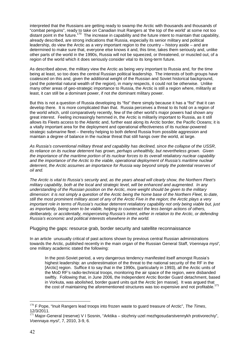interpreted that the Russians are getting ready to swamp the Arctic with thousands and thousands of "combat penguins", ready to take on Canadian Inuit Rangers at 'the top of the world' at some not too distant point in the future.<sup>170</sup> The increase in capability and the future intent to maintain that capability, already described, are strong indications that Russia, especially its senior military and political leadership, do view the Arctic as a very important region to the country – history aside – and are determined to make sure that, everyone else knows it and, this time, takes them seriously and, unlike other parts of the world in the 1990s, Russia will not be squeezed, or threatened, or muscled out, of a region of the world which it does seriously consider vital to its long-term future.

As described above, the military view the Arctic as being very important to Russia and, for the time being at least, so too does the central Russian political leadership. The interests of both groups have coalesced on this and, given the additional weight of the Russian and Soviet historical background, (and the potential natural wealth of the region), in many respects, it could not be otherwise. Unlike many other areas of geo-strategic importance to Russia, the Arctic is still a region where, militarily at least, it can still be a dominant power, if not the dominant military power.

But this is not a question of Russia developing its "fist" there simply because it has a "fist" that it can develop there. It is more complicated than that. Russia perceives a threat to its hold on a region of the world which, until comparatively recently, few of the other world's major powers had shown any great interest. Feeling increasingly hemmed in, the Arctic is militarily important to Russia, as it still allows its Fleets access to the Atlantic and, further east along its Arctic border, the Pacific Oceans; it is a vitally important area for the deployment and operational effectiveness of its nuclear-powered strategic submarine fleet – thereby helping to both defend Russia from possible aggression and maintain a degree of balance in the nuclear threat that still hangs over the world, at large.

As Russia's conventional military threat and capability has declined, since the collapse of the USSR, its reliance on its nuclear deterrent has grown, perhaps unhealthily, but nevertheless grown. Given the importance of the maritime portion of its nuclear forces to its overall retaliatory nuclear capability and the importance of the Arctic to the viable, operational deployment of Russia's maritime nuclear deterrent, the Arctic assumes an importance for Russia way beyond simply the potential reserves of oil and.

The Arctic is vital to Russia's security and, as the years ahead will clearly show, the Northern Fleet's military capability, both at the local and strategic level, will be enhanced and augmented. In any understanding of the Russian position on the Arctic, more weight should be given to the military dimension: it is not simply a question of the Arctic being the home base of the Northern Fleet, to date, still the most prominent military asset of any of the Arctic Five in the region; the Arctic plays a very important role in terms of Russia's nuclear deterrent retaliatory capability not only being viable but, just as importantly, being seen to be viable, helping to counteract the less benign actions of others, deliberately, or accidentally, misperceiving Russia's intent, either in relation to the Arctic, or defending Russia's economic and political interests elsewhere in the world.

Plugging the gaps: resource grab, border security and satellite reconnaissance

In an article unusually critical of past actions shown by previous central Russian administrations towards the Arctic, published recently in the main organ of the Russian General Staff, Voennaya mysl', one military academic stated the following:

In the post-Soviet period, a very dangerous tendency manifested itself amongst Russia's highest leadership: an underestimation of the threat to the national security of the RF in the [Arctic] region. Suffice it to say that in the 1990s, (particularly in 1993), all the Arctic units of the MoD RF's radio-technical troops, monitoring the air space of the region, were disbanded swiftly. Following that, in June 2006, the Independent Arctic Border Guard detachment, based in Vorkuta, was abolished, border guard units quit the Arctic [en masse]. It was argued that the cost of maintaining the aforementioned structures was too expensive and not profitable.<sup>171</sup>

 $\overline{a}$  $170$  F Pope, "Inuit Rangers lead troops into frozen waste to guard treasure of Arctic", The Times, 12/3/2011.

 $171$  Major-General (reserve) V I Sosnin, "Arktika – slozhniy uzel mezhgosudarstvennykh protivorechiy", Voennaya mysl', 7, 2010, 3-9, 6.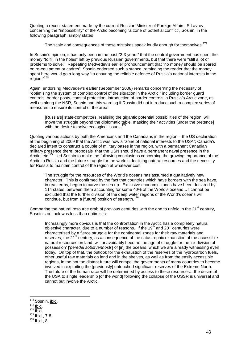Quoting a recent statement made by the current Russian Minister of Foreign Affairs, S Lavrov, concerning the "impossibility" of the Arctic becoming "a zone of potential conflict", Sosnin, in the following paragraph, simply stated:

The scale and consequences of these mistakes speak loudly enough for themselves.<sup>172</sup>

In Sosnin's opinion, it has only been in the past "2-3 years" that the central government has spent the money "to fill in the holes" left by previous Russian governments, but that there were "still a lot of problems to solve." Repeating Medvedev's earlier pronouncement that "no money should be spared on re-equipment or cadres", Sosnin endorsed such a stance, reminding the reader that the money spent here would go a long way "to ensuring the reliable defence of Russia's national interests in the region."<sup>173</sup>

Again, endorsing Medvedev's earlier (September 2008) remarks concerning the necessity of "optimising the system of complex control of the situation in the Arctic," including border guard controls, border posts, coastal protection, introduction of border controls in Russia's Arctic zone, as well as along the NSR, Sosnin had this warning if Russia did not introduce such a complex series of measures to ensure its control of the area:

[Russia's] state-competitors, realising the gigantic potential possibilities of the region, will move the struggle beyond the diplomatic table, masking their activities [under the pretence] with the desire to solve ecological issues.<sup>174</sup>

Quoting various actions by both the Americans and the Canadians in the region – the US declaration at the beginning of 2009 that the Arctic was now a "zone of national interests to the USA"; Canada's declared intent to construct a couple of military bases in the region, with a permanent Canadian military presence there; proposals that the USN should have a permanent naval presence in the Arctic,  $etc^{175}$  - led Sosnin to make the following conclusions concerning the growing importance of the Arctic to Russia and the future struggle for the world's declining natural resources and the necessity for Russia to maintain control of the region at whatever cost:

The struggle for the resources of the World's oceans has assumed a qualitatively new character. This is confirmed by the fact that countries which have borders with the sea have, in real terms, begun to carve the sea up. Exclusive economic zones have been declared by 114 states, between them accounting for some 40% of the World's oceans…it cannot be excluded that the further division of the deep water regions of the World's oceans will continue, but from a [future] position of strength.<sup>176</sup>

Comparing the natural resource grab of previous centuries with the one to unfold in the  $21<sup>st</sup>$  century, Sosnin's outlook was less than optimistic:

Increasingly more obvious is that the confrontation in the Arctic has a completely natural, objective character, due to a number of reasons. If the  $19<sup>th</sup>$  and  $20<sup>th</sup>$  centuries were characterised by a fierce struggle for the continental zones for their raw materials and reserves, the 21<sup>st</sup> century, as a consequence of the catastrophic exhaustion of the accessible natural resources on land, will unavoidably become the age of struggle for the 're-division of possession' ['peredel sobstvennosti'] of [in] the oceans, which we are already witnessing even today. On top of that, the outlook for the exhaustion of the reserves of the hydrocarbon fuels, other useful raw materials on land and in the shelves, as well as from the easily accessible regions, in the not too distant future will compel the governments of many countries to become involved in exploiting the [previously] untouched significant reserves of the Extreme North. The future of the human race will be determined by access to these resources…the desire of the USA to single leadership [of the world] following the collapse of the USSR is universal and cannot but involve the Arctic.

<sup>&</sup>lt;sup>172</sup> Sosnin, ibid.

 $173$  Ibid.

 $174$  Ibid.

 $175$  Ibid., 7-8.

 $176$  Ibid., 8.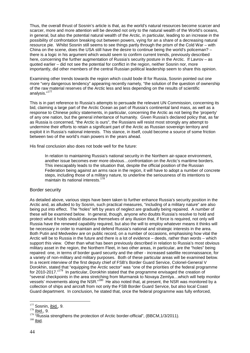Thus, the overall thrust of Sosnin's article is that, as the world's natural resources become scarcer and scarcer, more and more attention will be devoted not only to the natural wealth of the World's oceans, in general, but also the potential natural wealth of the Arctic, in particular, leading to an increase in the possibility of confrontation breaking out between powers, vying for an a share of a decreasing natural resource pie. Whilst Sosnin still seems to see things partly through the prism of the Cold War – with China on the scene, does the USA still have the desire to continue being the world's policeman? – there is a logic in his argument which would seem to confirm current trends, previously described here, concerning the further augmentation of Russia's security posture in the Arctic. If Lavrov – as quoted earlier – did not see the potential for conflict in the region, neither Sosnin nor, more importantly, did other members of the central Russian political leadership seem to share this opinion.

Examining other trends towards the region which could bode ill for Russia, Sosnin pointed out one more "very dangerous tendency" appearing recently namely, "the solution of the question of ownership of the raw material reserves of the Arctic less and less depending on the results of scientific analysis."<sup>1</sup>

This is in part reference to Russia's attempts to persuade the relevant UN Commission, concerning its bid, claiming a large part of the Arctic Ocean as part of Russia's continental land mass, as well as a response to Chinese policy statements, in particular, concerning the Arctic as not being the 'property' of any one nation, but the general inheritance of humanity. Given Russia's declared policy that, as far as Russia is concerned, "the Arctic is ours", the Russians will resist most strongly any attempt to undermine their efforts to retain a significant part of the Arctic as Russian sovereign territory and exploit it in Russia's national interests. This stance, in itself, could become a source of some friction between two of the world's main powers in the years ahead.

His final conclusion also does not bode well for the future:

In relation to maintaining Russia's national security in the Northern air-space environment, another issue becomes ever more obvious…confrontation on the Arctic's maritime borders. This inescapably leads to the situation that, despite the official position of the Russian Federation being against an arms race in the region, it will have to adopt a number of concrete steps, including those of a military nature, to underline the seriousness of its intentions to maintain its national interests.<sup>178</sup>

#### Border security

As detailed above, various steps have been taken to further enhance Russia's security position in the Arctic and, as alluded to by Sosnin, such practical measures, "including of a military nature" are also being put into effect. The "holes" left by years of neglect are gradually being repaired. A number of these will be examined below. In general, though, anyone who doubts Russia's resolve to hold and protect what it holds should disavow themselves of any illusion that, if force is required, not only will Russia have the renewed capability required, but also the will to employ whatever means it thinks will be necessary in order to maintain and defend Russia's national and strategic interests in the area. Both Putin and Medvedev are on public record, on a number of occasions, emphasising how vital the Arctic will be to Russia in the future and there is a lot of evidence – deeds, rather than words – which support this view. Other than what has been previously described in relation to Russia's most obvious military asset in the region, the Northern Fleet, in two other areas, in particular, are the "holes" being repaired: one, in terms of border guard security and the other - increased satellite reconnaissance, for a variety of non-military and military purposes. Both of these particular areas will be examined below. In a recent interview of the first deputy chief of FSB's Border Guard Service, Colonel-General V Dorokhin, stated that "equipping the Arctic sector" was "one of the priorities of the federal programme for 2010-2017."<sup>179</sup> In particular, Dorokhin stated that the programme envisaged the creation of "several checkpoints in the area stretching from Murmansk to Novaya Zemlya…which will help monitor vessels' movements along the NSR."<sup>180</sup> He also noted that, at present, the NSR was monitored by a collection of ships and aircraft from not only the FSB Border Guard Service, but also local Coast Guard department. In conclusion, he stated that, once the federal programme was fully enforced,

 $180$  Ibid.

<sup>&</sup>lt;sup>177</sup> Sosnin, ibid., 9.

 $178$  Ibid., 9.

 $179$  "Russia strengthens the protection of Arctic border-official", (BBCM, 1/3/2011).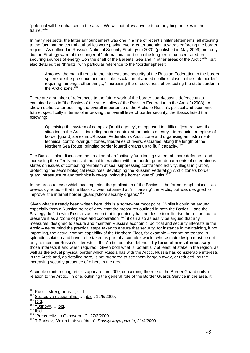"potential will be enhanced in the area. We will not allow anyone to do anything he likes in the future."181

In many respects, the latter announcement was one in a line of recent similar statements, all attesting to the fact that the central authorities were paying ever greater attention towards enforcing the border regime. As outlined in Russia's National Security Strategy to 2020, (published in May 2009), not only did the Strategy warn of the danger of "international politics in the long term…concentrated on securing sources of energy...on the shelf of the Barents' Sea and in other areas of the Arctic"<sup>182</sup>, but also detailed the "threats" with particular reference to the "border sphere":

Amongst the main threats to the interests and security of the Russian Federation in the border sphere are the presence and possible escalation of armed conflicts close to the state border" requiring, amongst other things, " increasing the effectiveness of protecting the state border in the Arctic zone.<sup>1</sup>

There are a number of references to the future work of the border guard/coastal defence units contained also in "the Basics of the state policy of the Russian Federation in the Arctic" (2008). As shown earlier, after outlining the overall importance of the Arctic to Russia's political and economic future, specifically in terms of improving the overall level of border security, the Basics listed the following:

Optimising the system of complex ['multi-agency', as opposed to 'difficult']control over the situation in the Arctic, including border control at the points of entry…introducing a regime of border [guard] zones in…Russian Federation's Arctic zone and organising an instrumenttechnical control over gulf zones, tributaries of rivers, estuaries, along the length of the Northern Sea Route; bringing border [guard] organs up to [full] capacity.

The Basics…also discussed the creation of an "actively functioning system of shore defence…and increasing the effectiveness of mutual interaction, with the border guard departments of coterminous states on issues of combating terrorism at sea, suppressing contraband activity, illegal migration, protecting the sea's biological resources; developing the Russian Federation Arctic zone's border guard infrastructure and technically re-equipping the border [quard] units."<sup>18</sup>

In the press release which accompanied the publication of the Basics…,the former emphasised – as previously noted – that the Basics…was not aimed at "militarising" the Arctic, but was designed to improve "the internal border [guard]/shore security organs."<sup>186</sup>

Given what's already been written here, this is a somewhat moot point. Whilst it could be argued, especially from a Russian point of view, that the measures outlined in both the Basics… and the Strategy do fit in with Russia's assertion that it genuinely has no desire to militarise the region, but to preserve it as a "zone of peace and cooperation",<sup>187</sup> it can also as easily be argued that any measures, designed to secure and maintain Russia's economic, political and security interests in the Arctic – never mind the practical steps taken to ensure that security, for instance in maintaining, if not improving, the actual combat capability of the Northern Fleet, for example – cannot be treated in splendid isolation and have to be taken as part of a complex whole, whose main design must be not only to maintain Russia's interests in the Arctic, but also defend – **by force of arms if necessary** – those interests if and when required. Given both what is, potentially at least, at stake in the region, as well as the actual physical border which Russia has with the Arctic, Russia has considerable interests in the Arctic and, as detailed here, is not prepared to see them bargain away, or reduced, by the increasing security presence of others in the area.

A couple of interesting articles appeared in 2009, concerning the role of the Border Guard units in relation to the Arctic. In one, outlining the general role of the Border Guards Service in the area, it

<sup>&</sup>lt;sup>181</sup> Russia strengthens..., ibid.

<sup>182</sup> Strategiya natsional'noi ..., ibid., 12/5/2009,

 $183 \overline{I}$  Ibid.

 $184 \overline{''Os}$  novy..., ibid.

 $185$  Ibid.

<sup>186 &</sup>quot;Press-reliz po Osnovam...", 27/3/2009.

<sup>&</sup>lt;sup>187</sup> T Borisov, "Voina i mir vo l'dakh", Rossiyskaya gazeta, 21/4/2009.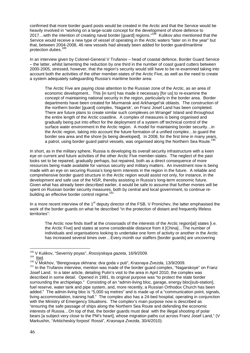confirmed that more border guard posts would be created in the Arctic and that the Service would be heavily involved in "working on a large-scale concept for the development of shore defence to 2017…with the intention of creating naval border [guard] regions."<sup>188</sup> Kulikov also mentioned that the Service would receive a new type of vessel of operating in the Arctic waters "later on in the year" but that, between 2004-2008, 46 new vessels had already been added for border guard/maritime protection duties.<sup>189</sup>

In an interview given by Colonel-General V Trufanov – head of coastal defence, Border Guard Service – the latter, whilst lamenting the reduction by one third in the number of coast guard cutters between 2000-2005, stressed, however, that the region's security would still have to be re-examined taking into account both the activities of the other member-states of the Arctic Five, as well as the need to create a system adequately safeguarding Russia's maritime border area:

The Arctic Five are paying close attention to the Russian zone of the Arctic, as an area of economic development.. This [in turn] has made it necessary [for us] to re-examine the concept of maintaining national security in the region, particularly in the border area. Border departments have been created for Murmansk and Arkhangel'sk oblasts. The construction of the northern border [guard] complex, 'Nagarsk', on Franz Josef Land has been completed. There are future plans to create similar such complexes on Wrangel' Island and throughout the entire length of the Arctic coastline. A complex of measures is being organised and gradually being put into effect for the deployment of a system off technical control of the surface water environment in the Arctic region. A model for maintaining border security...in the Arctic region, taking into account the future formation of a unified complex…to guard the border sea area and the shore [is being developed]. In 2008, for the first time in many years, a patrol, using border guard patrol vessels, was organised along the Northern Sea Route.<sup>190</sup>

In short, as in the military sphere, Russia is developing its overall security infrastructure with a keen eye on current and future activities of the other Arctic Five member-states. The neglect of the past looks set to be repaired, gradually perhaps, but repaired, both as a direct consequence of more resources being made available for various security and military matters. An investment now is being made with an eye on securing Russia's long-term interests in the region in the future. A reliable and comprehensive border guard structure in the Arctic region would assist not only, for instance, in the development and safe use of the NSR, thereby assisting in Russia's long-term economic future. Given what has already been described earlier, it would be safe to assume that further monies will be spent on Russian border security measures, both by central and local government, to continue rebuilding an effective border control regime.<sup>191</sup>

In a more recent interview of the  $1<sup>st</sup>$  deputy director of the FSB, V Pronichev, the latter emphasised the work of the border guards on what he described "in the protection of distant and frequently lifeless territories":

The Arctic now finds itself at the crossroads of the interests of the Arctic region[al] states [i.e. the Arctic Five] and states at some considerable distance from it [China]…The number of individuals and organisations looking to undertake one form of activity or another in the Arctic has increased several times over…Every month our staffers [border guards] are uncovering

 $\overline{a}$ <sup>188</sup> V Kulikov, "Severniy poyas", Rossiyskaya gazeta, 16/9/2009.

 $189$  Ibid.

 $190$  V Mokhov, "Beregovaya okhrana: dva goda v puti", Krasnaya Zvezda, 13/9/2009.

 $191$  In the Trufanov interview, mention was made of the border guard complex, "Nagarskoye" on Franz Josef Land. In a later article, detailing Putin's visit to the area in April 2010, the complex was described in some detail. Opened in 1981, its original purpose was "to protect the state border surrounding the archipelago." Consisting of an "admin-living bloc, garage, energy bloc[sub-station], fuel reserve, water tank and pipe system, and, more recently, a Russian Orthodox Church has been added." The admin-living bloc is "5,000 sq metres" and is made up of a "communication point, signals, living accommodation, training hall." The complex also has a 24-bed hospital, operating in conjunction with the Ministry of Emergency Situations. The complex's main purpose now is described as "ensuring the safe passage of ships along the Northern Sea Route and defending the economic interests of Russia…On top of that, the border guards must deal with the illegal shooting of polar bears [a subject very close to the PM's heart], whose migration paths cut across Franz Josef Land," (V Markushin, "Arkticheskiy forpost' Rossii", Krasnaya Zvezda, 30/4/2010).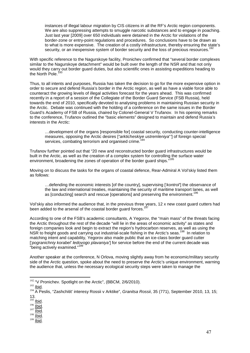instances of illegal labour migration by CIS citizens in all the RF's Arctic region components. We are also suppressing attempts to smuggle narcotic substances and to engage in poaching. Just last year [2009] over 650 individuals were detained in the Arctic for violations of the border-zone or entry-point regulations and procedures. So conclusions have to be drawn as to what is more expensive. The creation of a costly infrastructure, thereby ensuring the state's security, or an inexpensive system of border security and the loss of precious resources.

With specific reference to the Nagurskoye facility, Pronichev confirmed that "several border complexes similar to the Nagurskoye detachment" would be built over the length of the NSR and that not only would they carry out border guard duties, but also scientific ones in assisting expeditions heading to the North Pole.

Thus, to all intents and purposes, Russia has taken the decision to go for the more expensive option in order to secure and defend Russia's border in the Arctic region, as well as have a viable force able to counteract the growing levels of illegal activities forecast for the years ahead. This was confirmed recently in a report of a session of the Collegiate of the Border Guard Service (FSB Russia), held towards the end of 2010, specifically devoted to analysing problems in maintaining Russian security in the Arctic. Debate was continued with the holding of a conference on the same issues in the Border Guard's Academy of FSB of Russia, chaired by Colonel-General V Trufanov. In his opening remarks to the conference, Trufanov outlined the "basic elements" designed to maintain and defend Russia's interests in the Arctic:

…development of the organs [responsible for] coastal security, conducting counter-intelligence measures, opposing the Arctic desires ["arkticheskiye ustremleniya"] of foreign special services, combating terrorism and organised crime.

Trufanov further pointed out that "20 new and reconstructed border guard infrastructures would be built in the Arctic, as well as the creation of a complex system for controlling the surface water environment, broadening the zones of operation of the border guard ships."

Moving on to discuss the tasks for the organs of coastal defence, Rear-Admiral A Vol'skiy listed them as follows:

...defending the economic interests [of the country], supervising ['kontrol'] the observance of the law and international treaties, maintaining the security of maritime transport lanes, as well as [conducting] search and rescue [operations] and preserving the environment.<sup>196</sup>

Vol'skiy also informed the audience that, in the previous three years, 12 x new coast guard cutters had been added to the arsenal of the coastal border quard forces.<sup>19</sup>

According to one of the FSB's academic consultants, A Yegorov, the "main mass" of the threats facing the Arctic throughout the rest of the decade "will lie in the areas of economic activity" as states and foreign companies look and begin to extract the region's hydrocarbon reserves, as well as using the NSR to freight goods and carrying out industrial-scale fishing in the Arctic's seas.<sup>198</sup> In relation to matching intent and capability, Yegorov also made public that an ice-class border guard cutter ['pogranichniy korabel' ledovogo plavaniya'] for service before the end of the current decade was "being actively examined."<sup>199</sup>

Another speaker at the conference, N Orlova, moving slightly away from he economic/military security side of the Arctic question, spoke about the need to preserve the Arctic's unique environment, warning the audience that, unless the necessary ecological security steps were taken to manage the

 $\overline{a}$ 

 $195$  Ibid.

 $199$  Ibid.

 $192$  "V Pronichev. Spotlight on the Arctic", (BBCM,  $2/6/2010$ ).

 $193$  Ibid.

<sup>&</sup>lt;sup>194</sup> A Peslis, "Zashchitit' interesy Rossii v Arktike", Granitsa Rossii, 35 (771), September 2010, 13, 15; 13.

 $196$  Ibid.

 $197$  Ibid.

 $198$  Ibid.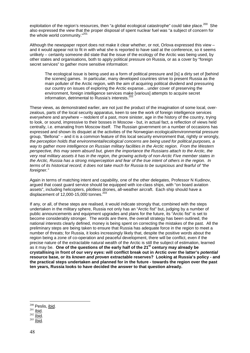exploitation of the region's resources, then "a global ecological catastrophe" could take place.<sup>200</sup> She also expressed the view that the proper disposal of spent nuclear fuel was "a subject of concern for the whole world community."<sup>201</sup>

Although the newspaper report does not make it clear whether, or not, Orlova expressed this view – and it would appear not to fit in with what she is reported to have said at the conference, so it seems unlikely – certainly someone did state that the issue of the ecology of the Arctic was being used, by other states and organisations, both to apply political pressure on Russia, or as a cover by "foreign secret services" to gather more sensitive information:

The ecological issue is being used as a form of political pressure and [is] a dirty set of [behind the scenes] games. In particular, many developed countries strive to present Russia as the main polluter of the Arctic region, with the aim of acquiring political dividend and pressuring our country on issues of exploring the Arctic expanse…under cover of preserving the environment, foreign intelligence services make [various] attempts to acquire secret information, detrimental to Russia's interests.<sup>202</sup>

These views, as demonstrated earlier, are not just the product of the imagination of some local, overzealous, parts of the local security apparatus, keen to see the work of foreign intelligence services everywhere and anywhere – redolent of a past, more sinister, age in the history of the country, trying to look, or sound, impressive to their bosses in Moscow - but, in actual fact, a reflection of views held centrally, i.e. emanating from Moscow itself. The Russian government on a number of occasions has expressed and shown its disquiet at the activities of the Norwegian ecological/environmental pressure group, "Bellona" – and it is a common feature of this local security environment that, rightly or wrongly, the perception holds that environmental/ecological concerns are being used for political purposes, a way to gather more intelligence on Russian military facilities in the Arctic region. From the Western perspective, this may seem absurd but, given the importance the Russians attach to the Arctic, the very real military assets it has in the region, the growing activity of non-Arctic Five member states in the Arctic, Russia has a strong misperception and fear of the true intent of others in the region. In terms of its historical record, it does not take much for Russia to be suspicious and fearful of "the foreigner."

Again in terms of matching intent and capability, one of the other delegates, Professor N Kudinov, argued that coast guard service should be equipped with ice-class ships, with "on board aviation assets", including helicopters, pilotless drones, all-weather aircraft. Each ship should have a displacement of  $12,000$ -15,000 tonnes.<sup>203</sup>

If any, or all, of these steps are realised, it would indicate strongly that, combined with the steps undertaken in the military sphere, Russia not only has an "Arctic fist" but, judging by a number of public announcements and equipment upgrades and plans for the future, its "Arctic fist" is set to become considerably stronger. The words are there, the overall strategy has been outlined, the national interests clearly defined, money is being spent on correcting the mistakes of the past. All the preliminary steps are being taken to ensure that Russia has adequate force in the region to meet a number of threats; for Russia, it looks increasingly likely that, despite the positive words about the region being a zone of co-operation and peaceful development, there will be conflict, even if the precise nature of the extractable natural wealth of the Arctic is still the subject of estimation, learned as it may be. **One of the questions of the early half of the 21st century may already be crystallising in front of our very eyes: will conflict break out in Arctic over the latter's potential resource base, or its known and proven extractable reserves? Looking at Russia's policy - and the practical steps undertaken and planned for in the future - towards the region over the past ten years, Russia looks to have decided the answer to that question already.** 

<sup>&</sup>lt;sup>200</sup> Peslis, <u>ibid</u>.

 $^{201}$  Ibid.

 $^{202}$  Ibid.

 $203$  Ibid.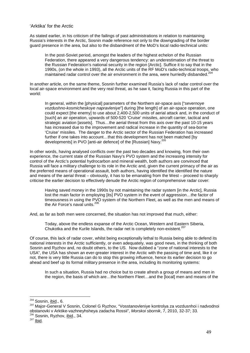### 'Arktika' for the Arctic

As stated earlier, in his criticism of the failings of past administrations in relation to maintaining Russia's interests in the Arctic, Sosnin made reference not only to the downgrading of the border guard presence in the area, but also to the disbandment of the MoD's local radio-technical units:

In the post-Soviet period, amongst the leaders of the highest echelon of the Russian Federation, there appeared a very dangerous tendency: an underestimation of the threat to the Russian Federation's national security in the region [Arctic]. Suffice it to say that in the 1990s, (on the whole in 1993), all the Arctic units of the RF MoD's radio-technical troops, who maintained radar control over the air environment in the area, were hurriedly disbanded.<sup>204</sup>

In another article, on the same theme, Sosnin further examined Russia's lack of radar control over the local air-space environment and the very real threat, as he saw it, facing Russia in this part of the world:

In general, within the [physical] parameters of the Northern air-space axis ["severnoye vozdushno-kosmicheskoye napravleniye"] during [the length] of an air-space operation, one could expect [the enemy] to use about 2,400-2,500 units of aerial attack and, in the conduct of [such] an air operation, upwards of 500-520 'Cruise' missiles, aircraft carrier, tactical and strategic aviation [assets]. Thus…the aerial threat from this axis over the past 10-15 years has increased due to the improvement and radical increase in the quantity of sea-borne 'Cruise' missiles. The danger to the Arctic sector of the Russian Federation has increased further if one takes into account...that this development has not been matched [by developments] in PVO [anti-air defence] of the [Russian] Navy.<sup>2</sup>

In other words, having analysed conflicts over the past two decades and knowing, from their own experience, the current state of the Russian Navy's PVO system and the increasing intensity for control of the Arctic's potential hydrocarbon and mineral wealth, both authors are convinced that Russia will face a military challenge to its role in the Arctic and, given the current primacy of the air as the preferred means of operational assault, both authors, having identified the identified the nature and means of the aerial threat – obviously, it has to be emanating from the West – proceed to sharply criticise the earlier decision to effectively denude the Arctic region of comprehensive radar cover:

Having saved money in the 1990s by not maintaining the radar system [in the Arctic], Russia lost the main factor in employing [its] PVO system in the event of aggression…the factor of timeousness in using the PVO system of the Northern Fleet, as well as the men and means of the Air Force's naval units.<sup>206</sup>

And, as far as both men were concerned, the situation has not improved that much, either:

Today, above the endless expanse of the Arctic Ocean, Western and Eastern Siberia, Chukotka and the Kurile Islands, the radar net is completely non-existent.<sup>2</sup>

Of course, this lack of radar cover, whilst being exceptionally lethal to Russia being able to defend its national interests in the Arctic sufficiently, or even adequately, was good news, in the thinking of both Sosnin and Ryzhov and, no doubt others, to the US. Now dubbed a "zone of national interests to the USA", the USA has shown an ever-greater interest in the Arctic with the passing of time and, like it or not, there is very little Russia can do to stop this growing influence, hence its earlier decision to go ahead and beef up its formal military presence in the area, including its monitoring systems:

In such a situation, Russia had no choice but to create afresh a group of means and men in the region, the basis of which are…the Northern Fleet…and the [local] men and means of the

<sup>&</sup>lt;sup>204</sup> Sosnin, <u>ibid</u>., 6.

<sup>&</sup>lt;sup>205</sup> Maior-General V Sosnin, Colonel G Ryzhov, "Vosstanovleniye kontrolya za vozdusnhoi i nadvodnoi obstanovki v Arktike-vazhneyhsheya zadacha Rossii", Morskoi sbornik, 7, 2010, 32-37; 33.

<sup>&</sup>lt;sup>206</sup> Sosnin, Ryzhov, ibid., 34.

 $207$  Ibid.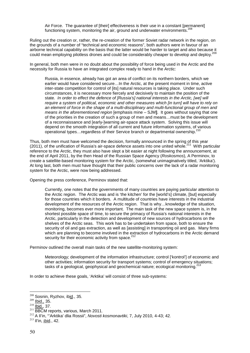Air Force. The guarantee of [their] effectiveness is their use in a constant [permanent] functioning system, monitoring the air, ground and underwater environments.<sup>208</sup>

Ruling out the creation or, rather, the re-creation of the former Soviet radar network in the region, on the grounds of a number of "technical and economic reasons", both authors were in favour of an airborne technical capability on the basis that the latter would be harder to target and also because it could mean employing pilotless drones and could be considerably cheaper to develop and deploy.<sup>209</sup>

In general, both men were in no doubt about the possibility of force being used in the Arctic and the necessity for Russia to have an integrated complex ready to hand in the Arctic:

Russia, in essence, already has got an area of conflict on its northern borders, which we earlier would have considered secure…In the Arctic, at the present moment in time, active inter-state competition for control of [its] natural resources is taking place. Under such circumstances, it is necessary more fiercely and decisively to maintain the position of the state. In order to effect the defence of [Russia's] national interests in the Arctic, [we] will require a system of political, economic and other measures which [in turn] will have to rely on an element of force in the shape of a multi-disciplinary and multi-functional group of men and means in the aforementioned region [emphasis mine – SJM**]**. It goes without saying that one of the priorities in the creation of such a group of men and means…must be the development of a reconnaissance and [early-]warning air-space attack system. Solving this issue will depend on the smooth integration of all current and future information systems, of various operational types...regardless of their Service branch or departmental ownership.<sup>210</sup>

Thus, both men must have welcomed the decision, formally announced in the spring of this year (2011), of the unification of Russia's air-space defence assets into one united whole.<sup>211</sup> With particular reference to the Arctic, they must also have slept a bit easier at night following the announcement, at the end of April 2011, by the then Head of the Russian Space Agency (Roskosmos), A Perminov, to create a satellite-based monitoring system for the Arctic, (somewhat unimaginatively titled, 'Arktika'). At long last, both men must have thought that their public concerns over the lack of a radar monitoring system for the Arctic, were now being addressed.

Opening the press conference, Perminov stated that:

Currently, one notes that the governments of many countries are paying particular attention to the Arctic region. The Arctic was and is 'the kitchen' for the [world's] climate, [but] especially for those countries which it borders. A multitude of countries have interests in the industrial development of the resources of the Arctic region. That is why…knowledge of the situation, monitoring, becomes ever more important. The main task of the new space system is, in the shortest possible space of time, to secure the primacy of Russia's national interests in the Arctic, particularly in the detection and development of new sources of hydrocarbons on the shelves of the Arctic seas. This work has to be undertaken from space, both to ensure the security of oil and gas extraction, as well as [assisting] in transporting oil and gas. Many firms which are planning to become involved in the extraction of hydrocarbons in the Arctic demand security for their economic activity from space.<sup>212</sup>

Perminov outlined the overall main tasks of the new satellite-monitoring system:

Meteorology; development of the information infrastructure; control ['kontrol'] of economic and other activities; information security for transport systems; control of emergency situations; tasks of a geological, geophysical and geochemical nature; ecological monitoring.<sup>213</sup>

In order to achieve these goals, 'Arktika' will consist of three sub-systems:

<sup>&</sup>lt;sup>208</sup> Sosnin, Ryzhov, ib<u>id</u>., 35.

 $^{209}$  Ibid., 35.

 $^{210}$  Ibid., 37.

<sup>&</sup>lt;sup>211</sup> BBCM reports, various, March 2011.

<sup>&</sup>lt;sup>212</sup> A Il'in, "'Arktika' dlia Rossii", Novosti kosmonavtiki, 7, July 2010, 4-43; 42.

 $213$  II'in, ibid., 42.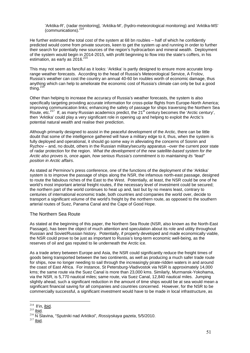'Arktika-R', (radar monitoring], 'Arktika-M', (hydro-meteorological monitoring) and 'Arktika-MS' (communications).<sup>214</sup>

He further estimated the total cost of the system at 68 bn roubles – half of which he confidently predicted would come from private sources, keen to get the system up and running in order to further their search for potentially new sources of the region's hydrocarbon and mineral wealth. Deployment of the system would begin in 2014-2015, with profit beginning to flow into the state's coffers, in his estimation, as early as  $2016.<sup>215</sup>$ 

This may not seem as fanciful as it looks: 'Arktika' is partly designed to ensure more accurate longrange weather forecasts. According to the head of Russia's Meteorological Service, A Frolov, Russia's weather can cost the country an annual 40-60 bn roubles worth of economic damage, thus anything which can help to ameliorate the economic cost of Russia's climate can only be but a good thing. $216$ 

Other than helping to increase the accuracy of Russia's weather forecasts, the system is also specifically targeting providing accurate information for cross-polar flights from Europe-North America; improving communication links; enhancing the safety of passage for ships traversing the Northern Sea Route, etc.<sup>217</sup> If, as many Russian academics predict, the 21<sup>st</sup> century becomes the 'Arctic century', then 'Arktika' could play a very significant role in opening up and helping to exploit the Arctic's potential natural wealth and realise their prediction.

Although primarily designed to assist in the peaceful development of the Arctic, there can be little doubt that some of the intelligence gathered will have a military edge to it, thus, when the system is fully deployed and operational, it should go some way in alleviating the concerns of Sosnin and Ryzhov – and, no doubt, others in the Russian military/security apparatus –over the current poor state of radar protection for the region. What the development of the new satellite-based system for the Arctic also proves is, once again, how serious Russia's commitment is to maintaining its "lead" position in Arctic affairs.

As stated at Perminov's press conference, one of the functions of the deployment of the 'Arktika' system is to improve the passage of ships along the NSR, the infamous north-east passage, designed to route the fabulous riches of the East to the West. Potentially, at least, the NSR could be one of he world's most important arterial freight routes, if the necessary level of investment could be secured; the northern part of the world continues to heat up and, last but by no means least, contrary to centuries of international economic trade, both countries and companies the world over, decide to transport a significant volume of the world's freight by the northern route, as opposed to the southern arterial routes of Suez, Panama Canal and the Cape of Good Hope.

# The Northern Sea Route

As stated at the beginning of this paper, the Northern Sea Route (NSR, also known as the North-East Passage), has been the object of much attention and speculation about its role and utility throughout Russian and Soviet/Russian history. Potentially, if properly developed and made economically viable, the NSR could prove to be just as important to Russia's long-term economic well-being, as the reserves of oil and gas reputed to lie underneath the Arctic ice.

As a trade artery between Europe and Asia, the NSR could significantly reduce the freight times of goods being transported between the two continents, as well as producing a much safer trade route for ships, now no longer needing to sail through the increasingly pirate-ridden waters in and around the coast of East Africa. For instance, St Petersburg-Vladivostok via NSR is approximately 14,000 kms; the same route via the Suez Canal is more than 23,000 kms. Similarly, Murmansk-Yokohama, via the NSR, is 5,770 nautical miles; same route, via Suez Canal, 12,840 nautical miles. Jumping slightly ahead, such a significant reduction in the amount of time ships would be at sea would mean a significant financial saving for all companies and countries concerned. However, for the NSR to be commercially successful, a significant investment would have to be made in local infrastructure, as

 $214$  II'in, <u>ibid</u>.

 $^{215}$  Ibid.

 $^{216}$  N Slavina, "Sputniki nad Arktikoi", Rossiyskaya gazeta, 5/5/2010.

 $217$  Ibid.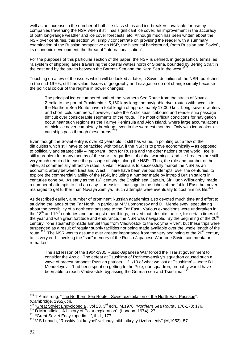well as an increase in the number of both ice-class ships and ice-breakers, available for use by companies traversing the NSR when it still has significant ice cover; an improvement in the accuracy of both long-range weather and ice cover forecasts, etc. Although much has been written about the NSR over centuries, this section will simply concentrate on providing the reader with a summary examination of the Russian perspective on NSR, the historical background, (both Russian and Soviet), its economic development, the threat of "internationalisation".

For the purposes of this particular section of the paper, the NSR is defined, in geographical terms, as "a system of shipping lanes traversing the coastal waters north of Siberia, bounded by Bering Strait in the east and by the straits between the Barents Sea and the Kara Sea in the west."<sup>21</sup>

Touching on a few of the issues which will be looked at later, a Soviet definition of the NSR, published in the mid-1970s, still has value. Issues of geography and navigation do not change simply because the political colour of the regime in power changes:

The principal ice-encumbered path of the Northern Sea Route from the straits of Novaia Zemlia to the port of Providenia is 5,160 kms long; the navigable river routes with access to the Northern Sea Route have a total length of approximately 17,000 km. Long, severe winters and short, cold summers, however, make the Arctic seas icebound and render ship passage difficult over considerable segments of the route. The most difficult conditions for navigation occur near such regions as the Taimyr Peninsula and Aion Island, where large accumulations of thick ice never completely break up, even in the warmest months. Only with icebreakers can ships pass through these areas.

Even though the Soviet entry is over 30 years old, it still has value, in pointing out a few of the difficulties which still have to be tackled with today, if the NSR is to prove economically – as opposed to politically and strategically – important , both for Russia and the other nations of the world. Ice is still a problem for many months of the year – regardless of global warming – and ice-breakers are still very much required to ease the passage of ships along the NSR. Thus, the role and number of the latter, at commercially attractive rates, is vital if Russia is to successfully market the NSR as an economic artery between East and West. There have been various attempts, over the centuries, to explore the commercial viability of the NSR, including a number made by intrepid British sailors in centuries gone by. As early as the 16<sup>th</sup> century, the English sea Captain, Sir Hugh Willoughby, made a number of attempts to find an easy – or easier – passage to the riches of the fabled East, but never managed to get further than Novaya Zemlya. Such attempts were eventually to cost him his life.<sup>220</sup>

As described earlier, a number of prominent Russian academics also devoted much time and effort to studying the lands of the Far North, in particular M V Lomonosov and D I Mendeleyev, speculating about the possibility of a northeast passage to the Far East. Various expeditions were undertaken in the 18<sup>th</sup> and 19<sup>th</sup> centuries and, amongst other things, proved that, despite the ice, for certain times of the year and with great fortitude and endurance, the NSR was navigable. By the beginning of the 20<sup>th</sup> century, "one steamship made annual trips from Vladivostok to the Kolyma River", but these trips were suspended as a result of regular supply facilities not being made available over the whole length of the route.<sup>221</sup> The NSR was to assume ever greater importance from the very beginning of the 20<sup>th</sup> century to its very end. Invoking the "sad" memory of the Russo-Japanese War, one Soviet commentator remarked:

The sad lesson of the 1904-1905 Russo-Japanese War forced the Tsarist government to consider the Arctic. The defeat at Tsushima of Rozhestvenskiy's squadron caused such a wave of protest amongst Russian patriots. 'If 1/10 of what we lost at Tsushima' - wrote D I Mendeleyev – 'had been spent on getting to the Pole, our squadron, probably would have been able to reach Vladivostok, bypassing the German sea and Tsushima.<sup>'22</sup>

<sup>220</sup> D Mountfield, "A history of Polar exploration", (London, 1974), 27.

<sup>&</sup>lt;sup>218</sup> T Armstrong, "The Northern Sea Route, Soviet exploitation of the North East Passage", (Cambridge, 1952), xii.

<sup>&</sup>quot;Great Soviet Encyclopedia", vol 23, 3<sup>rd</sup> edn., M.1976, 'Northern Sea Route', 176-178; 176.

<sup>&</sup>lt;sup>221</sup> "Great Soviet Encyclopedia...", ibid., 177.

<sup>&</sup>lt;sup>222</sup> V S Lupach, "Russkiy flot kolybel' velichayshikh otkrytiy i izobreteniy" (M,1952), 57.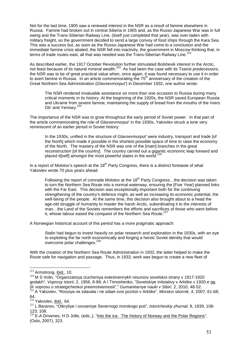Not for the last time, 1905 saw a renewed interest in the NSR as a result of famine elsewhere in Russia. Famine had broken out in central Siberia in 1905 and, as the Russo-Japanese War was in full swing and the Trans-Siberian Railway Line, (itself just completed that year), was over-laden with military freight, so the government decided to send a large convoy of food ships through the Kara Sea. This was a success but, as soon as the Russo-Japanese War had come to a conclusion and the immediate famine crisis abated, the NSR fell into inactivity, the government in Moscow thinking that, in terms of trade routes east, all that was needed was the Trans-Siberian Railway Line. $^{223}$ 

As described earlier, the 1917 October Revolution further stimulated Bolshevik interest in the Arctic, not least because of its natural mineral wealth.<sup>224</sup> As had been the case with its Tsarist predecessors, the NSR was to be of great practical value when, once again, it was found necessary to use it in order to avert famine in Russia. In an article commemorating the  $75<sup>th</sup>$  anniversary of the creation of the Great Northern Sea Administration (Glavsevmorput') in December 1932, one author wrote:

The NSR rendered invaluable assistance on more than one occasion to Russia during many critical moments in its history. At the beginning of the 1920s, the NSR saved European Russia and Ukraine from severe famine, maintaining the supply of bread from the mouths of the rivers Ob' and Yenisey.<sup>225</sup>

The importance of the NSR was to grow throughout the early period of Soviet power. In that part of the article commemorating the role of Glavsevmorput' in the 1930s, Yakovlev struck a tone very reminiscent of an earlier period in Soviet history:

In the 1930s, unified in the structure of Glavsevmorput' were industry, transport and trade [of the North] which made it possible in the shortest possible space of time to raise the economy of the North. The mastery of the NSR was one of the [main] branches in the great reconstruction [of the country]. The country carried out a gigantic economic leap forward and placed it[self] amongst the most powerful states in the world.<sup>226</sup>

In a report of Molotov's speech at the  $18<sup>th</sup>$  Party Congress, there is a distinct foretaste of what Yakovlev wrote 70 plus years ahead:

Following the report of comrade Molotov at the  $18<sup>th</sup>$  Party Congress...the decision was taken to turn the Northern Sea Route into a normal waterway, ensuring the [Five Year] planned links with the Far East. This decision was exceptionally important both for the continuing strengthening of the country's defence might, as well as increasing its economic potential, the well-being of the people. At the same time, this decision also brought about to a head the age-old struggle of humanity to master the harsh Arctic, subordinating it to the interests of man…the Land of the Soviets remembers the efforts and sacrifices of those who went before it, whose labour eased the conquest of the Northern Sea Route. $227$ 

A Norwegian historical account of this period has a more pragmatic approach:

Stalin had begun to invest heavily on polar research and exploration in the 1930s, with an eye to exploiting the far north economically and forging a heroic Soviet identity that would overcome polar challenges.<sup>228</sup>

With the creation of the Northern Sea Route Administration in 1932, the latter helped to make the Route safe for navigation and passage. Thus, in 1933, work was begun to create a new fleet of

 $\overline{a}$ <sup>223</sup> Armstrong, <u>ibid.</u>, 10.

<sup>&</sup>lt;sup>224</sup> M S Volin, "Organizatsiya izucheniya estestvennykh resursov sovetskoi strany v 1917-1920 godakh", Voprosy istorii, 2, 1956, 8-88; A I Timoshenko, "Sovetskiye initsiativy v Arktike v 1920-e gg. (K voprosu o strategicheskoi preemstvennosti"," Gumanitarnye nauki v Sibiri, 2, 2010, 48-52.

<sup>&</sup>lt;sup>225</sup> A Yakovlev, "Rossiya ne sdavala i ne sdaet svoi pozitsii v Arktike", Morskoi sbornik, 4, 2007, 61-68; 64.

 $226$  Yakovlev, ibid., 64.

<sup>&</sup>lt;sup>227</sup> L Baranov, "Otkrytive i osvoeniye Severnogo morskogo puti", *Istoricheskiy zhurnal*, 9, 1939, 108-123; 108.

 $228$  E-A Drivenes, H D Jolle, (eds.,), "Into the ice. The history of Norway and the Polar Regions", (Oslo, 2007), 323.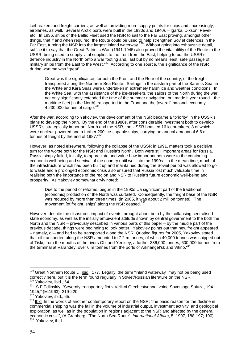icebreakers and freight carriers, as well as providing more supply points for ships and, increasingly, airplanes, as well. Several Arctic ports were built in the 1930s and 1940s – Igarka, Dikson, Pevek, etc. In 1936, ships of the Baltic Fleet used the NSR to sail to the Far East proving, amongst other things, that if and when required, the Route could be used to help strengthen Soviet defences in the Far East, turning the NSR into the largest inland waterway.<sup>229</sup> Without going into exhaustive detail, suffice it to say that the Great Patriotic War, (1941-1945) also proved the vital utility of the Route to the USSR, being used to supply vital supplies to the front from the East, helping to put the USSR's defence industry in the North onto a war footing and, last but by no means least, safe passage of military ships from the East to the West.<sup>230</sup> According to one source, the significance of the NSR during wartime was "great":

Great was the significance, for both the Front and the Rear of the country, of the freight transported along the Northern Sea Route. Sailings in the eastern part of the Barents Sea, in the White and Kara Seas were undertaken in extremely harsh ice and weather conditions. In the White Sea, with the assistance of the ice-breakers, the sailors of the North during the war not only significantly extended the time of the summer navigation, but made it year round…the maritime fleet [in the North] transported to the Front and the [overall] national economy 4,230,000 tonnes of cargo.

After the war, according to Yakovlev, the development of the NSR became a "priority" in the USSR's plans to develop the North. By the end of the 1980s, after considerable investment both to develop USSR's strategically important North and the NSR, the USSR boasted 16 icebreakers, 8 of which were nuclear-powered and a further 200 ice-capable ships, carrying an annual amount of 6.6 m tonnes of freight by the end of 1987. $232$ 

However, as noted elsewhere, following the collapse of the USSR in 1991, matters took a decisive turn for the worse both for the NSR and Russia's North, Both were still important areas for Russia, Russia simply failed, initially, to appreciate and value how important both were to the continuing economic well-being and survival of the country until well into the 1990s. In the mean time, much of the infrastructure which had been built up and maintained during the Soviet period was allowed to go to waste and a prolonged economic crisis also ensured that Russia lost much valuable time in realising both the importance of the region and NSR to Russia's future economic well-being and prosperity. As Yakovlev somewhat dryly noted:

Due to the period of reforms, begun in the 1990s…a significant part of the traditional [economic] production of the North was curtailed. Consequently, the freight base of the NSR was reduced by more than three times, (in 2005, it was about 2 million tonnes). The movement [of freight, ships] along the NSR ceased.<sup>233</sup>

However, despite the disastrous impact of events, brought about both by the collapsing centralised state economy, as well as the initially ambivalent attitude shown by central government to the both the North and the NSR – previously described in various parts of this paper – by the middle part of the previous decade, things were beginning to look better. Yakovlev points out that new freight appeared – namely, oil– and had to be transported along the NSR. Quoting figures for 2005, Yakovlev stated that oil transported along the NSR amounted to 7.2 m tonnes, of which 40,000 tonnes was shipped out of Tiski; from the mouths of the rivers Ob' and Yenisey, a further 386,000 tonnes; 600,000 tonnes from the terminal at Varandey, over 6 m tonnes from the ports of Arkhangel'sk and Vitino.<sup>2</sup>

<sup>234</sup> Yakovlev, ibid.

 $229$  Great Northern Route..., ibid., 177. Legally, the term "inland waterway" may not be being used correctly here, but it is the term found regularly in Soviet/Russian literature on the NSR. Yakovlev, ibid., 64.

<sup>&</sup>lt;sup>231</sup> S F Edlinskiy, "Severniy transportniy flot v Velikoi Otechestvennoi voine Sovetsogo Soiuza, 1941- $\frac{1945}{232}$ , (M.1963), 219-220.

Yakovlev, ibid., 65

 $233$  Ibid. In the words of another contemporary report on the NSR: "the basic reason for the decline in commercial shipping was the fall in the volume of industrial output, investment activity, and geological exploration, as well as in the population in regions adjacent to the NSR and affected by the general economic crisis", (A Granberg, "The North Sea Route", International Affairs, 5, 1997, 188-197; 190).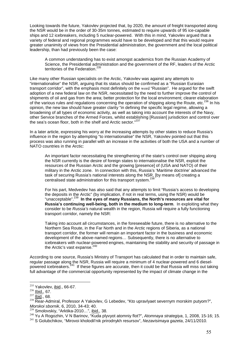Looking towards the future, Yakovlev projected that, by 2020, the amount of freight transported along the NSR would be in the order of 30-35m tonnes, estimated to require upwards of 95 ice-capable ships and 12 icebreakers, including 5 nuclear-powered. With this in mind, Yakovlev argued that a variety of federal and regional programmes would have to be developed and that this would require greater unanimity of views from the Presidential administration, the government and the local political leadership, than had previously been the case:

A common understanding has to exist amongst academics from the Russian Academy of Science, the Presidential administration and the government of the RF, leaders of the Arctic territories of the Federation.<sup>235</sup>

Like many other Russian specialists on the Arctic, Yakovlev was against any attempts to "internationalise" the NSR, arguing that its status should be confirmed as a "Russian Eurasian transport corridor", with the emphasis most definitely on the word "Russian". He argued for the swift adoption of a new federal law on the NSR, necessitated by the need to further improve the control of shipments of oil and gas from the area; better protection for the local environment; clearer elaboration of the various rules and regulations concerning the operation of shipping along the Route, etc.<sup>236</sup> In his opinion, the new law should have greater clarity "in defining the specific legal regime, allowing a broadening of all types of economic activity, as well as taking into account the interests of the Navy, other Service branches of the Armed Forces, whilst establishing [Russian] jurisdiction and control over the sea's ocean floor, both in the shelf and Arctic sector."<sup>237</sup>

In a later article, expressing his worry at the increasing attempts by other states to reduce Russia's influence in the region by attempting "to internationalise" the NSR, Yakovlev pointed out that this process was also running in parallel with an increase in the activities of both the USA and a number of NATO countries in the Arctic:

An important factor necessitating the strengthening of the state's control over shipping along the NSR currently is the desire of foreign states to internationalise the NSR, exploit the resources of the Russian Arctic and the growing [presence] of (USA and NATO) of their military in the Arctic zone. In connection with this, Russia's 'Maritime doctrine' advanced the task of securing Russia's national interests along the NSR, [by means of] creating a centralised state administration for this transport system. $^{23}$ 

For his part, Medvedev has also said that any attempts to limit "Russia's access to developing the deposits in the Arctic" (by implication, if not in real terms, using the NSR) would be "unacceptable".<sup>239</sup> **In the eyes of many Russians, the North's resources are vital for Russia's continuing well-being, both in the medium to long-term**. In exploiting what they consider to be Russia's natural wealth in the region, Russia will require a fully functioning transport corridor, namely the NSR:

Taking into account all circumstances, in the foreseeable future, there is no alternative to the Northern Sea Route, in the Far North and in the Arctic regions of Siberia, as a national transport corridor, the former will remain an important factor in the business and economic development of the above-named regions… Subsequently, there is no alternative to icebreakers with nuclear-powered engines, maintaining the stability and security of passage in the Arctic's vast expanse.<sup>2</sup>

According to one source, Russia's Ministry of Transport has calculated that in order to maintain safe, regular passage along the NSR, Russia will require a minimum of 4 nuclear-powered and 6 dieselpowered icebreakers.<sup>241</sup> If these figures are accurate, then it could be that Russia will miss out taking full advantage of the commercial opportunity represented by the impact of climate change in the

 $\overline{a}$ 

<sup>240</sup> Yu A Rogozhin, V N Barinov, "Kuda plyvyot atomniy flot?", Atomnaya strategiya, 1, 2008, 15-16; 15.

<sup>241</sup> S Golubchikov, "Mirovoi kholodil'nik prirodnykh resursov", Nezavisimaya gazeta, 24/11/2010.

<sup>&</sup>lt;sup>235</sup> Yakovlev, <u>ibid</u>., 66-67.

 $^{236}$  Ibid., 67.

 $^{237}$   $\overline{\text{Ibid.}}$ , 68.

<sup>&</sup>lt;sup>238</sup> Rear-Admiral, Professor A Yakovlev, G Lebedev, "Kto upravlyaet severnym morskim putyom?", Morskoi sbornik, 6, 2010, 34-43; 40.

<sup>&</sup>lt;sup>239</sup> Smolovskiy, "Arktika-2010...", ibid., 38.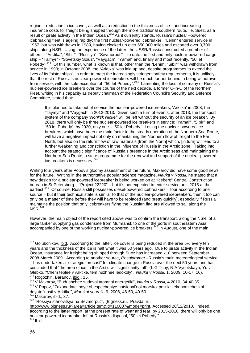region – reduction in ice cover, as well as a reduction in the thickness of ice - and increasing insurance costs for freight being shipped through the more traditional southern route, i.e. Suez, as a result of pirate activity in the Indian Ocean.<sup>242</sup> As it currently stands, Russia's nuclear –powered icebreaking fleet is ageing rapidly: the first nuclear-powered icebreaker , "Lenin" entered service in 1957, but was withdrawn in 1989, having clocked up over 650,000 miles and escorted over 3,700 ships along NSR. Using the experience of the latter, the USSR/Russia constructed a number of others – "Arktika", "Sibir'", "Rossiya", "Sevmorput'" – to date the first and only nuclear-powered cargo ship – "Taimyr" - "Sovetskiy Soiuz", "Vaygach", "Yamal" and, finally and most recently, "50 let Pobedy".<sup>243</sup> Of this number, what is known is that, other than the "Lenin", "Sibir'" was withdrawn from service in 1993; in October 2008, the "Arktika" was laid up and, despite programmes to extend the lives of its "sister ships", in order to meet the increasingly stringent safety requirements, it is unlikely that the rest of Russia's nuclear-powered icebreakers will be much further behind in being withdrawn from service, with the sole exception of "50 let Pobedy".<sup>244</sup> Lamenting the loss of so many of Russia's nuclear-powered ice breakers over the course of the next decade, a former C-in-C of the Northern Fleet, writing in his capacity as deputy chairman of the Federation Council's Security and Defence Committee, stated that:

It is planned to take out of service the nuclear-powered icebreakers, 'Arktika' in 2008, the 'Taymyr' and 'Vaygach' in 2012-2013. Given such a turn of events, after 2013, the transport system of the company 'Noril'sk Nickel' will be left without the security of an ice breaker. By 2018, there will only be three nuclear-powered ice breakers in service: 'Yamal'", 'Sibir'" and "50 let Pobedy", by 2020, only one – '50 let Pobedy.' Losing the nuclear-powered ice breakers, which have been the main factor in the steady operation of the Northern Sea Route, will have a negative impact not only on maintaining the Northern flow of freight to the Far North, but also on the return flow of raw materials [from the North] which, [in turn] will lead to a further weakening and constriction in the influence of Russia in the Arctic zone. Taking into account the strategic significance of Russia's presence in the Arctic seas and maintaining the Northern Sea Route, a state programme for the renewal and support of the nuclear-powered ice breakers is necessary.<sup>2</sup>

Writing four years after Popov's gloomy assessment of the future, Makarov did have some good news for the future. Writing in the authoritative popular science magazine, Nauka v Rossii, he stated that a new design for a nuclear-powered icebreaker is being worked on at "Iceberg" Central Construction bureau in St Petersburg – "Project 22220" – but it's not expected to enter service until 2015 at the earliest.<sup>246</sup> Of course. Russia still possesses diesel-powered icebreakers – four according to one source – but if their technical state is similar to that of the nuclear-powered icebreakers, then it too can only be a matter of time before they will have to be replaced (and pretty quickly), especially if Russia maintains the position that only icebreakers flying the Russian flag are allowed to sail along the  $\sf NSR.^{247}$ 

However, the main object of the report cited above was to confirm the transport, along the NSR, of a large tanker supplying gas condensate from Murmansk to one of the ports in southeastern Asia, accompanied by one of the working nuclear-powered ice breakers.<sup>248</sup> In August, one of the main

<sup>245</sup> V Popov, "Zakonodatel'noye obespecheniye natsional'noi morskoi politiki i ekonomicheskoi deyatel'nosti v Arktike", Morskoi sbornik, 9, 2006, 46-50, 49-50.

 $^{246}$  Makarov, ibid., 37.

 $\overline{a}$  $242$  Golubchikov, ibid. According to the latter, ice cover is being reduced in the area 5% every ten years and the thickness of the ice is half what it was 50 years ago. Due to pirate activity in the Indian Ocean, insurance for freight being shipped through Suez has increased x10 between September 2008-March 2009. According to another source, Rosgidromet –Russia's main meteorological service – has undertaken a "strategic forecast" for climate change in Russia over the next 50 years and has concluded that "the area of ice in the Arctic will significantly fall", (L G Tsoy, N A Vysotskaya, Yu v Glebko, "Chem teplee v Arktike, tem nuzhnee ledokoly", Nauka v Rossii, 1, 2009, 16-17; 16). <sup>243</sup> Rogozhin, Baranov, ibid., 15.

<sup>&</sup>lt;sup>244</sup> V Makarov, "Budushchee sudovoi atomnoi energetiki", Nauka v Rossii, 4.2010, 34-40;35.

<sup>247 &</sup>quot;Rossiya stanovitsya na Sevmorput", (Bigness.ru. Pravda, ru.

http://www.bigness.ru/?area=articleItem&id=110007&mode=print. Accessed 20/12/2010. Indeed, according to the latter report, at the present rate of wear and tear, by 2015-2016, there will only be one nuclear-powered icebreaker left at Russia's disposal, "50 let Pobedy."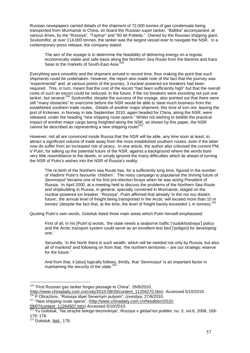Russian newspapers carried details of the shipment of 72,000 tonnes of gas condensate being transported from Murmansk to China, on board the Russian super tanker, "Baltika" accompanied, at various times, by the "Rossiya", "Taymyr" and "50 let Pobedy." Owned by the Russian shipping giant, Sovkomflot, at over 114,000 tonnes, the tanker was the largest vessel ever to navigate the NSR. In a contemporary press release, the company stated:

The aim of the voyage is to determine the feasibility of delivering energy on a regular, economically viable and safe basis along the Northern Sea Route from the Barents and Kara Seas to the markets of South-East Asia.<sup>2</sup>

Everything went smoothly and the shipment arrived in record time, thus making the point that such shipments could be undertaken. However, the report also made note of the fact that the journey was "experimental" and, at various points of the journey, 3 nuclear-powered ice breakers had been required. This, in turn, meant that the cost of the escort "had been sufficiently high" but that the overall costs of such an escort could be reduced, in the future, if the ice breakers were escorting not just one tanker, but several.<sup>250</sup> Sovkomflot, despite the success of the voyage, also pointed out that there were still "many obstacles" to overcome before the NSR would be able to steal much business from the established southern trade routes. Details of another major shipment, this time of iron ore, leaving the port of Kirkenes, in Norway in late September 2010, again headed for China, along the NSR, were released, under the heading "new shipping route opens." Whilst not wishing to belittle the practical impact of another major cargo being freighted along the NSR, as shown by this paper, the NSR cannot be described as representing a new shipping route!<sup>251</sup>

However, not all are convinced inside Russia that the NSR will be able, any time soon at least, to attract a significant volume of trade away from the more established southern routes, even if the latter now do suffer from an increased risk of piracy. In one article, the author also criticised the current PM, V Putin, for talking up the potential future of the NSR, against a background where the words bore very little resemblance to the deeds, or simply ignored the many difficulties which lie ahead of turning the NSR of Putin's wishes into the NSR of Russia's reality:

The re-birth of the Northern sea Route has, for a sufficiently long time, figured in the number of Vladimir Putin's favourite 'children'. The noisy campaign to popularise the shining future of Sevmorput' became one of his first pre-election forays when he was acting President of Russia. In April 2000, at a meeting held to discuss the problems of the Northern Sea Route and shipbuilding in Russia, in general, specially convened in Murmansk, staged on the nuclear-powered ice breaker, "Rossiya", Putin affirmed that already 'in the nor too distant future', the annual level of freight being transported in the Arctic 'will exceed more than 10 m tonnes' (despite the fact that, at the time, the level of freight barely exceeded 1 m tonnes).  $252$ 

Quoting Putin's own words, Golotiuk listed three main areas which Putin himself emphasised:

First of all, in his [Putin's] words, 'the state needs a seaborne traffic ['sudokhodnaya'] policy and the Arctic transport system could serve as an excellent test bed ['poligon] for developing one.'

Secondly, 'in the North there is such wealth, which will be needed not only by Russia, but also all of mankind' and following on from that, 'the northern territories – are our strategic reserve for the future.'

And from that, it [also] logically follows, thirdly, that 'Sevmorput' is an important factor in maintaining the security of the state.<sup>253</sup>

- (http://www.chinadaily.com.cn/cndy/2010-08/26/content\_11204270.htm) Accessed 5/10/2010. <sup>250</sup> P Obraztsov, "Rossiya idyet Severnym putyom", Izvestiya, 27/8/2010.
- <sup>251</sup> "New shipping route opens", (http://www.chinadaily.com.cn/hkedition/2010-

09/07/content\_11264507.htm) Accessed 5/10/2010.

 $^{249}$  "First Russian gas tanker forges passage to China", 26/8/2010,

<sup>&</sup>lt;u>09/07/content\_1120<del>4</del>007.html</u>/ Accessed o/1c/2c i.e.<br><sup>252</sup> Yu Golotiuk, "Na strazhe belogo bezmolviya", *Rossiya v global'noi politike*, no. 3, vol.6, 2008, 169-179; 178.

 $253$  Golotiuk, ibid., 178.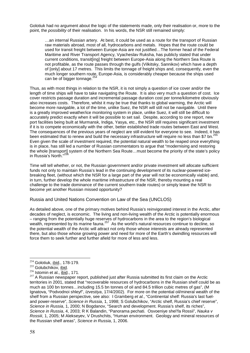Golotiuk had no argument about the logic of the statements made, only their realisation or, more to the point, the possibility of their realisation. In his words, the NSR still remained simply:

…an internal Russian artery. At best, it could be used as a route for the transport of Russian raw materials abroad, most of all, hydrocarbons and metals. Hopes that the route could be used for transit freight between Europe-Asia are not justified…The former head of the Federal Maritime and River Transport Agency, Vyacheslav Ruksha, has publicly stated that under current conditions, transit[ing] freight between Europe-Asia along the Northern Sea Route is not profitable, as the route passes through the gulfs (Vilkitsky, Sannikov) which have a depth of [only] about 17 metres. This limits the tonnage of freight ships and, consequently, even the much longer southern route, Europe-Asia, is considerably cheaper because the ships used can be of bigger tonnage. $<sup>2</sup>$ </sup>

Thus, as with most things in relation to the NSR, it is not simply a question of ice cover and/or the length of time ships will have to take navigating the Route. It is also very much a question of cost. Ice cover restricts passage duration and incremental passage duration cost per tonne/kilometre obviously also increases costs. Therefore, whilst it may be true that thanks to global warming, the Arctic will become more navigable, a lot of the time, unlike Suez, the NSR will still not be navigable. Until there is a greatly improved weather/ice monitoring system in place, unlike Suez, it will still be difficult to accurately predict exactly when it will be possible to set sail. Despite, according to one report, new port facilities being built at Murmansk, Indiga, Yasya, etc., the NSR still requires significant investment if it is to compete economically with the other, better established trade routes between East and West. The consequences of the previous years of neglect are still evident for everyone to see. Indeed, it has been estimated that to renew and build the necessary infrastructure will require no less than \$7 bn.<sup>2</sup> Even given the scale of investment required, the potential natural wealth to be reaped once everything is in place, has still led a number of Russian commentators to argue that "modernising and restoring the whole [transport] system of the Northern Sea Route…must become the priority of the state's policy in Russia's North."<sup>25</sup>

Time will tell whether, or not, the Russian government and/or private investment will allocate sufficient funds not only to maintain Russia's lead in the continuing development of its nuclear-powered icebreaking fleet, (without which the NSR for a large part of the year will not be economically viable) and, in turn, further develop the whole maritime infrastructure of the NSR, thereby mounting a real challenge to the trade dominance of the current southern trade routes) or simply leave the NSR to become yet another Russian missed opportunity?

### Russia and United Nations Convention on Law of the Sea (UNCLOS)

As detailed above, one of the primary motives behind Russia's reinvigorated interest in the Arctic, after decades of neglect, is economic. The living and non-living wealth of the Arctic is potentially enormous – ranging from the potentially huge reserves of hydrocarbons in the area to the region's biological wealth, represented by its marine fauna.<sup>257</sup> As the world's natural resources continue to decline, so the potential wealth of the Arctic will attract not only those whose interests are already represented there, but also those whose growing power and need for more of the Earth's dwindling resources will force them to seek further and further afield for more of less and less.

 $256$  Istomin et al., ibid., 171.

 $254$  Golotiuk, ibid., 178-179.

 $255$  Golubchikov, ibid.

 $257$  A Russian newspaper report, published just after Russia submitted its first claim on the Arctic territories in 2001, stated that "recoverable resources of hydrocarbons in the Russian shelf could be as much as 100 bn tonnes…including 15.5 bn tonnes of oil and 84.5 trillion cubic metres of gas", (M Ignatova, "Podvodnoi shleyf", Izvestiya, 17/4/2002). For more on the potential oil/mineral wealth of the shelf from a Russian perspective, see also: I Gramberg et al., "Continental shelf: Russia's last fueland power-reserve", Science in Russia, 1, 1998; S Golubchikov, "Arctic shelf, Russia's chief reserve", Science in Russia, 1, 2000; N Bogdanov, "Search and development. Russia's shelf, its riches", Science in Russia, 4, 2003; R K Balandin, "Panorama pechati. Osvoeniye shel'fa Rossii", Nauka v Rossiii, 1, 2005; M Alekseyev, V Drushchits, "Human environment. Geology and mineral resources of the Russian shelf areas", Science in Russia, 1, 2006.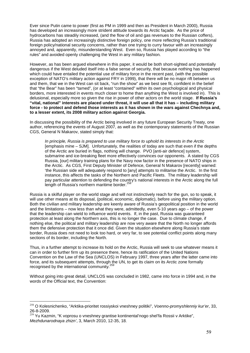Ever since Putin came to power (first as PM in 1999 and then as President in March 2000), Russia has developed an increasingly more strident attitude towards its Arctic façade. As the price of hydrocarbons has steadily increased, (and the flow of oil and gas revenues to the Russian coffers), Russia has adopted an increasingly distinctive foreign policy, one more reflecting Russia's traditional foreign policy/national security concerns, rather than one trying to curry favour with an increasingly annoyed and, apparently, misunderstanding West. Even so, Russia has played according to "the rules" and avoided openly challenging the West in any military fashion.

However, as has been argued elsewhere in this paper, it would be both short-sighted and potentially dangerous if the West deluded itself into a false sense of security, that because nothing has happened which could have entailed the potential use of military force in the recent past, (with the possible exception of NATO's military action against FRY in 1999), that there will be no major rift between us and them, that we in the West can sit back, "run the show" as we best see fit, confident in the belief that "the Bear" has been "tamed", (or at least "contained" within its own psychological and physical borders, more interested in events much closer to home than anything the West is involved in). This is delusional, especially more so given the rise in power of other actors on the world stage. **If Russia's "vital, national" interests are placed under threat, it will use all that it has – including military force - to protect and defend those interests as it has shown in the wars against Chechnya and, to a lesser extent, its 2008 military action against Georgia.**

In discussing the possibility of the Arctic being involved in any future European Security Treaty, one author, referencing the events of August 2007, as well as the contemporary statements of the Russian CGS, General N Makarov, stated simply that:

In principle, Russia is prepared to use military force to uphold its interests in the Arctic [emphasis mine – SJM]. Unfortunately, the realities of today are such that even if the depths of the Arctic are buried in flags, nothing will change. PVO [anti-air defence] system, submarine and ice-breaking fleet more effectively convinces our opponents. A stated by CGS Russia, [our] military training plans for the Navy now factor in the presence of NATO ships in the Arctic. As CGS, First Deputy Minister of Defence, General N Makarov [recently] warned: 'the Russian side will adequately respond to [any] attempts to militarise the Arctic. In the first instance, this affects the tasks of the Northern and Pacific Fleets. The military leadership will pay particular attention to defending the country's national interests in the Arctic along the full length of Russia's northern maritime border.<sup>258</sup>

Russia is a skilful player on the world stage and will not instinctively reach for the gun, so to speak, it will use other means at its disposal, (political, economic, diplomatic), before using the military option. Both the civilian and military leadership are keenly aware of Russia's geopolitical position in the world and the limitations – now less than what they were, admittedly, even 5-10 years ago – of the power that the leadership can wield to influence world events. If, in the past, Russia was guaranteed protection at least along the Northern axis, this is no longer the case. Due to climate change, if nothing else, the political and military leadership are now very aware that the North no longer affords them the defensive protection that it once did. Given the situation elsewhere along Russia's state border, Russia does not need to look too hard, or very far, to see potential conflict points along many sections of its border, including the North.

Thus, in a further attempt to increase its hold on the Arctic, Russia will seek to use whatever means it can in order to further firm up its presence there, hence its ratification of the United Nations Convention on the Law of the Sea (UNCLOS) in February 1997, three years after the latter came into force, and its subsequent attempts, through the UN, to get its claim on its Arctic zone formally recognised by the international community.<sup>259</sup>

Without going into great detail, UNCLOS was concluded in 1982, came into force in 1994 and, in the words of the Official text, the Convention:

<sup>&</sup>lt;sup>258</sup> O Kolesnichenko, "Arktika-prioritet rossiyskoi vneshney politiki", Voenno-promyshlenniy kur'er, 33, 26-8-2009.

<sup>&</sup>lt;sup>259</sup> Yu Kazmin, "K voprosu o vneshney grantise kontinental'nogo shel'fa Rossii v Arktike", Mezhdunarodnaya zhizn', 3, March 2010, 12-35, 18.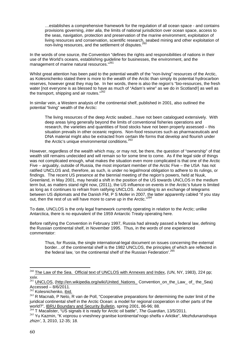…establishes a comprehensive framework for the regulation of all ocean space - and contains provisions governing, *inter alia*, the limits of national jurisdiction over ocean space, access to the seas, navigation, protection and preservation of the marine environment, exploitation of living resources and conservation, scientific research, seabed mining and other exploitation of non-living resources, and the settlement of disputes.<sup>2</sup>

In the words of one source, the Convention "defines the rights and responsibilities of nations in their use of the World's oceans, establishing guideline for businesses, the environment, and the management of marine natural resources."<sup>26</sup>

Whilst great attention has been paid to the potential wealth of the "non-living" resources of the Arctic, as Kolesnichenko stated there is more to the wealth of the Arctic than simply its potential hydrocarbon reserves, however great they may be. In her words, there is also the region's "bio-resources, the fresh water [not everyone is as blessed to have as much of "Adam's wine" as we do in Scotland!] as well as the transport, shipping and air routes. $2^{26}$ 

In similar vein, a Western analysis of the continental shelf, published in 2001, also outlined the potential "living" wealth of the Arctic:

The living resources of the deep Arctic seabed…have not been catalogued extensively. With deep areas lying generally beyond the limits of conventional fisheries operations and research, the varieties and quantities of food stocks have not been properly assessed – this situation prevails in other oceanic regions. Non-food resources such as pharmaceuticals and DNA material might also be extracted from certain life forms that develop and flourish under the Arctic's unique environmental conditions.<sup>263</sup>

However, regardless of the wealth which may, or may not, be there, the question of "ownership" of that wealth still remains undecided and will remain so for some time to come. As if the legal side of things was not complicated enough, what makes the situation even more complicated is that one of the Arctic Five – arguably, outside of Russia, the most important member of the Arctic Five – the USA has not ratified UNCLOS and, therefore, as such, is under no legal/moral obligation to adhere to its rulings, or findings. The recent US presence at the biennial meeting of the region's powers, held at Nuuk, Greenland, in May 2001, may herald a shift in the position of the US towards UNCLOS in the medium term but, as matters stand right now, (2011), the US influence on events in the Arctic's future is limited as long as it continues to refrain from ratifying UNCLOS. According to an exchange of telegrams between US diplomats and the Danish FM, P S Moller in 2007, the latter apparently cabled "if you stay out, then the rest of us will have more to carve up in the Arctic."<sup>264</sup>

To date, UNCLOS is the only legal framework currently operating in relation to the Arctic; unlike Antarctica, there is no equivalent of the 1959 Antarctic Treaty operating here.

Before ratifying the Convention in February 1997, Russia had already passed a federal law, defining the Russian continental shelf, in November 1995. Thus, in the words of one experienced commentator:

Thus, for Russia, the single international-legal document on issues concerning the external border…of the continental shelf is the 1982 UNCLOS, the principles of which are reflected in the federal law, 'on the continental shelf of the Russian Federation'.<sup>265</sup>

 $^{260}$  The Law of the Sea. Official text of UNCLOS with Annexes and Index, (UN, NY, 1983), 224 pp; xxiv.

<sup>&</sup>lt;sup>261</sup> UNCLOS, (http://en.wikipedia.org/wiki/United\_Nations\_Convention\_on\_the\_Law\_ of\_the\_Sea) Accessed – 8/6/2011.

<sup>&</sup>lt;sup>262</sup> Kolesnichenko, ibid.

<sup>&</sup>lt;sup>263</sup> R Macnab, P Neto, R van de Poll, "Cooperative preparations for determining the outer limit of the juridical continental shelf in the Arctic Ocean: a model for regional cooperation in other parts of the world?", IBRU Boundary and Security Bulletin, spring 2001, 86-96; 88.

<sup>&</sup>lt;sup>264</sup> T Macalister, "US signals it is ready for Arctic oil battle", The Guardian, 13/5/2011.

<sup>&</sup>lt;sup>265</sup> Yu Kazmin, "K voprosu o vneshney granitse kontinental'nogo shelfa v Arktike", Mezhdunarodnaya zhizn', 3, 2010, 12-35; 18.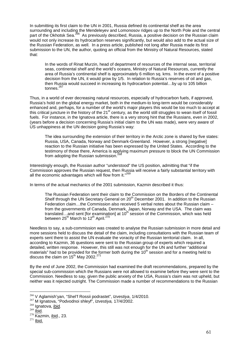In submitting its first claim to the UN in 2001, Russia defined its continental shelf as the area surrounding and including the Mendeleyev and Lomonosov ridges up to the North Pole and the central part of the Okhotsk Sea.<sup>266</sup> As previously described, Russia, a positive decision on the Russian claim would not only increase its hydrocarbon reserves significantly, but would also add to the actual size of the Russian Federation, as well. In a press article, published not long after Russia made its first submission to the UN, the author, quoting an official from the Ministry of Natural Resources, stated that:

In the words of Rinat Murzin, head of department of resources of the internal seas, territorial seas, continental shelf and the world's oceans, Ministry of Natural Resources, currently the area of Russia's continental shelf is approximately 6 million sq. kms. In the event of a positive decision from the UN, it would grow by 1/5. In relation to Russia's reserves of oil and gas, then Russia would succeed in increasing its hydrocarbon potential…by up to 105 billion tonnes.<sup>267</sup>

Thus, in a world of ever decreasing natural resources, especially of hydrocarbon fuels, if approved, Russia's hold on the global energy market, both in the medium-to long-term would be considerably enhanced and, perhaps, for a number of the world's major players this would be too much to accept at this critical juncture in the history of the 21<sup>st</sup> century, as the world still struggles to wean itself of fossil fuels. For instance, in the Ignatova article, there is a very strong hint that the Russians, even in 2002, (years before a decision concerning Russia's initial claim to the UN was made), were very aware of US unhappiness at the UN decision going Russia's way:

The idea surrounding the extension of their territory in the Arctic zone is shared by five states: Russia, USA, Canada, Norway and Denmark-Greenland. However, a strong [negative] reaction to the Russian initiative has been expressed by the United States. According to the testimony of those there, America is applying maximum pressure to block the UN Commission from adopting the Russian submission.<sup>2</sup>

Interestingly enough, the Russian author "understood" the US position, admitting that "if the Commission approves the Russian request, then Russia will receive a fairly substantial territory with all the economic advantages which will flow from it."<sup>26</sup>

In terms of the actual mechanics of the 2001 submission, Kazmin described it thus:

The Russian Federation sent their claim to the Commission on the Borders of the Continental Shelf through the UN Secretary General on 20<sup>th</sup> December 2001. In addition to the Russian Federation claim...the Commission also received 5 verbal notes about the Russian claim from the governments of Canada, Denmark, Japan, Norway and the USA. The claim was translated...and sent [for examination] at  $10<sup>th</sup>$  session of the Commission, which was held between 25<sup>th</sup> March to 12<sup>th</sup> April.<sup>270</sup>

Needless to say, a sub-commission was created to analyse the Russian submission in more detail and more sessions held to discuss the detail of the claim, including consultations with the Russian team of experts sent there to assist the UN evaluate the voracity of the Russian territorial claim. In all, according to Kazmin, 36 questions were sent to the Russian group of experts which required a detailed, written response. However, this still was not enough for the UN and further "additional materials" had to be provided for the former both during the  $10<sup>th</sup>$  session and for a meeting held to discuss the claim on  $15<sup>th</sup>$  May 2002.<sup>271</sup>

By the end of June 2002, the Commission had examined the draft recommendations, prepared by the special sub-commission which the Russians were not allowed to examine before they were sent to the Commission. Needless to say, given the public anxiety of the USA, Russia's claim was not upheld, but neither was it rejected outright. The Commission made a number of recommendations to the Russian

 $\overline{a}$ <sup>266</sup> V Aglamish'yan, "Shel'f Rossii podrastet", *Izvestiya*, 1/4/2010.

<sup>267</sup> M Ignatova, "Podvodnoi shleyf", Izvestiya, 17/4/2002.

 $268$  Ignatova, ibid.

 $269$  Ibid.

 $270$  Kazmin, ibid., 23.

 $271$  Ibid.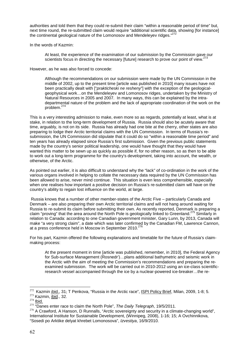authorities and told them that they could re-submit their claim "within a reasonable period of time" but, next time round, the re-submitted claim would require "additional scientific data, showing [for instance] the continental geological nature of the Lomonosov and Mendelevev ridges."<sup>272</sup>

In the words of Kazmin:

At least, the experience of the examination of our submission by the Commission gave our scientists focus in directing the necessary [future] research to prove our point of view.<sup>2</sup>

However, as he was also forced to concede:

Although the recommendations on our submission were made by the UN Commission in the middle of 2002, up to the present time [article was published in 2010] many issues have not been practically dealt with ["prakticheski ne resheny"] with the exception of the geologicalgeophysical work…on the Mendeleyev and Lomonosov ridges, undertaken by the Ministry of Natural Resources in 2005 and 2007. In many ways, this can be explained by the intradepartmental nature of the problem and the lack of appropriate coordination of the work on the problem.<sup>274</sup>

This is a very interesting admission to make, even more so as regards, potentially at least, what is at stake, in relation to the long-term development of Russia. Russia should also be acutely aware that time, arguably, is not on its side. Russia has already had one bite at the cherry, other states are also preparing to lodge their Arctic territorial claims with the UN Commission. In terms of Russia's resubmission, the UN Commission did stipulate that it could do so "within a reasonable time period" and ten years has already elapsed since Russia's first submission. Given the previous public statements made by the country's senior political leadership, one would have thought that they would have wanted this matter to be sewn up as quickly as possible if, for no other reason, so as then to be able to work out a long-term programme for the country's development, taking into account, the wealth, or otherwise, of the Arctic.

As pointed out earlier, it is also difficult to understand why the "lack" of co-ordination in the work of the various organs involved in helping to collate the necessary data required by the UN Commission has been allowed to arise, never mind continue. This situation is even less comprehensible, especially when one realises how important a positive decision on Russia's re-submitted claim will have on the country's ability to regain lost influence on the world, at large.

 Russia knows that a number of other member-states of the Arctic Five – particularly Canada and Denmark – are also preparing their own Arctic territorial claims and will not hang around waiting for Russia to re-submit its claim before submitting their own. As recently reported, Denmark is preparing a claim "proving" that the area around the North Pole is geologically linked to Greenland.<sup>275</sup> Similarly in relation to Canada: according to one Canadian government minister, Gary Lunn, by 2013, Canada will make "a very strong claim", a date which was later confirmed by the Canadian FM, Lawrence Cannon, at a press conference held in Moscow in September 2010.<sup>276</sup>

For his part, Kazmin offered the following explanations and timetable for the future of Russia's claimmaking process:

At the present moment in time [article was published, remember, in 2010], the Federal Agency for Sub-surface Management (Rosnedr')…plans additional bathymetric and seismic work in the Arctic with the aim of meeting the Commission's recommendations and preparing the reexamined submission. The work will be carried out in 2010-2012 using an ice-class scientificresearch vessel accompanied through the ice by a nuclear-powered ice-breaker…the re-

 272 Kazmin ibid., 31; T Penkova, "Russia in the Arctic race", ISPI Policy Brief, Milan, 2009, 1-8; 5.

 $273$  Kazmin,  $\overline{ibid}$ ., 32.

 $274$  Ibid.

 $275$  "Danes enter race to claim the North Pole", The Daily Telegraph, 19/5/2011.

<sup>&</sup>lt;sup>276</sup> A Crawford, A Hanson, D Runnalls, "Arctic sovereignty and security in a climate-changing world", International Institute for Sustainable Development, (Winnipeg, 2008), 1-16; 15; A Ovchinnikova, "Sosedi po Arktike delyat khrebet Lomonosova", Izvestiya, 16/9/2010.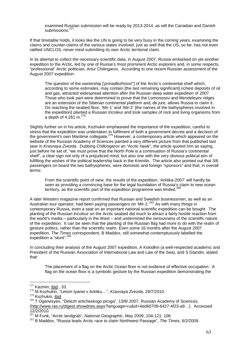examined Russian submission will be ready by 2013-2014, as will the Canadian and Danish submissions.<sup>277</sup>

If that timetable holds, it looks like the UN is going to be very busy in the coming years, examining the claims and counter-claims of the various states involved, just as well that the US, so far, has not even ratified UNCLOS, never mind submitting its own Arctic territorial claim.

In its attempt to collect the necessary scientific data, in August 2007, Russia embarked on yet another expedition to the Arctic, led by one of Russia's most prominent Arctic explorers and, in some respects, "professional" Arctic politician, Artur Chilingarov. According to one recent Russian assessment of the August 2007 expedition:

The question of the ownership ['*prinadlezhnost'*] of the Arctic's continental shelf which, according to some estimates, may contain [the last remaining significant] richest deposits of oil and gas, attracted widespread attention after the Russian deep water expedition of 2007. Those who took part were determined to prove that the Lomonosov and Mendeleyev ridges are an extension of the Siberian continental platform and, de jure, allows Russia to claim it. On reaching the seabed floor, 'Mir-1' and 'Mir-2' [the names of the bathyspheres involved in the expedition] planted a Russian tricoleur and took samples of rock and living organisms from a depth of 4.261 m. $^{278}$ 

Slightly further on in his article, Kozhukin emphasised the importance of the expedition, careful to stress that the expedition was undertaken in fulfilment of both a government decree and a decision of the government's own Maritime collegiate.<sup>279</sup> However, a contemporary article which appeared on the website of the Russian Academy of Sciences painted a very different picture from that published last year in Krasnaya Zvezda. Dubbing Chilkingarov an "Arctic hawk", the article quoted him as saying, just before he set of, "we must prove that the North Pole is a continuation of Russia's continental shelf", a clear sign not only of a prejudiced mind, but also one with the very obvious political aim of fulfilling the wishes of the political leadership back in the Kremlin. The article also pointed out that 3/6 passengers on board the two bathyspheres, were domestic and foreign "sponsors" and that, in overall terms:

From the scientific point of view, the results of the expedition, 'Arktika-2007' will hardly be seen as providing a convincing base for the legal foundation of Russia's claim to new ocean territory, as the scientific part of the expedition programme was limited.<sup>28</sup>

A later Western magazine report confirmed that Russian and Swedish businessmen, as well as an Australian tour operator, had been paying passengers on 'Mir-2.<sup>281</sup> As with many things in contemporary Russia, even a seat on an important national scientific expedition can be bought. The planting of the Russian tricolour on the Arctic seabed did much to attract a fairly hostile reaction from the world's media – particularly in the West – and undermined the seriousness of the scientific nature of the expedition. It can be seen that the planting of the Russian flag had more to do with the realm of gesture politics, rather than the scientific realm. Even some 16 months after the August 2007 expedition, The Times correspondent, B Maddox, still somewhat contemptuously labelled the expedition a "stunt".<sup>282</sup>

In concluding their analysis of the August 2007 expedition, A Kolodkin (a well-respected academic and President of the Russian Association of International Law and Law of the Sea), and S Glandin, stated that:

The placement of a flag on the Arctic Ocean floor is not evidence of effective occupation. A flag on the ocean floor is a symbolic gesture by the Russian expedition demonstrating the

<sup>&</sup>lt;sup>277</sup> Kazmin, <u>ibid</u>., 33.

<sup>278</sup> M Kozhukin, "Letom tyanet v Arktiku…", Krasnaya Zvezda, 29/7/2010.

<sup>279</sup> Kozhukin, ibid.

<sup>&</sup>lt;sup>280</sup> T Oganesyan, "Delezh articheskogo piroga", 13/8/.2007, Russian Academy of Sciences, (http://www.ras.ru/digest.showdnes.aspx?language+ru&id+4ed60709-6427-4f23-a9…). Accessed 12/2/2010.

 $281$  M Funk, "Arctic landgrab", National Geographic, May 2009, 104-121; 106.

<sup>&</sup>lt;sup>282</sup> B Maddox, "Russia leads Arctic race to claim Northwest Passage", The Times, 6/2/2009.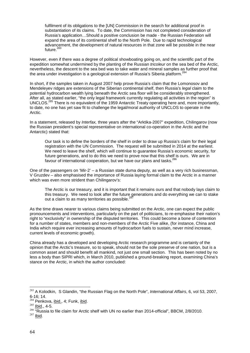fulfilment of its obligations to the [UN] Commission in the search for additional proof in substantiation of its claims. To date, the Commission has not completed consideration of Russia's application…Should a positive conclusion be made - the Russian Federation will expand the area of its continental shelf to the North Pole. Due to rapid technological advancement, the development of natural resources in that zone will be possible in the near future.<sup>283</sup>

However, even if there was a degree of political showboating going on, and the scientific part of the expedition somewhat undermined by the planting of the Russian tricoleur on the sea bed of the Arctic, nevertheless, the descent to the sea bed was to take water and mineral samples as further proof that the area under investigation is a geological extension of Russia's Siberia platform.<sup>2</sup>

In short, if the samples taken in August 2007 help prove Russia's claim that the Lomonosov and Mendeleyev ridges are extensions of the Siberian continental shelf, then Russia's legal claim to the potential hydrocarbon wealth lying beneath the Arctic sea floor will be considerably strengthened. After all, as stated earlier, "the only legal framework currently regulating all activities in the region" is UNCLOS.<sup>285</sup> There is no equivalent of the 1959 Antarctic Treaty operating here and, more importantly, to date, no one has yet saw fit to challenge the legal/moral authority of UNCLOS to operate in the Arctic.

In a statement, released by *Interfax*, three years after the "Arktika-2007" expedition, Chilingarov (now the Russian president's special representative on international co-operation in the Arctic and the Antarctic) stated that:

Our task is to define the borders of the shelf in order to draw up Russia's claim for their legal registration with the UN Commission. The request will be submitted in 2014 at the earliest. We need to leave the shelf, which will continue to guarantee Russia's economic security, for future generations, and to do this we need to prove now that this shelf is ours. We are in favour of international cooperation, but we have our plans and tasks.<sup>2</sup>

One of the passengers on 'Mir-2' – a Russian state duma deputy, as well as a very rich businessman, V Gruzdev – also emphasised the importance of Russia laying formal claim to the Arctic in a manner which was even more strident than Chilingarov's:

The Arctic is our treasury, and it is important that it remains ours and that nobody lays claim to this treasury. We need to look after the future generations and do everything we can to stake out a claim to as many territories as possible.<sup>28</sup>

As the time draws nearer to various claims being submitted on the Arctic, one can expect the public pronouncements and interventions, particularly on the part of politicians, to re-emphasise their nation's right to "exclusivity" in ownership of the disputed territories. This could become a bone of contention for a number of states, members and non-members of the Arctic Five alike, (for instance, China and India which require ever increasing amounts of hydrocarbon fuels to sustain, never mind increase, current levels of economic growth).

China already has a developed and developing Arctic research programme and is certainly of the opinion that the Arctic's treasure, so to speak, should not be the sole preserve of one nation, but is a common asset and should benefit all mankind, not just one small section. This has been noted by no less a body than SIPRI which, in March 2010, published a ground-breaking report, examining China's stance on the Arctic, in which the author concluded:

 $\overline{a}$  $^{283}$  A Kolodkin, S Glandin, "the Russian Flag on the North Pole", International Affairs, 6, vol 53, 2007, 6-16; 14.

 $284$  Penkova, ibid., 4; Funk, ibid.

 $285$  Ibid., 4-5.

<sup>&</sup>lt;sup>286</sup> "Russia to file claim for Arctic shelf with UN no earlier than 2014-official", BBCM, 2/8/2010.

 $287$  Ibid.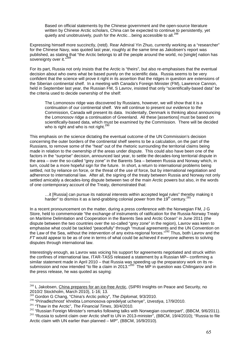Based on official statements by the Chinese government and the open-source literature written by Chinese Arctic scholars, China can be expected to continue to persistently, yet quietly and unobtrusively, push for the Arctic...being accessible to all.<sup>288</sup>

Expressing himself more succinctly, (retd). Rear Admiral Yin Zhuo, currently working as a "researcher" for the Chinese Navy, was quoted last year, roughly at the same time as Jakobsen's report was published, as stating that "the Arctic belongs to all the people around the world, no [single] nation has .<br>sovereignty over it."<sup>289</sup>

For its part, Russia not only insists that the Arctic is "theirs", but also re-emphasises that the eventual decision about who owns what be based purely on the scientific data. Russia seems to be very confident that the science will prove it right in its assertion that the ridges in question are extensions of the Siberian continental shelf. In a meeting with Canada's Foreign Minister (FM), Lawrence Cannon, held in September last year, the Russian FM, S Lavrov, insisted that only "scientifically-based data" be the criteria used to decide ownership of the shelf:

The Lomonosov ridge was discovered by Russians, however, we will show that it is a continuation of our continental shelf. We will continue to present our evidence to the Commission, Canada will present its data. Incidentally, Denmark is thinking about announcing the Lomonosov ridge a continuation of Greenland. All these [assertions] must be based on scientifically-based data, which must be examined by the Commission. There will be decided who is right and who is not right. $^{290}$ 

This emphasis on the science dictating the eventual outcome of the UN Commission's decision concerning the outer borders of the continental shelf seems to be a calculation, on the part of the Russians, to remove some of the "heat" out of the rhetoric surrounding the territorial claims being made in relation to the ownership of the areas under dispute. This could also have been one of the factors in the "surprise" decision, announced last year, to settle the decades-long territorial dispute in the area – over the so-called "grey zone" in the Barents Sea – between Russia and Norway which, in turn, could be a more hopeful sign for the future. In short, a return to international problems being settled, not by reliance on force, or the threat of the use of force, but by international negotiation and adherence to international law. After all, the signing of the treaty between Russia and Norway not only settled amicably a decades-long dispute between two of the main Arctic powers but also, in the words of one contemporary account of the Treaty, demonstrated that:

…it [Russia] can pursue its national interests within accepted legal rules" thereby making it harder" to dismiss it as a land-grabbing colonial power from the 19<sup>th</sup> century.<sup>291</sup>

In a recent pronouncement on the matter, during a press conference with the Norwegian FM, J G Store, held to commemorate "the exchange of instruments of ratification for the Russia-Norway Treaty on Maritime Delimitation and Cooperation in the Barents Sea and Arctic Ocean" in June 2011 (the dispute between the two countries over the so-called "grey zone" in the region), Lavrov was keen to emphasise what could be tackled "peacefully" through "mutual agreements and the UN Convention on the Law of the Sea, without the intervention of any extra-regional forces."<sup>292</sup> Thus, both Lavrov and the FT would appear to be as of one in terms of what could be achieved if everyone adheres to solving disputes through international law.

Interestingly enough, as Lavrov was voicing his support for agreements negotiated and struck within the confines of international law, ITAR-TASS released a statement by a Russian MP– confirming a similar statement made in April 2010 – that Russia was speeding up the preparatory work on its resubmission and now intended "to file a claim in 2013."<sup>293</sup> The MP in question was Chilingarov and in the press release, he was quoted as saying:

<sup>&</sup>lt;sup>288</sup> L Jakobsen, China prepares for an ice-free Arctic, (SIPRI Insights on Peace and Security, no 2010/2 Stockholm, March 2010), 1-16; 13.

<sup>289</sup> Gordon G Chang, "China's Arctic policy", The Diplomat, 9/3/2010.

<sup>290</sup> "Prinadlezhnost' khrebta Lomonosova opredelyat uchenye", Izvestiya, 17/9/2010.

 $291$  "Thaw in the Arctic", The Financial Times, 30/4/2010.

<sup>&</sup>lt;sup>292</sup> "Russian Foreign Minister's remarks following talks with Norwegian counterpart", (BBCM, 9/6/2011).

<sup>&</sup>lt;sup>293</sup> "Russia to submit claim over Arctic shelf to UN in 2013-minister", (BBCM, 19/4/2010); "Russia to file Arctic claim with UN earlier than planned – MP", (BBCM, 16/9/2010).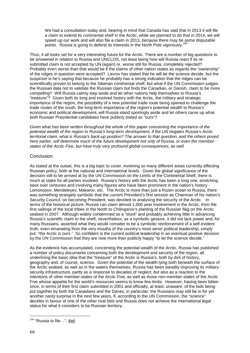We had a consultation today and, bearing in mind that Canada has said that in 2013 it will file a claim to extend its continental shelf in the Arctic, while we planned to do that in 2014, we will speed up our work and will also file a claim in 2013, because there may be some disputable points. Russia is going to defend its interests in the North Pole vigorously.<sup>2</sup>

Thus, it all looks set for a very interesting future for the Arctic. There are a number of big questions to be answered in relation to Russia and UNCLOS, not least being how will Russia react if its resubmitted claim is not accepted by UN (again) or, worse still for Russia, completely rejected? Probably even worse than that would be if the claims of other nation states as regards the "ownership" of the ridges in question were accepted? Lavrov has stated that he will let the science decide, but the suspicion is he's saying that because he probably has a strong indication that the ridges can be scientifically proven to belong to the Siberian continental shelf, but what if the UN Commission judges the Russian data not to validate the Russian claim but finds the Canadian, or Danish, claim to be more compelling? Will Russia calmly step aside and let other nations help themselves to Russia's "treasure"? Given both its long and involved history with the Arctic, the military and strategic importance of the region, the possibility of a new potential trade route being opened to challenge the trade routes of the south, the long-term importance of the region's potential wealth to Russia's economic and political development, will Russia stand sportingly aside and let others carve up what both Russian Presidential candidates have publicly stated as "ours"?

Given what has been written throughout the whole of this paper concerning the importance of the potential wealth of the region to Russia's long-term development, if the UN negates Russia's Arctic territorial claim, what is Russia's back-up position? The answer to that question, and the others posed here earlier, will determine much of the future development not only of Russia, or even the memberstates of the Arctic Five, but have truly very profound global consequences, as well.

## **Conclusion**

As stated at the outset, this is a big topic to cover, involving so many different areas currently affecting Russian policy, both at the national and international levels. Given the global significance of the decision still to be arrived at by the UN Commission on the Limits of the Continental Shelf, there is much at stake for all parties involved. Russia's history with the Arctic has been a long one, stretching back over centuries and involving many figures who have been prominent in the nation's history - Lomonosov, Mendeleyev, Makarov, etc. The Arctic is more than just a frozen ocean to Russia; there was something strangely symbolic that the current President's first session as Chairman of his nation's Security Council, on becoming President, was devoted to analysing the security of the Arctic. In terms of the historical picture, Russia can claim almost 1,000 year involvement in the Arctic, from the first sailings of the local tribes in the North to Chilingarov's planting of the Russian flag on the Arctic seabed in 2007. Although widely condemned as a "stunt" and probably achieving little in advancing Russia's scientific claim to the shelf, nevertheless, as a symbolic gesture, it did not lack power and, for many Russians, asserted what they would consider to be a symbolic reinforcement of a self-evident truth, even emanating from the very mouths of the country's most senor political leadership, simply put: "the Arctic is ours." So confident is the current political leadership in an eventual positive decision by the UN Commission that they are now more than publicly happy "to let the science decide."

As the evidence has accumulated, concerning the potential wealth of the Arctic, Russia has published a number of policy documents concerning both the development and security of the region, all underlining the basic idea that the "treasure" of the Arctic is Russia's, both by dint of history, geography and, of course, science. Given the potential of the wealth lying both beneath the surface of the Arctic seabed, as well as in the waters themselves, Russia has been steadily improving its militarysecurity infrastructure, partly as a response to decades of neglect, but also as a reaction to the intentions of other member-states of the Arctic Five, as well as those non-member-states of the Arctic Five whose appetite for the world's resources seems to know few limits. However, having been bitten once, in terms of their first claim submitted in 2001 and officially, at least, unaware, of the bids being put together by both the Canadians and the Danes, in particular, the Russians may still be in for yet another nasty surprise in the next few years, if, according to the UN Commission, the "science" decides in favour of one of the other rival bids and Russia does not achieve the international legal status for what it considers to be Russian territory.

 $\overline{a}$ <sup>294</sup> "Russia to file…", <u>ibid</u>.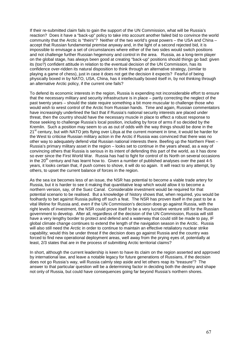If their re-submitted claim fails to gain the support of the UN Commission, what will be Russia's reaction? Does it have a "back-up" policy to take into account another failed bid to convince the world community that the Arctic is "theirs"? Neither of the two world's great powers – the USA and China – accept that Russian fundamental premise anyway and, in the light of a second rejected bid, it is impossible to envisage a set of circumstances where either of the two sides would switch positions and not challenge further Russian hegemony and control in the area. Russia, as a long-term player on the global stage, has always been good at creating "back-up" positions should things go bad: given its (too?) confident attitude in relation to the eventual decision of the UN Commission, has its confidence over-ridden its natural disposition to think through an alternative strategy, (similar to playing a game of chess), just in case it does not get the decision it expects? Fearful of being physically boxed in by NATO, USA, China, has it intellectually boxed itself in, by not thinking through an alternative Arctic policy, if the current one fails?

To defend its economic interests in the region, Russia is expending not inconsiderable effort to ensure that the necessary military and security infrastructure is in place – partly correcting the neglect of the past twenty years – should the state require something a bit more muscular to challenge those who would wish to wrest control of the Arctic from Russian hands. Time and again, Russian commentators have increasingly underlined the fact that if Russia's national security interests are placed under threat, then the country should have the necessary muscle in place to effect a robust response to those seeking to challenge Russia's local position, including by force of arms if so decided by the Kremlin. Such a position may seem to us as out of odds with the way things should be done in the 21<sup>st</sup> century, but with NATO jets flying over Libya at the current moment in time, it would be harder for the West to criticise Russian military action in the Arctic if Russia was convinced that there was no other way to adequately defend vital Russian national interests there. Beefing up the Northern Fleet – Russia's primary military asset in the region – looks set to continue in the years ahead, as a way of convincing others that Russia is serious in its intent of defending this part of the world, as it has done so ever since the First World War. Russia has had to fight for control of its North on several occasions in the  $20<sup>th</sup>$  century and has learnt how to. Given a number of published analyses over the past 4-5 years, it looks certain that, if push comes to shove, it will do so again. It will react to any attempt, by others, to upset the current balance of forces in the region.

As the sea ice becomes less of an issue, the NSR has potential to become a viable trade artery for Russia, but it is harder to see it making that quantitative leap which would allow it to become a northern version, say, of the Suez Canal. Considerable investment would be required for that potential scenario to be realised. But a knowledge of history shows that, when required, you would be foolhardy to bet against Russia pulling off such a feat. The NSR has proven itself in the past to be a vital lifeline for Russia and, even if the UN Commission's decision does go against Russia, with the right levels of investment, the NSR could prove itself to be a very lucrative venture still for the Russian government to develop. After all, regardless of the decision of the UN Commission, Russia will still have a very lengthy border to protect and defend and a waterway that could still be made to pay, IF global climate change continues to extend the length of the navigation season in the Arctic. Russia will also still need the Arctic in order to continue to maintain an effective retaliatory nuclear strike capability; would this be under threat if the decision does go against Russia and the country was forced to find new operational deployment areas, well away from the prying eyes of, potentially at least, 2/3 states that are in the process of submitting Arctic territorial claims?

In short, although the current leadership is keen to have its claim on the region asserted and approved by international law, and leave a notable legacy for future generations of Russians, if the decision does not go Russia's way, will Russia calmly step aside and let others reap its "treasure"? The answer to that particular question will be a determining factor in deciding both the destiny and shape not only of Russia, but could have consequences going far beyond Russia's northern shores.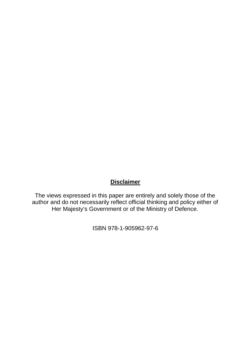## **Disclaimer**

The views expressed in this paper are entirely and solely those of the author and do not necessarily reflect official thinking and policy either of Her Majesty's Government or of the Ministry of Defence.

ISBN 978-1-905962-97-6